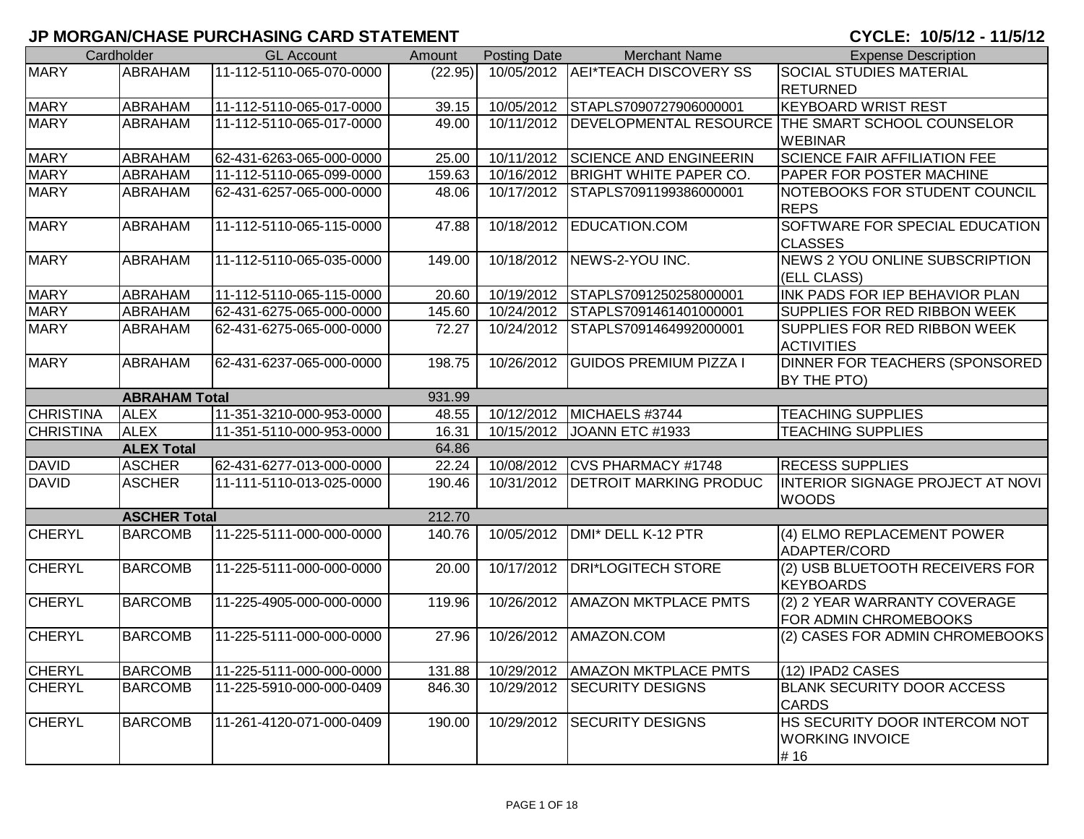## **JP MORGAN/CHASE PURCHASING CARD STATEMENT**

CYCLE: 10/5/12 - 11/5/12

|                  | Cardholder           | <b>GL Account</b>        | Amount  | <b>Posting Date</b> | <b>Merchant Name</b>              | <b>Expense Description</b>                        |
|------------------|----------------------|--------------------------|---------|---------------------|-----------------------------------|---------------------------------------------------|
| <b>MARY</b>      | <b>ABRAHAM</b>       | 11-112-5110-065-070-0000 | (22.95) |                     | 10/05/2012 AEI*TEACH DISCOVERY SS | <b>SOCIAL STUDIES MATERIAL</b>                    |
|                  |                      |                          |         |                     |                                   | <b>RETURNED</b>                                   |
| <b>MARY</b>      | ABRAHAM              | 11-112-5110-065-017-0000 | 39.15   |                     | 10/05/2012 STAPLS7090727906000001 | <b>KEYBOARD WRIST REST</b>                        |
| <b>MARY</b>      | <b>ABRAHAM</b>       | 11-112-5110-065-017-0000 | 49.00   | 10/11/2012          |                                   | DEVELOPMENTAL RESOURCE THE SMART SCHOOL COUNSELOR |
|                  |                      |                          |         |                     |                                   | <b>WEBINAR</b>                                    |
| <b>MARY</b>      | <b>ABRAHAM</b>       | 62-431-6263-065-000-0000 | 25.00   |                     | 10/11/2012 SCIENCE AND ENGINEERIN | <b>SCIENCE FAIR AFFILIATION FEE</b>               |
| <b>MARY</b>      | <b>ABRAHAM</b>       | 11-112-5110-065-099-0000 | 159.63  |                     | 10/16/2012 BRIGHT WHITE PAPER CO. | PAPER FOR POSTER MACHINE                          |
| <b>MARY</b>      | <b>ABRAHAM</b>       | 62-431-6257-065-000-0000 | 48.06   | 10/17/2012          | STAPLS7091199386000001            | NOTEBOOKS FOR STUDENT COUNCIL                     |
|                  |                      |                          |         |                     |                                   | <b>REPS</b>                                       |
| <b>MARY</b>      | <b>ABRAHAM</b>       | 11-112-5110-065-115-0000 | 47.88   |                     | 10/18/2012 EDUCATION.COM          | SOFTWARE FOR SPECIAL EDUCATION                    |
|                  |                      |                          |         |                     |                                   | <b>CLASSES</b>                                    |
| <b>MARY</b>      | <b>ABRAHAM</b>       | 11-112-5110-065-035-0000 | 149.00  | 10/18/2012          | NEWS-2-YOU INC.                   | NEWS 2 YOU ONLINE SUBSCRIPTION                    |
|                  |                      |                          |         |                     |                                   | (ELL CLASS)                                       |
| <b>MARY</b>      | <b>ABRAHAM</b>       | 11-112-5110-065-115-0000 | 20.60   |                     | 10/19/2012 STAPLS7091250258000001 | INK PADS FOR IEP BEHAVIOR PLAN                    |
| <b>MARY</b>      | <b>ABRAHAM</b>       | 62-431-6275-065-000-0000 | 145.60  |                     | 10/24/2012 STAPLS7091461401000001 | SUPPLIES FOR RED RIBBON WEEK                      |
| <b>MARY</b>      | <b>ABRAHAM</b>       | 62-431-6275-065-000-0000 | 72.27   | 10/24/2012          | STAPLS7091464992000001            | SUPPLIES FOR RED RIBBON WEEK                      |
|                  |                      |                          |         |                     |                                   | <b>ACTIVITIES</b>                                 |
| <b>MARY</b>      | ABRAHAM              | 62-431-6237-065-000-0000 | 198.75  | 10/26/2012          | <b>GUIDOS PREMIUM PIZZA I</b>     | DINNER FOR TEACHERS (SPONSORED                    |
|                  |                      |                          |         |                     |                                   | BY THE PTO)                                       |
|                  | <b>ABRAHAM Total</b> |                          | 931.99  |                     |                                   |                                                   |
| <b>CHRISTINA</b> | <b>ALEX</b>          | 11-351-3210-000-953-0000 | 48.55   |                     | 10/12/2012 MICHAELS #3744         | <b>TEACHING SUPPLIES</b>                          |
| <b>CHRISTINA</b> | <b>ALEX</b>          | 11-351-5110-000-953-0000 | 16.31   | 10/15/2012          | JOANN ETC #1933                   | <b>TEACHING SUPPLIES</b>                          |
|                  | <b>ALEX Total</b>    |                          | 64.86   |                     |                                   |                                                   |
| <b>DAVID</b>     | <b>ASCHER</b>        | 62-431-6277-013-000-0000 | 22.24   | 10/08/2012          | CVS PHARMACY #1748                | <b>RECESS SUPPLIES</b>                            |
| <b>DAVID</b>     | <b>ASCHER</b>        | 11-111-5110-013-025-0000 | 190.46  | 10/31/2012          | <b>DETROIT MARKING PRODUC</b>     | INTERIOR SIGNAGE PROJECT AT NOVI                  |
|                  |                      |                          |         |                     |                                   | <b>WOODS</b>                                      |
|                  | <b>ASCHER Total</b>  |                          | 212.70  |                     |                                   |                                                   |
| <b>CHERYL</b>    | <b>BARCOMB</b>       | 11-225-5111-000-000-0000 | 140.76  | 10/05/2012          | DMI* DELL K-12 PTR                | (4) ELMO REPLACEMENT POWER                        |
|                  |                      |                          |         |                     |                                   | ADAPTER/CORD                                      |
| <b>CHERYL</b>    | <b>BARCOMB</b>       | 11-225-5111-000-000-0000 | 20.00   | 10/17/2012          | <b>DRI*LOGITECH STORE</b>         | (2) USB BLUETOOTH RECEIVERS FOR                   |
|                  |                      |                          |         |                     |                                   | <b>KEYBOARDS</b>                                  |
| <b>CHERYL</b>    | <b>BARCOMB</b>       | 11-225-4905-000-000-0000 | 119.96  | 10/26/2012          | <b>AMAZON MKTPLACE PMTS</b>       | (2) 2 YEAR WARRANTY COVERAGE                      |
|                  |                      |                          |         |                     |                                   | FOR ADMIN CHROMEBOOKS                             |
| <b>CHERYL</b>    | <b>BARCOMB</b>       | 11-225-5111-000-000-0000 | 27.96   | 10/26/2012          | AMAZON.COM                        | (2) CASES FOR ADMIN CHROMEBOOKS                   |
|                  |                      |                          |         |                     |                                   |                                                   |
| <b>CHERYL</b>    | <b>BARCOMB</b>       | 11-225-5111-000-000-0000 | 131.88  |                     | 10/29/2012   AMAZON MKTPLACE PMTS | (12) IPAD2 CASES                                  |
| <b>CHERYL</b>    | <b>BARCOMB</b>       | 11-225-5910-000-000-0409 | 846.30  |                     | 10/29/2012 SECURITY DESIGNS       | <b>BLANK SECURITY DOOR ACCESS</b>                 |
|                  |                      |                          |         |                     |                                   | <b>CARDS</b>                                      |
| <b>CHERYL</b>    | <b>BARCOMB</b>       | 11-261-4120-071-000-0409 | 190.00  | 10/29/2012          | <b>SECURITY DESIGNS</b>           | HS SECURITY DOOR INTERCOM NOT                     |
|                  |                      |                          |         |                     |                                   | <b>WORKING INVOICE</b>                            |
|                  |                      |                          |         |                     |                                   | #16                                               |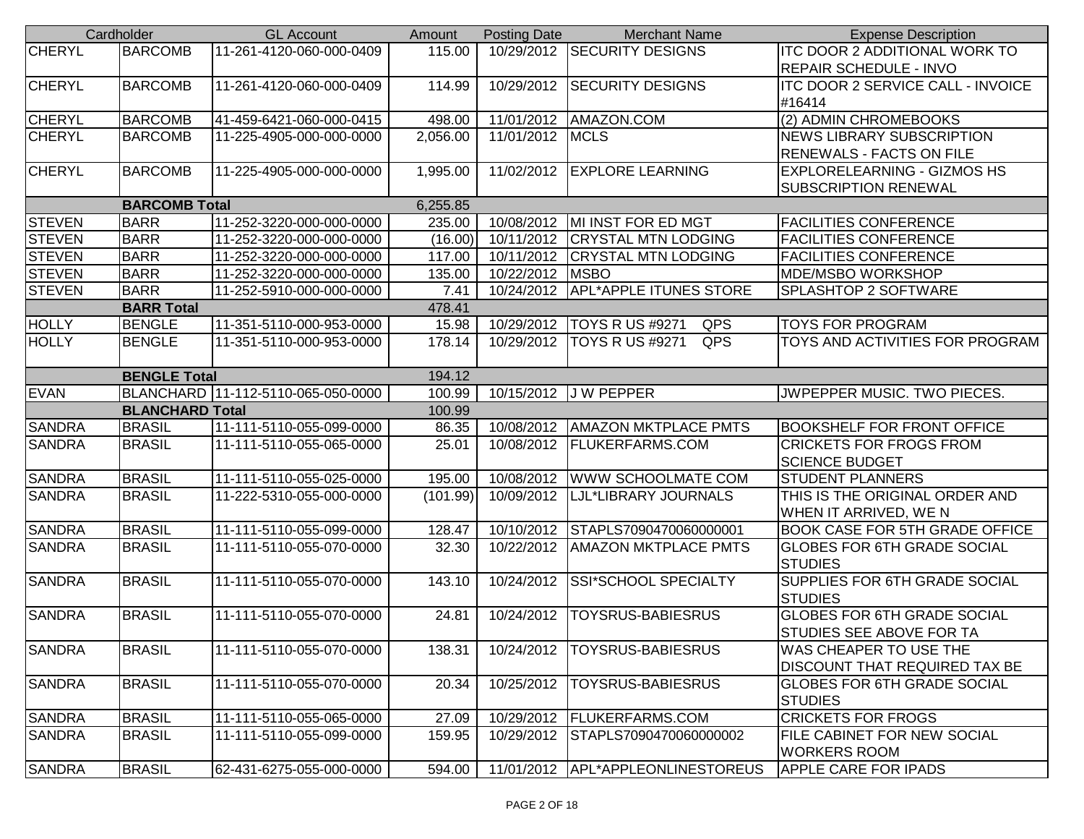|               | Cardholder             | <b>GL Account</b>                  | Amount   | <b>Posting Date</b> | <b>Merchant Name</b>                 | <b>Expense Description</b>            |
|---------------|------------------------|------------------------------------|----------|---------------------|--------------------------------------|---------------------------------------|
| <b>CHERYL</b> | <b>BARCOMB</b>         | 11-261-4120-060-000-0409           | 115.00   |                     | 10/29/2012 SECURITY DESIGNS          | <b>ITC DOOR 2 ADDITIONAL WORK TO</b>  |
|               |                        |                                    |          |                     |                                      | <b>REPAIR SCHEDULE - INVO</b>         |
| <b>CHERYL</b> | <b>BARCOMB</b>         | 11-261-4120-060-000-0409           | 114.99   | 10/29/2012          | <b>SECURITY DESIGNS</b>              | ITC DOOR 2 SERVICE CALL - INVOICE     |
|               |                        |                                    |          |                     |                                      | #16414                                |
| <b>CHERYL</b> | <b>BARCOMB</b>         | 41-459-6421-060-000-0415           | 498.00   |                     | 11/01/2012   AMAZON.COM              | (2) ADMIN CHROMEBOOKS                 |
| CHERYL        | <b>BARCOMB</b>         | 11-225-4905-000-000-0000           | 2,056.00 | 11/01/2012 MCLS     |                                      | <b>NEWS LIBRARY SUBSCRIPTION</b>      |
|               |                        |                                    |          |                     |                                      | RENEWALS - FACTS ON FILE              |
| <b>CHERYL</b> | <b>BARCOMB</b>         | 11-225-4905-000-000-0000           | 1,995.00 |                     | 11/02/2012 EXPLORE LEARNING          | <b>EXPLORELEARNING - GIZMOS HS</b>    |
|               |                        |                                    |          |                     |                                      | SUBSCRIPTION RENEWAL                  |
|               | <b>BARCOMB Total</b>   |                                    | 6,255.85 |                     |                                      |                                       |
| <b>STEVEN</b> | <b>BARR</b>            | 11-252-3220-000-000-0000           | 235.00   |                     | 10/08/2012   MI INST FOR ED MGT      | <b>FACILITIES CONFERENCE</b>          |
| <b>STEVEN</b> | <b>BARR</b>            | 11-252-3220-000-000-0000           | (16.00)  |                     | 10/11/2012 CRYSTAL MTN LODGING       | <b>FACILITIES CONFERENCE</b>          |
| <b>STEVEN</b> | <b>BARR</b>            | 11-252-3220-000-000-0000           | 117.00   | 10/11/2012          | <b>CRYSTAL MTN LODGING</b>           | <b>FACILITIES CONFERENCE</b>          |
| <b>STEVEN</b> | <b>BARR</b>            | 11-252-3220-000-000-0000           | 135.00   | 10/22/2012   MSBO   |                                      | MDE/MSBO WORKSHOP                     |
| <b>STEVEN</b> | <b>BARR</b>            | 11-252-5910-000-000-0000           | 7.41     |                     | 10/24/2012   APL*APPLE ITUNES STORE  | SPLASHTOP 2 SOFTWARE                  |
|               | <b>BARR Total</b>      |                                    | 478.41   |                     |                                      |                                       |
| <b>HOLLY</b>  | <b>BENGLE</b>          | 11-351-5110-000-953-0000           | 15.98    | 10/29/2012          | <b>TOYS R US #9271</b><br><b>QPS</b> | <b>TOYS FOR PROGRAM</b>               |
| <b>HOLLY</b>  | <b>BENGLE</b>          | 11-351-5110-000-953-0000           | 178.14   | 10/29/2012          | QPS<br><b>TOYS R US #9271</b>        | TOYS AND ACTIVITIES FOR PROGRAM       |
|               | <b>BENGLE Total</b>    |                                    | 194.12   |                     |                                      |                                       |
| <b>EVAN</b>   |                        | BLANCHARD 11-112-5110-065-050-0000 | 100.99   |                     | 10/15/2012 J W PEPPER                | JWPEPPER MUSIC. TWO PIECES.           |
|               | <b>BLANCHARD Total</b> |                                    | 100.99   |                     |                                      |                                       |
| <b>SANDRA</b> | <b>BRASIL</b>          | 11-111-5110-055-099-0000           | 86.35    |                     | 10/08/2012   AMAZON MKTPLACE PMTS    | <b>BOOKSHELF FOR FRONT OFFICE</b>     |
| <b>SANDRA</b> | <b>BRASIL</b>          | 11-111-5110-055-065-0000           | 25.01    | 10/08/2012          | <b>FLUKERFARMS.COM</b>               | <b>CRICKETS FOR FROGS FROM</b>        |
|               |                        |                                    |          |                     |                                      | <b>SCIENCE BUDGET</b>                 |
| <b>SANDRA</b> | <b>BRASIL</b>          | 11-111-5110-055-025-0000           | 195.00   | 10/08/2012          | <b>WWW SCHOOLMATE COM</b>            | <b>STUDENT PLANNERS</b>               |
| <b>SANDRA</b> | <b>BRASIL</b>          | 11-222-5310-055-000-0000           | (101.99) | 10/09/2012          | LJL*LIBRARY JOURNALS                 | THIS IS THE ORIGINAL ORDER AND        |
|               |                        |                                    |          |                     |                                      | WHEN IT ARRIVED, WE N                 |
| <b>SANDRA</b> | <b>BRASIL</b>          | 11-111-5110-055-099-0000           | 128.47   |                     | 10/10/2012 STAPLS7090470060000001    | <b>BOOK CASE FOR 5TH GRADE OFFICE</b> |
| <b>SANDRA</b> | <b>BRASIL</b>          | 11-111-5110-055-070-0000           | 32.30    | 10/22/2012          | <b>AMAZON MKTPLACE PMTS</b>          | <b>GLOBES FOR 6TH GRADE SOCIAL</b>    |
|               |                        |                                    |          |                     |                                      | <b>STUDIES</b>                        |
| <b>SANDRA</b> | <b>BRASIL</b>          | 11-111-5110-055-070-0000           | 143.10   | 10/24/2012          | SSI*SCHOOL SPECIALTY                 | SUPPLIES FOR 6TH GRADE SOCIAL         |
|               |                        |                                    |          |                     |                                      | <b>STUDIES</b>                        |
| <b>SANDRA</b> | <b>BRASIL</b>          | 11-111-5110-055-070-0000           | 24.81    | 10/24/2012          | <b>TOYSRUS-BABIESRUS</b>             | <b>GLOBES FOR 6TH GRADE SOCIAL</b>    |
|               |                        |                                    |          |                     |                                      | STUDIES SEE ABOVE FOR TA              |
| <b>SANDRA</b> | <b>BRASIL</b>          | 11-111-5110-055-070-0000           | 138.31   | 10/24/2012          | TOYSRUS-BABIESRUS                    | WAS CHEAPER TO USE THE                |
|               |                        |                                    |          |                     |                                      | DISCOUNT THAT REQUIRED TAX BE         |
| <b>SANDRA</b> | <b>BRASIL</b>          | 11-111-5110-055-070-0000           | 20.34    | 10/25/2012          | <b>TOYSRUS-BABIESRUS</b>             | <b>GLOBES FOR 6TH GRADE SOCIAL</b>    |
|               |                        |                                    |          |                     |                                      | <b>STUDIES</b>                        |
| <b>SANDRA</b> | <b>BRASIL</b>          | 11-111-5110-055-065-0000           | 27.09    |                     | 10/29/2012   FLUKERFARMS.COM         | <b>CRICKETS FOR FROGS</b>             |
| <b>SANDRA</b> | <b>BRASIL</b>          | 11-111-5110-055-099-0000           | 159.95   |                     | 10/29/2012 STAPLS7090470060000002    | FILE CABINET FOR NEW SOCIAL           |
|               |                        |                                    |          |                     |                                      | <b>WORKERS ROOM</b>                   |
| <b>SANDRA</b> | <b>BRASIL</b>          | 62-431-6275-055-000-0000           | 594.00   |                     | 11/01/2012 APL*APPLEONLINESTOREUS    | <b>APPLE CARE FOR IPADS</b>           |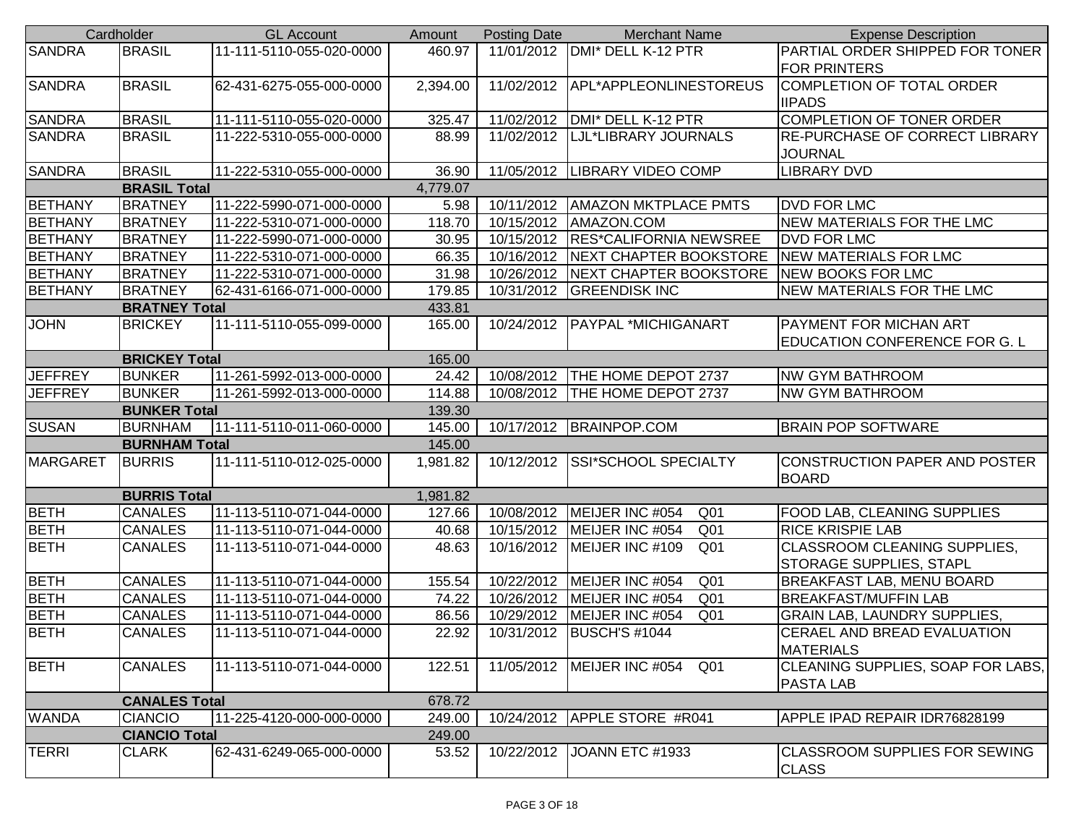|                | Cardholder           | <b>GL Account</b>        | Amount   | <b>Posting Date</b> | <b>Merchant Name</b>               | <b>Expense Description</b>                           |
|----------------|----------------------|--------------------------|----------|---------------------|------------------------------------|------------------------------------------------------|
| <b>SANDRA</b>  | <b>BRASIL</b>        | 11-111-5110-055-020-0000 | 460.97   |                     | 11/01/2012   DMI* DELL K-12 PTR    | PARTIAL ORDER SHIPPED FOR TONER                      |
|                |                      |                          |          |                     |                                    | <b>FOR PRINTERS</b>                                  |
| <b>SANDRA</b>  | <b>BRASIL</b>        | 62-431-6275-055-000-0000 | 2,394.00 | 11/02/2012          | APL*APPLEONLINESTOREUS             | COMPLETION OF TOTAL ORDER                            |
|                |                      |                          |          |                     |                                    | <b>IIPADS</b>                                        |
| <b>SANDRA</b>  | <b>BRASIL</b>        | 11-111-5110-055-020-0000 | 325.47   | 11/02/2012          | DMI* DELL K-12 PTR                 | COMPLETION OF TONER ORDER                            |
| <b>SANDRA</b>  | <b>BRASIL</b>        | 11-222-5310-055-000-0000 | 88.99    | 11/02/2012          | LJL*LIBRARY JOURNALS               | <b>RE-PURCHASE OF CORRECT LIBRARY</b>                |
|                |                      |                          |          |                     |                                    | <b>JOURNAL</b>                                       |
| <b>SANDRA</b>  | <b>BRASIL</b>        | 11-222-5310-055-000-0000 | 36.90    |                     | 11/05/2012 LIBRARY VIDEO COMP      | <b>LIBRARY DVD</b>                                   |
|                | <b>BRASIL Total</b>  |                          | 4,779.07 |                     |                                    |                                                      |
| <b>BETHANY</b> | <b>BRATNEY</b>       | 11-222-5990-071-000-0000 | 5.98     |                     | 10/11/2012   AMAZON MKTPLACE PMTS  | <b>DVD FOR LMC</b>                                   |
| <b>BETHANY</b> | <b>BRATNEY</b>       | 11-222-5310-071-000-0000 | 118.70   | 10/15/2012          | AMAZON.COM                         | <b>NEW MATERIALS FOR THE LMC</b>                     |
| <b>BETHANY</b> | <b>BRATNEY</b>       | 11-222-5990-071-000-0000 | 30.95    | 10/15/2012          | <b>RES*CALIFORNIA NEWSREE</b>      | <b>DVD FOR LMC</b>                                   |
| <b>BETHANY</b> | <b>BRATNEY</b>       | 11-222-5310-071-000-0000 | 66.35    | 10/16/2012          | <b>NEXT CHAPTER BOOKSTORE</b>      | NEW MATERIALS FOR LMC                                |
| <b>BETHANY</b> | <b>BRATNEY</b>       | 11-222-5310-071-000-0000 | 31.98    | 10/26/2012          | NEXT CHAPTER BOOKSTORE             | <b>NEW BOOKS FOR LMC</b>                             |
| <b>BETHANY</b> | <b>BRATNEY</b>       | 62-431-6166-071-000-0000 | 179.85   | 10/31/2012          | <b>GREENDISK INC</b>               | NEW MATERIALS FOR THE LMC                            |
|                | <b>BRATNEY Total</b> |                          | 433.81   |                     |                                    |                                                      |
| <b>JOHN</b>    | <b>BRICKEY</b>       | 11-111-5110-055-099-0000 | 165.00   |                     | 10/24/2012   PAYPAL *MICHIGANART   | PAYMENT FOR MICHAN ART                               |
|                |                      |                          |          |                     |                                    | <b>EDUCATION CONFERENCE FOR G. L</b>                 |
|                | <b>BRICKEY Total</b> |                          | 165.00   |                     |                                    |                                                      |
| <b>JEFFREY</b> | <b>BUNKER</b>        | 11-261-5992-013-000-0000 | 24.42    | 10/08/2012          | THE HOME DEPOT 2737                | <b>NW GYM BATHROOM</b>                               |
| <b>JEFFREY</b> | <b>BUNKER</b>        | 11-261-5992-013-000-0000 | 114.88   |                     | 10/08/2012   THE HOME DEPOT 2737   | <b>NW GYM BATHROOM</b>                               |
|                | <b>BUNKER Total</b>  |                          | 139.30   |                     |                                    |                                                      |
| <b>SUSAN</b>   | <b>BURNHAM</b>       | 11-111-5110-011-060-0000 | 145.00   |                     | 10/17/2012 BRAINPOP.COM            | <b>BRAIN POP SOFTWARE</b>                            |
|                | <b>BURNHAM Total</b> |                          | 145.00   |                     |                                    |                                                      |
| MARGARET       | <b>BURRIS</b>        | 11-111-5110-012-025-0000 | 1,981.82 | 10/12/2012          | <b>SSI*SCHOOL SPECIALTY</b>        | CONSTRUCTION PAPER AND POSTER                        |
|                |                      |                          |          |                     |                                    | <b>BOARD</b>                                         |
|                | <b>BURRIS Total</b>  |                          | 1,981.82 |                     |                                    |                                                      |
| <b>BETH</b>    | <b>CANALES</b>       | 11-113-5110-071-044-0000 | 127.66   | 10/08/2012          | MEIJER INC #054<br>Q <sub>01</sub> | FOOD LAB, CLEANING SUPPLIES                          |
| <b>BETH</b>    | <b>CANALES</b>       | 11-113-5110-071-044-0000 | 40.68    | 10/15/2012          | MEIJER INC #054<br>Q <sub>01</sub> | <b>RICE KRISPIE LAB</b>                              |
| <b>BETH</b>    | <b>CANALES</b>       | 11-113-5110-071-044-0000 | 48.63    | 10/16/2012          | Q <sub>01</sub><br>MEIJER INC #109 | CLASSROOM CLEANING SUPPLIES,                         |
|                |                      |                          |          |                     |                                    | <b>STORAGE SUPPLIES, STAPL</b>                       |
| <b>BETH</b>    | <b>CANALES</b>       | 11-113-5110-071-044-0000 | 155.54   | 10/22/2012          | MEIJER INC #054<br>Q <sub>01</sub> | BREAKFAST LAB, MENU BOARD                            |
| <b>BETH</b>    | <b>CANALES</b>       | 11-113-5110-071-044-0000 | 74.22    | 10/26/2012          | Q <sub>01</sub><br>MEIJER INC #054 | <b>BREAKFAST/MUFFIN LAB</b>                          |
| <b>BETH</b>    | <b>CANALES</b>       | 11-113-5110-071-044-0000 | 86.56    | 10/29/2012          | Q <sub>01</sub><br>MEIJER INC #054 | <b>GRAIN LAB, LAUNDRY SUPPLIES,</b>                  |
| <b>BETH</b>    | <b>CANALES</b>       | 11-113-5110-071-044-0000 | 22.92    |                     | 10/31/2012 BUSCH'S #1044           | <b>CERAEL AND BREAD EVALUATION</b>                   |
|                |                      |                          |          |                     |                                    | <b>MATERIALS</b>                                     |
| <b>BETH</b>    | <b>CANALES</b>       | 11-113-5110-071-044-0000 | 122.51   | 11/05/2012          | MEIJER INC #054<br>Q <sub>01</sub> | CLEANING SUPPLIES, SOAP FOR LABS,                    |
|                |                      |                          |          |                     |                                    | <b>PASTA LAB</b>                                     |
|                | <b>CANALES Total</b> |                          | 678.72   |                     |                                    |                                                      |
| <b>WANDA</b>   | <b>CIANCIO</b>       | 11-225-4120-000-000-0000 | 249.00   |                     | 10/24/2012   APPLE STORE #R041     | APPLE IPAD REPAIR IDR76828199                        |
|                | <b>CIANCIO Total</b> |                          | 249.00   |                     |                                    |                                                      |
| <b>TERRI</b>   | <b>CLARK</b>         | 62-431-6249-065-000-0000 | 53.52    | 10/22/2012          | JOANN ETC #1933                    | <b>CLASSROOM SUPPLIES FOR SEWING</b><br><b>CLASS</b> |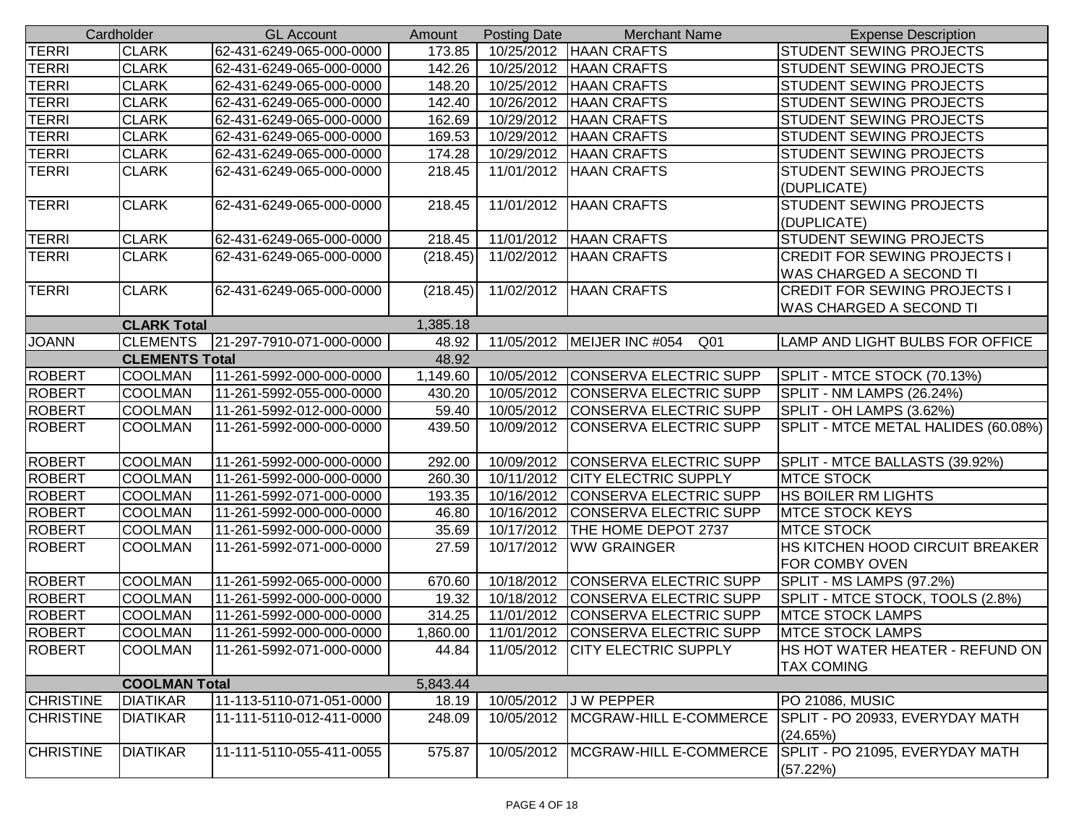|                  | Cardholder            | <b>GL Account</b>        | Amount   | <b>Posting Date</b> | <b>Merchant Name</b>                            | <b>Expense Description</b>             |
|------------------|-----------------------|--------------------------|----------|---------------------|-------------------------------------------------|----------------------------------------|
| TERRI            | <b>CLARK</b>          | 62-431-6249-065-000-0000 | 173.85   |                     | 10/25/2012 HAAN CRAFTS                          | STUDENT SEWING PROJECTS                |
| <b>TERRI</b>     | <b>CLARK</b>          | 62-431-6249-065-000-0000 | 142.26   | 10/25/2012          | <b>HAAN CRAFTS</b>                              | <b>STUDENT SEWING PROJECTS</b>         |
| <b>TERRI</b>     | <b>CLARK</b>          | 62-431-6249-065-000-0000 | 148.20   | 10/25/2012          | <b>HAAN CRAFTS</b>                              | STUDENT SEWING PROJECTS                |
| <b>TERRI</b>     | <b>CLARK</b>          | 62-431-6249-065-000-0000 | 142.40   | 10/26/2012          | <b>HAAN CRAFTS</b>                              | STUDENT SEWING PROJECTS                |
| <b>TERRI</b>     | <b>CLARK</b>          | 62-431-6249-065-000-0000 | 162.69   | 10/29/2012          | <b>HAAN CRAFTS</b>                              | <b>STUDENT SEWING PROJECTS</b>         |
| <b>TERRI</b>     | <b>CLARK</b>          | 62-431-6249-065-000-0000 | 169.53   | 10/29/2012          | <b>HAAN CRAFTS</b>                              | STUDENT SEWING PROJECTS                |
| <b>TERRI</b>     | <b>CLARK</b>          | 62-431-6249-065-000-0000 | 174.28   | 10/29/2012          | <b>HAAN CRAFTS</b>                              | STUDENT SEWING PROJECTS                |
| <b>TERRI</b>     | <b>CLARK</b>          | 62-431-6249-065-000-0000 | 218.45   | 11/01/2012          | <b>HAAN CRAFTS</b>                              | STUDENT SEWING PROJECTS                |
|                  |                       |                          |          |                     |                                                 | (DUPLICATE)                            |
| <b>TERRI</b>     | <b>CLARK</b>          | 62-431-6249-065-000-0000 | 218.45   | 11/01/2012          | <b>HAAN CRAFTS</b>                              | <b>STUDENT SEWING PROJECTS</b>         |
|                  |                       |                          |          |                     |                                                 | (DUPLICATE)                            |
| <b>TERRI</b>     | <b>CLARK</b>          | 62-431-6249-065-000-0000 | 218.45   |                     | 11/01/2012   HAAN CRAFTS                        | STUDENT SEWING PROJECTS                |
| <b>TERRI</b>     | <b>CLARK</b>          | 62-431-6249-065-000-0000 | (218.45) | 11/02/2012          | <b>HAAN CRAFTS</b>                              | <b>CREDIT FOR SEWING PROJECTS I</b>    |
|                  |                       |                          |          |                     |                                                 | WAS CHARGED A SECOND TI                |
| <b>TERRI</b>     | <b>CLARK</b>          | 62-431-6249-065-000-0000 | (218.45) | 11/02/2012          | <b>HAAN CRAFTS</b>                              | <b>CREDIT FOR SEWING PROJECTS I</b>    |
|                  |                       |                          |          |                     |                                                 | <b>WAS CHARGED A SECOND TI</b>         |
|                  | <b>CLARK Total</b>    |                          | 1,385.18 |                     |                                                 |                                        |
| <b>JOANN</b>     | <b>CLEMENTS</b>       | 21-297-7910-071-000-0000 | 48.92    |                     | 11/05/2012   MEIJER INC #054<br>Q <sub>01</sub> | LAMP AND LIGHT BULBS FOR OFFICE        |
|                  | <b>CLEMENTS Total</b> |                          | 48.92    |                     |                                                 |                                        |
| <b>ROBERT</b>    | <b>COOLMAN</b>        | 11-261-5992-000-000-0000 | 1,149.60 | 10/05/2012          | CONSERVA ELECTRIC SUPP                          | SPLIT - MTCE STOCK (70.13%)            |
| ROBERT           | <b>COOLMAN</b>        | 11-261-5992-055-000-0000 | 430.20   | 10/05/2012          | <b>CONSERVA ELECTRIC SUPP</b>                   | SPLIT - NM LAMPS (26.24%)              |
| <b>ROBERT</b>    | <b>COOLMAN</b>        | 11-261-5992-012-000-0000 | 59.40    | 10/05/2012          | <b>CONSERVA ELECTRIC SUPP</b>                   | SPLIT - OH LAMPS (3.62%)               |
| <b>ROBERT</b>    | <b>COOLMAN</b>        | 11-261-5992-000-000-0000 | 439.50   | 10/09/2012          | CONSERVA ELECTRIC SUPP                          | SPLIT - MTCE METAL HALIDES (60.08%)    |
|                  |                       |                          |          |                     |                                                 |                                        |
| <b>ROBERT</b>    | <b>COOLMAN</b>        | 11-261-5992-000-000-0000 | 292.00   | 10/09/2012          | CONSERVA ELECTRIC SUPP                          | SPLIT - MTCE BALLASTS (39.92%)         |
| <b>ROBERT</b>    | <b>COOLMAN</b>        | 11-261-5992-000-000-0000 | 260.30   | 10/11/2012          | <b>CITY ELECTRIC SUPPLY</b>                     | <b>MTCE STOCK</b>                      |
| <b>ROBERT</b>    | <b>COOLMAN</b>        | 11-261-5992-071-000-0000 | 193.35   | 10/16/2012          | <b>CONSERVA ELECTRIC SUPP</b>                   | HS BOILER RM LIGHTS                    |
| <b>ROBERT</b>    | <b>COOLMAN</b>        | 11-261-5992-000-000-0000 | 46.80    | 10/16/2012          | CONSERVA ELECTRIC SUPP                          | <b>MTCE STOCK KEYS</b>                 |
| <b>ROBERT</b>    | <b>COOLMAN</b>        | 11-261-5992-000-000-0000 | 35.69    | 10/17/2012          | THE HOME DEPOT 2737                             | <b>MTCE STOCK</b>                      |
| <b>ROBERT</b>    | <b>COOLMAN</b>        | 11-261-5992-071-000-0000 | 27.59    | 10/17/2012          | <b>WW GRAINGER</b>                              | HS KITCHEN HOOD CIRCUIT BREAKER        |
|                  |                       |                          |          |                     |                                                 | FOR COMBY OVEN                         |
| <b>ROBERT</b>    | <b>COOLMAN</b>        | 11-261-5992-065-000-0000 | 670.60   | 10/18/2012          | CONSERVA ELECTRIC SUPP                          | SPLIT - MS LAMPS (97.2%)               |
| <b>ROBERT</b>    | <b>COOLMAN</b>        | 11-261-5992-000-000-0000 | 19.32    | 10/18/2012          | CONSERVA ELECTRIC SUPP                          | SPLIT - MTCE STOCK, TOOLS (2.8%)       |
| ROBERT           | <b>COOLMAN</b>        | 11-261-5992-000-000-0000 | 314.25   | 11/01/2012          | CONSERVA ELECTRIC SUPP                          | <b>MTCE STOCK LAMPS</b>                |
| <b>ROBERT</b>    | <b>COOLMAN</b>        | 11-261-5992-000-000-0000 | 1,860.00 |                     | 11/01/2012 CONSERVA ELECTRIC SUPP               | <b>MTCE STOCK LAMPS</b>                |
| <b>ROBERT</b>    | <b>COOLMAN</b>        | 11-261-5992-071-000-0000 | 44.84    |                     | 11/05/2012 CITY ELECTRIC SUPPLY                 | <b>HS HOT WATER HEATER - REFUND ON</b> |
|                  |                       |                          |          |                     |                                                 | <b>TAX COMING</b>                      |
|                  | <b>COOLMAN Total</b>  |                          | 5,843.44 |                     |                                                 |                                        |
| <b>CHRISTINE</b> | <b>DIATIKAR</b>       | 11-113-5110-071-051-0000 | 18.19    | 10/05/2012          | J W PEPPER                                      | PO 21086, MUSIC                        |
| <b>CHRISTINE</b> | <b>DIATIKAR</b>       | 11-111-5110-012-411-0000 | 248.09   | 10/05/2012          | MCGRAW-HILL E-COMMERCE                          | SPLIT - PO 20933, EVERYDAY MATH        |
|                  |                       |                          |          |                     |                                                 | (24.65%)                               |
| <b>CHRISTINE</b> | <b>DIATIKAR</b>       | 11-111-5110-055-411-0055 | 575.87   | 10/05/2012          | MCGRAW-HILL E-COMMERCE                          | SPLIT - PO 21095, EVERYDAY MATH        |
|                  |                       |                          |          |                     |                                                 | (57.22%)                               |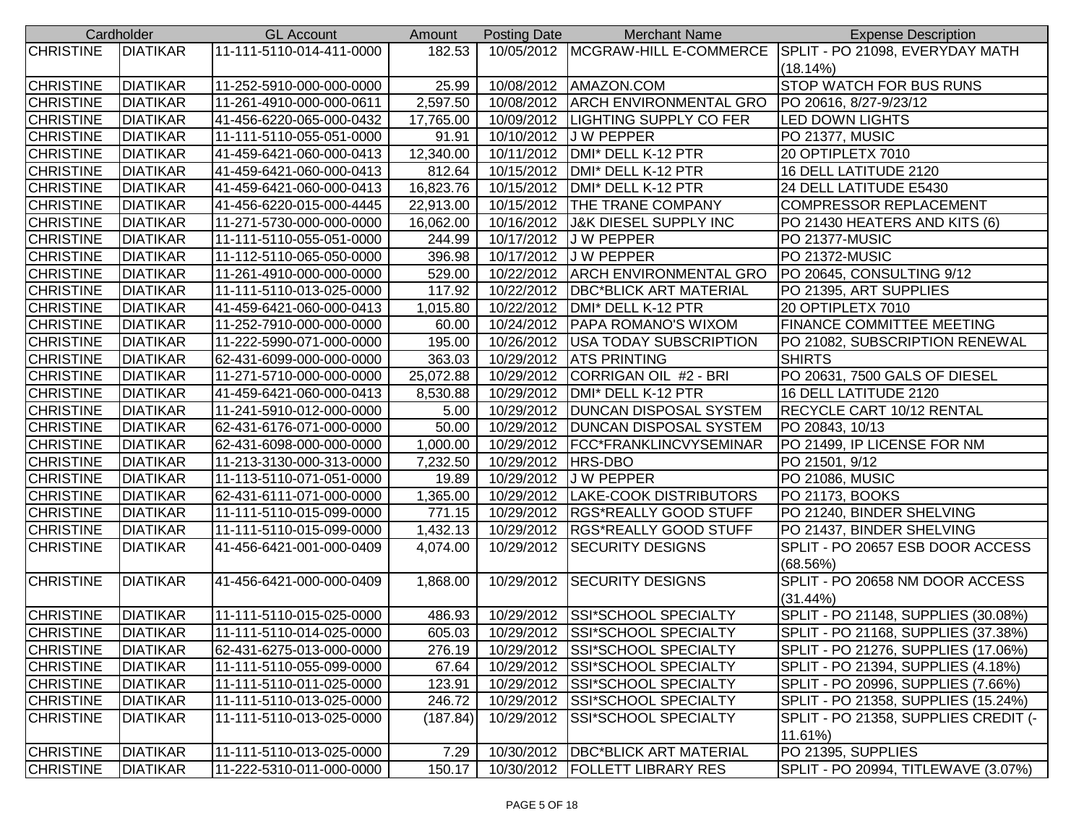|                  | Cardholder      | <b>GL Account</b>        | Amount    | Posting Date | <b>Merchant Name</b>                | <b>Expense Description</b>                                        |
|------------------|-----------------|--------------------------|-----------|--------------|-------------------------------------|-------------------------------------------------------------------|
| <b>CHRISTINE</b> | <b>DIATIKAR</b> | 11-111-5110-014-411-0000 | 182.53    |              |                                     | 10/05/2012 MCGRAW-HILL E-COMMERCE SPLIT - PO 21098, EVERYDAY MATH |
|                  |                 |                          |           |              |                                     | (18.14%)                                                          |
| <b>CHRISTINE</b> | <b>DIATIKAR</b> | 11-252-5910-000-000-0000 | 25.99     |              | 10/08/2012   AMAZON.COM             | <b>STOP WATCH FOR BUS RUNS</b>                                    |
| <b>CHRISTINE</b> | <b>DIATIKAR</b> | 11-261-4910-000-000-0611 | 2,597.50  |              | 10/08/2012 ARCH ENVIRONMENTAL GRO   | PO 20616, 8/27-9/23/12                                            |
| <b>CHRISTINE</b> | <b>DIATIKAR</b> | 41-456-6220-065-000-0432 | 17,765.00 |              | 10/09/2012  LIGHTING SUPPLY CO FER  | LED DOWN LIGHTS                                                   |
| <b>CHRISTINE</b> | <b>DIATIKAR</b> | 11-111-5110-055-051-0000 | 91.91     |              | 10/10/2012 J W PEPPER               | <b>PO 21377, MUSIC</b>                                            |
| <b>CHRISTINE</b> | <b>DIATIKAR</b> | 41-459-6421-060-000-0413 | 12,340.00 |              | 10/11/2012   DMI* DELL K-12 PTR     | 20 OPTIPLETX 7010                                                 |
| <b>CHRISTINE</b> | <b>DIATIKAR</b> | 41-459-6421-060-000-0413 | 812.64    |              | 10/15/2012 DMI* DELL K-12 PTR       | 16 DELL LATITUDE 2120                                             |
| <b>CHRISTINE</b> | <b>DIATIKAR</b> | 41-459-6421-060-000-0413 | 16,823.76 | 10/15/2012   | DMI* DELL K-12 PTR                  | 24 DELL LATITUDE E5430                                            |
| <b>CHRISTINE</b> | <b>DIATIKAR</b> | 41-456-6220-015-000-4445 | 22,913.00 | 10/15/2012   | <b>THE TRANE COMPANY</b>            | <b>COMPRESSOR REPLACEMENT</b>                                     |
| <b>CHRISTINE</b> | <b>DIATIKAR</b> | 11-271-5730-000-000-0000 | 16,062.00 | 10/16/2012   | <b>J&amp;K DIESEL SUPPLY INC</b>    | PO 21430 HEATERS AND KITS (6)                                     |
| <b>CHRISTINE</b> | <b>DIATIKAR</b> | 11-111-5110-055-051-0000 | 244.99    | 10/17/2012   | <b>JW PEPPER</b>                    | PO 21377-MUSIC                                                    |
| <b>CHRISTINE</b> | <b>DIATIKAR</b> | 11-112-5110-065-050-0000 | 396.98    | 10/17/2012   | J W PEPPER                          | PO 21372-MUSIC                                                    |
| <b>CHRISTINE</b> | <b>DIATIKAR</b> | 11-261-4910-000-000-0000 | 529.00    | 10/22/2012   | <b>ARCH ENVIRONMENTAL GRO</b>       | PO 20645, CONSULTING 9/12                                         |
| <b>CHRISTINE</b> | <b>DIATIKAR</b> | 11-111-5110-013-025-0000 | 117.92    | 10/22/2012   | <b>DBC*BLICK ART MATERIAL</b>       | PO 21395, ART SUPPLIES                                            |
| <b>CHRISTINE</b> | <b>DIATIKAR</b> | 41-459-6421-060-000-0413 | 1,015.80  | 10/22/2012   | DMI* DELL K-12 PTR                  | 20 OPTIPLETX 7010                                                 |
| <b>CHRISTINE</b> | <b>DIATIKAR</b> | 11-252-7910-000-000-0000 | 60.00     |              | 10/24/2012   PAPA ROMANO'S WIXOM    | <b>FINANCE COMMITTEE MEETING</b>                                  |
| <b>CHRISTINE</b> | <b>DIATIKAR</b> | 11-222-5990-071-000-0000 | 195.00    | 10/26/2012   | <b>USA TODAY SUBSCRIPTION</b>       | PO 21082, SUBSCRIPTION RENEWAL                                    |
| <b>CHRISTINE</b> | <b>DIATIKAR</b> | 62-431-6099-000-000-0000 | 363.03    | 10/29/2012   | <b>ATS PRINTING</b>                 | <b>SHIRTS</b>                                                     |
| <b>CHRISTINE</b> | <b>DIATIKAR</b> | 11-271-5710-000-000-0000 | 25,072.88 |              | 10/29/2012 CORRIGAN OIL #2 - BRI    | PO 20631, 7500 GALS OF DIESEL                                     |
| <b>CHRISTINE</b> | <b>DIATIKAR</b> | 41-459-6421-060-000-0413 | 8,530.88  | 10/29/2012   | DMI* DELL K-12 PTR                  | 16 DELL LATITUDE 2120                                             |
| <b>CHRISTINE</b> | <b>DIATIKAR</b> | 11-241-5910-012-000-0000 | 5.00      |              | 10/29/2012   DUNCAN DISPOSAL SYSTEM | <b>RECYCLE CART 10/12 RENTAL</b>                                  |
| <b>CHRISTINE</b> | <b>DIATIKAR</b> | 62-431-6176-071-000-0000 | 50.00     | 10/29/2012   | <b>DUNCAN DISPOSAL SYSTEM</b>       | PO 20843, 10/13                                                   |
| <b>CHRISTINE</b> | <b>DIATIKAR</b> | 62-431-6098-000-000-0000 | 1,000.00  | 10/29/2012   | FCC*FRANKLINCVYSEMINAR              | PO 21499, IP LICENSE FOR NM                                       |
| <b>CHRISTINE</b> | <b>DIATIKAR</b> | 11-213-3130-000-313-0000 | 7,232.50  | 10/29/2012   | <b>HRS-DBO</b>                      | PO 21501, 9/12                                                    |
| <b>CHRISTINE</b> | <b>DIATIKAR</b> | 11-113-5110-071-051-0000 | 19.89     | 10/29/2012   | J W PEPPER                          | PO 21086, MUSIC                                                   |
| <b>CHRISTINE</b> | <b>DIATIKAR</b> | 62-431-6111-071-000-0000 | 1,365.00  | 10/29/2012   | LAKE-COOK DISTRIBUTORS              | PO 21173, BOOKS                                                   |
| <b>CHRISTINE</b> | <b>DIATIKAR</b> | 11-111-5110-015-099-0000 | 771.15    | 10/29/2012   | <b>RGS*REALLY GOOD STUFF</b>        | PO 21240, BINDER SHELVING                                         |
| <b>CHRISTINE</b> | <b>DIATIKAR</b> | 11-111-5110-015-099-0000 | 1,432.13  |              | 10/29/2012  RGS*REALLY GOOD STUFF   | PO 21437, BINDER SHELVING                                         |
| <b>CHRISTINE</b> | <b>DIATIKAR</b> | 41-456-6421-001-000-0409 | 4,074.00  | 10/29/2012   | <b>SECURITY DESIGNS</b>             | SPLIT - PO 20657 ESB DOOR ACCESS                                  |
|                  |                 |                          |           |              |                                     | (68.56%)                                                          |
| <b>CHRISTINE</b> | <b>DIATIKAR</b> | 41-456-6421-000-000-0409 | 1,868.00  |              | 10/29/2012 SECURITY DESIGNS         | SPLIT - PO 20658 NM DOOR ACCESS                                   |
|                  |                 |                          |           |              |                                     | (31.44%)                                                          |
| <b>CHRISTINE</b> | <b>DIATIKAR</b> | 11-111-5110-015-025-0000 | 486.93    |              | 10/29/2012 SSI*SCHOOL SPECIALTY     | SPLIT - PO 21148, SUPPLIES (30.08%)                               |
| <b>CHRISTINE</b> | <b>DIATIKAR</b> | 11-111-5110-014-025-0000 | 605.03    |              | 10/29/2012 SSI*SCHOOL SPECIALTY     | SPLIT - PO 21168, SUPPLIES (37.38%)                               |
| <b>CHRISTINE</b> | DIATIKAR        | 62-431-6275-013-000-0000 | 276.19    |              | 10/29/2012 SSI*SCHOOL SPECIALTY     | SPLIT - PO 21276, SUPPLIES (17.06%)                               |
| <b>CHRISTINE</b> | <b>DIATIKAR</b> | 11-111-5110-055-099-0000 | 67.64     |              | 10/29/2012 SSI*SCHOOL SPECIALTY     | SPLIT - PO 21394, SUPPLIES (4.18%)                                |
| <b>CHRISTINE</b> | <b>DIATIKAR</b> | 11-111-5110-011-025-0000 | 123.91    |              | 10/29/2012 SSI*SCHOOL SPECIALTY     | SPLIT - PO 20996, SUPPLIES (7.66%)                                |
| <b>CHRISTINE</b> | <b>DIATIKAR</b> | 11-111-5110-013-025-0000 | 246.72    |              | 10/29/2012 SSI*SCHOOL SPECIALTY     | SPLIT - PO 21358, SUPPLIES (15.24%)                               |
| <b>CHRISTINE</b> | <b>DIATIKAR</b> | 11-111-5110-013-025-0000 | (187.84)  | 10/29/2012   | <b>SSI*SCHOOL SPECIALTY</b>         | SPLIT - PO 21358, SUPPLIES CREDIT (-                              |
|                  |                 |                          |           |              |                                     | 11.61%)                                                           |
| <b>CHRISTINE</b> | <b>DIATIKAR</b> | 11-111-5110-013-025-0000 | 7.29      |              | 10/30/2012   DBC*BLICK ART MATERIAL | PO 21395, SUPPLIES                                                |
| <b>CHRISTINE</b> | <b>DIATIKAR</b> | 11-222-5310-011-000-0000 | 150.17    | 10/30/2012   | <b>FOLLETT LIBRARY RES</b>          | SPLIT - PO 20994, TITLEWAVE (3.07%)                               |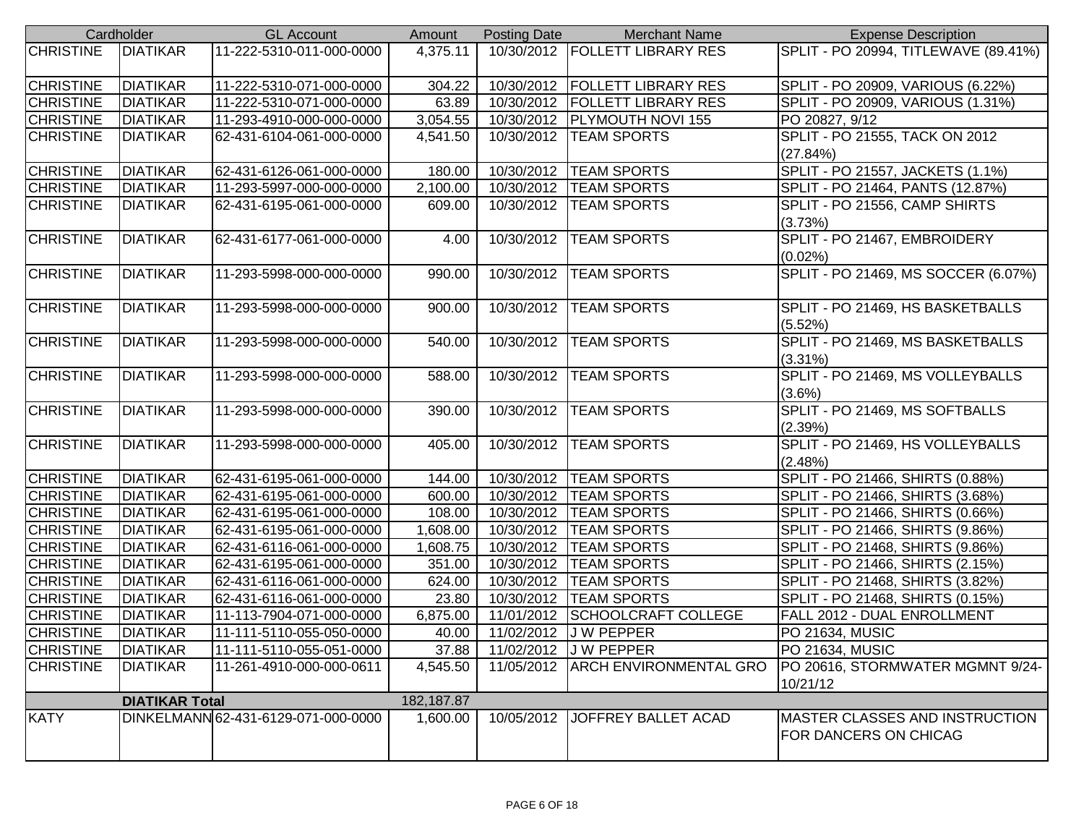|                  | Cardholder            | <b>GL Account</b>                   | Amount                | <b>Posting Date</b> | <b>Merchant Name</b>             | <b>Expense Description</b>             |
|------------------|-----------------------|-------------------------------------|-----------------------|---------------------|----------------------------------|----------------------------------------|
| <b>CHRISTINE</b> | <b>DIATIKAR</b>       | 11-222-5310-011-000-0000            | 4,375.11              |                     | 10/30/2012   FOLLETT LIBRARY RES | SPLIT - PO 20994, TITLEWAVE (89.41%)   |
|                  |                       |                                     |                       |                     |                                  |                                        |
| <b>CHRISTINE</b> | <b>DIATIKAR</b>       | 11-222-5310-071-000-0000            | 304.22                | 10/30/2012          | <b>FOLLETT LIBRARY RES</b>       | SPLIT - PO 20909, VARIOUS (6.22%)      |
| <b>CHRISTINE</b> | <b>DIATIKAR</b>       | 11-222-5310-071-000-0000            | 63.89                 | 10/30/2012          | <b>FOLLETT LIBRARY RES</b>       | SPLIT - PO 20909, VARIOUS (1.31%)      |
| <b>CHRISTINE</b> | <b>DIATIKAR</b>       | 11-293-4910-000-000-0000            | $\overline{3,}054.55$ | 10/30/2012          | <b>PLYMOUTH NOVI 155</b>         | PO 20827, 9/12                         |
| <b>CHRISTINE</b> | <b>DIATIKAR</b>       | 62-431-6104-061-000-0000            | 4,541.50              | 10/30/2012          | <b>TEAM SPORTS</b>               | SPLIT - PO 21555, TACK ON 2012         |
|                  |                       |                                     |                       |                     |                                  | (27.84%)                               |
| <b>CHRISTINE</b> | <b>DIATIKAR</b>       | 62-431-6126-061-000-0000            | 180.00                | 10/30/2012          | <b>TEAM SPORTS</b>               | SPLIT - PO 21557, JACKETS (1.1%)       |
| <b>CHRISTINE</b> | <b>DIATIKAR</b>       | 11-293-5997-000-000-0000            | 2,100.00              | 10/30/2012          | <b>TEAM SPORTS</b>               | SPLIT - PO 21464, PANTS (12.87%)       |
| <b>CHRISTINE</b> | <b>DIATIKAR</b>       | 62-431-6195-061-000-0000            | 609.00                | 10/30/2012          | <b>TEAM SPORTS</b>               | SPLIT - PO 21556, CAMP SHIRTS          |
|                  |                       |                                     |                       |                     |                                  | (3.73%)                                |
| <b>CHRISTINE</b> | <b>DIATIKAR</b>       | 62-431-6177-061-000-0000            | 4.00                  | 10/30/2012          | <b>TEAM SPORTS</b>               | SPLIT - PO 21467, EMBROIDERY           |
|                  |                       |                                     |                       |                     |                                  | $(0.02\%)$                             |
| <b>CHRISTINE</b> | <b>DIATIKAR</b>       | 11-293-5998-000-000-0000            | 990.00                | 10/30/2012          | <b>TEAM SPORTS</b>               | SPLIT - PO 21469, MS SOCCER (6.07%)    |
|                  |                       |                                     |                       |                     |                                  |                                        |
| <b>CHRISTINE</b> | <b>DIATIKAR</b>       | 11-293-5998-000-000-0000            | 900.00                | 10/30/2012          | <b>TEAM SPORTS</b>               | SPLIT - PO 21469, HS BASKETBALLS       |
|                  |                       |                                     |                       |                     |                                  | (5.52%)                                |
| <b>CHRISTINE</b> | <b>DIATIKAR</b>       | 11-293-5998-000-000-0000            | 540.00                | 10/30/2012          | <b>TEAM SPORTS</b>               | SPLIT - PO 21469, MS BASKETBALLS       |
|                  |                       |                                     |                       |                     |                                  | $(3.31\%)$                             |
| <b>CHRISTINE</b> | <b>DIATIKAR</b>       | 11-293-5998-000-000-0000            | 588.00                | 10/30/2012          | <b>TEAM SPORTS</b>               | SPLIT - PO 21469, MS VOLLEYBALLS       |
|                  |                       |                                     |                       |                     |                                  | $(3.6\%)$                              |
| <b>CHRISTINE</b> | <b>DIATIKAR</b>       | 11-293-5998-000-000-0000            | 390.00                | 10/30/2012          | <b>TEAM SPORTS</b>               | SPLIT - PO 21469, MS SOFTBALLS         |
|                  |                       |                                     |                       |                     |                                  | (2.39%)                                |
| <b>CHRISTINE</b> | <b>DIATIKAR</b>       | 11-293-5998-000-000-0000            | 405.00                | 10/30/2012          | <b>TEAM SPORTS</b>               | SPLIT - PO 21469, HS VOLLEYBALLS       |
|                  |                       |                                     |                       |                     |                                  | (2.48%)                                |
| <b>CHRISTINE</b> | <b>DIATIKAR</b>       | 62-431-6195-061-000-0000            | 144.00                | 10/30/2012          | <b>TEAM SPORTS</b>               | SPLIT - PO 21466, SHIRTS (0.88%)       |
| <b>CHRISTINE</b> | <b>DIATIKAR</b>       | 62-431-6195-061-000-0000            | 600.00                | 10/30/2012          | <b>TEAM SPORTS</b>               | SPLIT - PO 21466, SHIRTS (3.68%)       |
| <b>CHRISTINE</b> | <b>DIATIKAR</b>       | 62-431-6195-061-000-0000            | 108.00                | 10/30/2012          | <b>TEAM SPORTS</b>               | SPLIT - PO 21466, SHIRTS (0.66%)       |
| <b>CHRISTINE</b> | <b>DIATIKAR</b>       | 62-431-6195-061-000-0000            | 1,608.00              | 10/30/2012          | <b>TEAM SPORTS</b>               | SPLIT - PO 21466, SHIRTS (9.86%)       |
| <b>CHRISTINE</b> | <b>DIATIKAR</b>       | 62-431-6116-061-000-0000            | 1,608.75              | 10/30/2012          | <b>TEAM SPORTS</b>               | SPLIT - PO 21468, SHIRTS (9.86%)       |
| <b>CHRISTINE</b> | <b>DIATIKAR</b>       | 62-431-6195-061-000-0000            | 351.00                |                     | 10/30/2012   TEAM SPORTS         | SPLIT - PO 21466, SHIRTS (2.15%)       |
| <b>CHRISTINE</b> | <b>DIATIKAR</b>       | 62-431-6116-061-000-0000            | 624.00                | 10/30/2012          | <b>TEAM SPORTS</b>               | SPLIT - PO 21468, SHIRTS (3.82%)       |
| <b>CHRISTINE</b> | <b>DIATIKAR</b>       | 62-431-6116-061-000-0000            | 23.80                 | 10/30/2012          | <b>TEAM SPORTS</b>               | SPLIT - PO 21468, SHIRTS (0.15%)       |
| <b>CHRISTINE</b> | <b>DIATIKAR</b>       | 11-113-7904-071-000-0000            | 6,875.00              | 11/01/2012          | SCHOOLCRAFT COLLEGE              | FALL 2012 - DUAL ENROLLMENT            |
| <b>CHRISTINE</b> | <b>DIATIKAR</b>       | 11-111-5110-055-050-0000            | 40.00                 |                     | 11/02/2012 J W PEPPER            | PO 21634, MUSIC                        |
| <b>CHRISTINE</b> | <b>DIATIKAR</b>       | 11-111-5110-055-051-0000            | 37.88                 |                     | 11/02/2012 J W PEPPER            | <b>PO 21634, MUSIC</b>                 |
| <b>CHRISTINE</b> | <b>DIATIKAR</b>       | 11-261-4910-000-000-0611            | 4,545.50              | 11/05/2012          | <b>ARCH ENVIRONMENTAL GRO</b>    | PO 20616, STORMWATER MGMNT 9/24-       |
|                  |                       |                                     |                       |                     |                                  | 10/21/12                               |
|                  | <b>DIATIKAR Total</b> |                                     | 182, 187.87           |                     |                                  |                                        |
| <b>KATY</b>      |                       | DINKELMANN 62-431-6129-071-000-0000 | 1,600.00              | 10/05/2012          | JOFFREY BALLET ACAD              | <b>IMASTER CLASSES AND INSTRUCTION</b> |
|                  |                       |                                     |                       |                     |                                  | <b>FOR DANCERS ON CHICAG</b>           |
|                  |                       |                                     |                       |                     |                                  |                                        |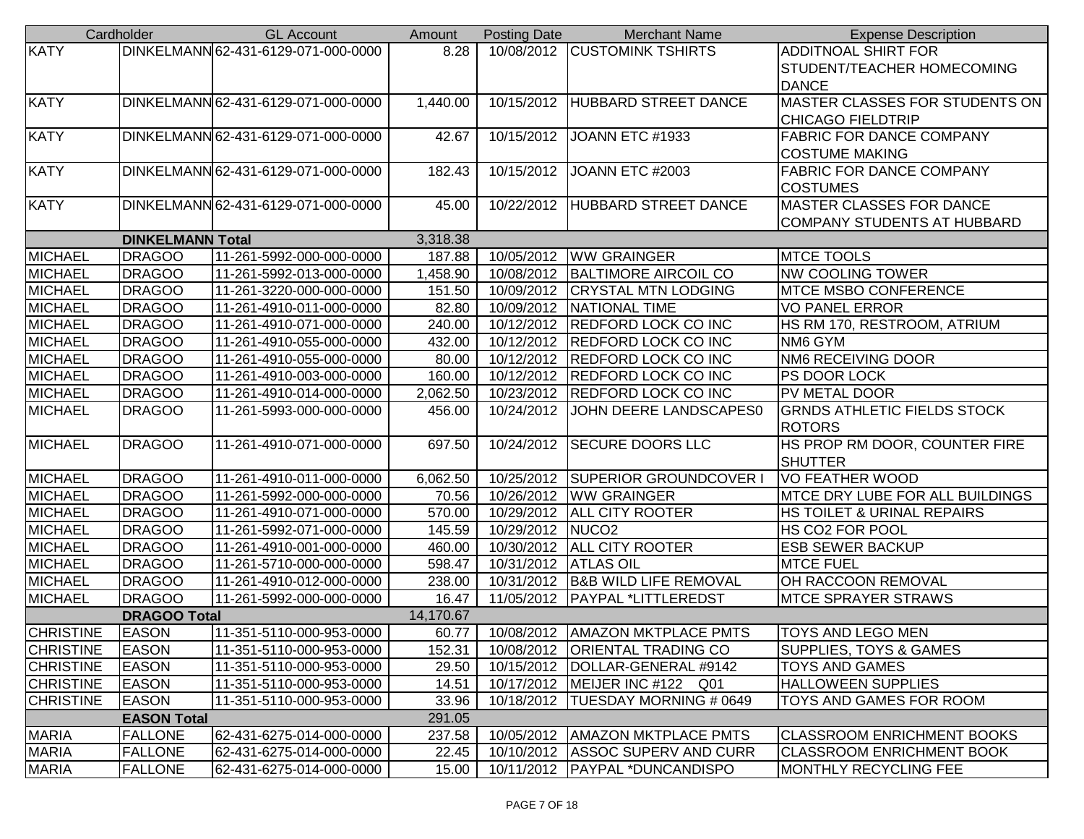| DINKELMANN 62-431-6129-071-000-0000<br>10/08/2012 CUSTOMINK TSHIRTS<br>8.28<br><b>ADDITNOAL SHIRT FOR</b><br>STUDENT/TEACHER HOMECOMING<br><b>DANCE</b><br><b>MASTER CLASSES FOR STUDENTS ON</b><br>DINKELMANN 62-431-6129-071-000-0000<br>1,440.00<br><b>HUBBARD STREET DANCE</b><br>10/15/2012<br><b>CHICAGO FIELDTRIP</b><br>DINKELMANN 62-431-6129-071-000-0000<br>JOANN ETC #1933<br><b>FABRIC FOR DANCE COMPANY</b><br>42.67<br>10/15/2012<br><b>COSTUME MAKING</b><br>DINKELMANN 62-431-6129-071-000-0000<br>182.43<br>10/15/2012<br>JOANN ETC #2003<br><b>FABRIC FOR DANCE COMPANY</b><br><b>COSTUMES</b><br>MASTER CLASSES FOR DANCE<br>DINKELMANN 62-431-6129-071-000-0000<br>10/22/2012<br><b>HUBBARD STREET DANCE</b><br>45.00<br><b>COMPANY STUDENTS AT HUBBARD</b><br><b>DINKELMANN Total</b><br>3,318.38<br><b>DRAGOO</b><br><b>WW GRAINGER</b><br>11-261-5992-000-000-0000<br>187.88<br>10/05/2012<br><b>MTCE TOOLS</b><br><b>NW COOLING TOWER</b><br><b>DRAGOO</b><br>1,458.90<br>10/08/2012<br><b>BALTIMORE AIRCOIL CO</b><br>11-261-5992-013-000-0000<br><b>DRAGOO</b><br>151.50<br>10/09/2012<br><b>CRYSTAL MTN LODGING</b><br><b>MTCE MSBO CONFERENCE</b><br>11-261-3220-000-000-0000<br><b>DRAGOO</b><br>82.80<br>10/09/2012<br>NATIONAL TIME<br><b>VO PANEL ERROR</b><br>11-261-4910-011-000-0000<br><b>DRAGOO</b><br>11-261-4910-071-000-0000<br>240.00<br>10/12/2012<br><b>REDFORD LOCK CO INC</b><br>HS RM 170, RESTROOM, ATRIUM<br>10/12/2012<br><b>REDFORD LOCK CO INC</b><br><b>DRAGOO</b><br>11-261-4910-055-000-0000<br>432.00<br>NM6 GYM<br>10/12/2012<br>NM6 RECEIVING DOOR<br><b>DRAGOO</b><br>80.00<br><b>REDFORD LOCK CO INC</b><br>11-261-4910-055-000-0000<br>10/12/2012<br><b>REDFORD LOCK CO INC</b><br><b>DRAGOO</b><br>11-261-4910-003-000-0000<br>160.00<br>PS DOOR LOCK<br><b>DRAGOO</b><br>2,062.50<br>10/23/2012 REDFORD LOCK CO INC<br>PV METAL DOOR<br>11-261-4910-014-000-0000<br>JOHN DEERE LANDSCAPES0<br><b>GRNDS ATHLETIC FIELDS STOCK</b><br><b>DRAGOO</b><br>10/24/2012<br>11-261-5993-000-000-0000<br>456.00<br><b>ROTORS</b><br><b>DRAGOO</b><br>10/24/2012<br><b>SECURE DOORS LLC</b><br>HS PROP RM DOOR, COUNTER FIRE<br>11-261-4910-071-000-0000<br>697.50<br><b>SHUTTER</b><br><b>DRAGOO</b><br><b>SUPERIOR GROUNDCOVER I</b><br><b>VO FEATHER WOOD</b><br>11-261-4910-011-000-0000<br>6,062.50<br>10/25/2012<br><b>DRAGOO</b><br>10/26/2012<br><b>WW GRAINGER</b><br>MTCE DRY LUBE FOR ALL BUILDINGS<br>11-261-5992-000-000-0000<br>70.56<br><b>DRAGOO</b><br>10/29/2012<br><b>ALL CITY ROOTER</b><br>HS TOILET & URINAL REPAIRS<br>11-261-4910-071-000-0000<br>570.00<br><b>DRAGOO</b><br>145.59<br>10/29/2012<br>NUCO <sub>2</sub><br>HS CO2 FOR POOL<br>11-261-5992-071-000-0000<br><b>MICHAEL</b><br><b>DRAGOO</b><br>10/30/2012   ALL CITY ROOTER<br>11-261-4910-001-000-0000<br>460.00<br><b>ESB SEWER BACKUP</b><br><b>DRAGOO</b><br>10/31/2012 ATLAS OIL<br><b>MTCE FUEL</b><br>11-261-5710-000-000-0000<br>598.47<br><b>B&amp;B WILD LIFE REMOVAL</b><br>OH RACCOON REMOVAL<br><b>DRAGOO</b><br>10/31/2012<br>11-261-4910-012-000-0000<br>238.00<br>11/05/2012 PAYPAL *LITTLEREDST<br><b>DRAGOO</b><br>16.47<br><b>MTCE SPRAYER STRAWS</b><br>11-261-5992-000-000-0000<br>14,170.67<br><b>DRAGOO Total</b><br><b>EASON</b><br>11-351-5110-000-953-0000<br>60.77<br>10/08/2012   AMAZON MKTPLACE PMTS<br>TOYS AND LEGO MEN<br><b>EASON</b><br>152.31<br>10/08/2012 ORIENTAL TRADING CO<br><b>SUPPLIES, TOYS &amp; GAMES</b><br>11-351-5110-000-953-0000<br><b>CHRISTINE</b><br><b>EASON</b><br>11-351-5110-000-953-0000<br>29.50<br>10/15/2012<br>DOLLAR-GENERAL #9142<br><b>TOYS AND GAMES</b><br><b>CHRISTINE</b><br><b>EASON</b><br><b>HALLOWEEN SUPPLIES</b><br>11-351-5110-000-953-0000<br>14.51<br>10/17/2012   MEIJER INC #122 Q01<br><b>CHRISTINE</b><br><b>EASON</b><br>10/18/2012   TUESDAY MORNING # 0649<br>11-351-5110-000-953-0000<br>33.96<br>TOYS AND GAMES FOR ROOM<br>291.05<br><b>EASON Total</b><br>237.58<br><b>FALLONE</b><br>62-431-6275-014-000-0000<br>10/05/2012   AMAZON MKTPLACE PMTS<br> CLASSROOM ENRICHMENT BOOKS<br><b>MARIA</b><br><b>FALLONE</b><br>62-431-6275-014-000-0000<br>22.45<br>10/10/2012 ASSOC SUPERV AND CURR<br><b>CLASSROOM ENRICHMENT BOOK</b><br>10/11/2012   PAYPAL *DUNCANDISPO |                  | Cardholder     | <b>GL Account</b>        | Amount | <b>Posting Date</b> | <b>Merchant Name</b> | <b>Expense Description</b>   |
|-----------------------------------------------------------------------------------------------------------------------------------------------------------------------------------------------------------------------------------------------------------------------------------------------------------------------------------------------------------------------------------------------------------------------------------------------------------------------------------------------------------------------------------------------------------------------------------------------------------------------------------------------------------------------------------------------------------------------------------------------------------------------------------------------------------------------------------------------------------------------------------------------------------------------------------------------------------------------------------------------------------------------------------------------------------------------------------------------------------------------------------------------------------------------------------------------------------------------------------------------------------------------------------------------------------------------------------------------------------------------------------------------------------------------------------------------------------------------------------------------------------------------------------------------------------------------------------------------------------------------------------------------------------------------------------------------------------------------------------------------------------------------------------------------------------------------------------------------------------------------------------------------------------------------------------------------------------------------------------------------------------------------------------------------------------------------------------------------------------------------------------------------------------------------------------------------------------------------------------------------------------------------------------------------------------------------------------------------------------------------------------------------------------------------------------------------------------------------------------------------------------------------------------------------------------------------------------------------------------------------------------------------------------------------------------------------------------------------------------------------------------------------------------------------------------------------------------------------------------------------------------------------------------------------------------------------------------------------------------------------------------------------------------------------------------------------------------------------------------------------------------------------------------------------------------------------------------------------------------------------------------------------------------------------------------------------------------------------------------------------------------------------------------------------------------------------------------------------------------------------------------------------------------------------------------------------------------------------------------------------------------------------------------------------------------------------------------------------------------------------------------------------------------------------------------------------------------------------------------------------------------------------------------------------------------------------------------------------------------------------------------------------------------------------------------------------------------------------------------------------------------------------------------------------------------------------------------------------------------------------------------------------------------------------------------|------------------|----------------|--------------------------|--------|---------------------|----------------------|------------------------------|
|                                                                                                                                                                                                                                                                                                                                                                                                                                                                                                                                                                                                                                                                                                                                                                                                                                                                                                                                                                                                                                                                                                                                                                                                                                                                                                                                                                                                                                                                                                                                                                                                                                                                                                                                                                                                                                                                                                                                                                                                                                                                                                                                                                                                                                                                                                                                                                                                                                                                                                                                                                                                                                                                                                                                                                                                                                                                                                                                                                                                                                                                                                                                                                                                                                                                                                                                                                                                                                                                                                                                                                                                                                                                                                                                                                                                                                                                                                                                                                                                                                                                                                                                                                                                                                                                                                           | <b>KATY</b>      |                |                          |        |                     |                      |                              |
|                                                                                                                                                                                                                                                                                                                                                                                                                                                                                                                                                                                                                                                                                                                                                                                                                                                                                                                                                                                                                                                                                                                                                                                                                                                                                                                                                                                                                                                                                                                                                                                                                                                                                                                                                                                                                                                                                                                                                                                                                                                                                                                                                                                                                                                                                                                                                                                                                                                                                                                                                                                                                                                                                                                                                                                                                                                                                                                                                                                                                                                                                                                                                                                                                                                                                                                                                                                                                                                                                                                                                                                                                                                                                                                                                                                                                                                                                                                                                                                                                                                                                                                                                                                                                                                                                                           |                  |                |                          |        |                     |                      |                              |
|                                                                                                                                                                                                                                                                                                                                                                                                                                                                                                                                                                                                                                                                                                                                                                                                                                                                                                                                                                                                                                                                                                                                                                                                                                                                                                                                                                                                                                                                                                                                                                                                                                                                                                                                                                                                                                                                                                                                                                                                                                                                                                                                                                                                                                                                                                                                                                                                                                                                                                                                                                                                                                                                                                                                                                                                                                                                                                                                                                                                                                                                                                                                                                                                                                                                                                                                                                                                                                                                                                                                                                                                                                                                                                                                                                                                                                                                                                                                                                                                                                                                                                                                                                                                                                                                                                           |                  |                |                          |        |                     |                      |                              |
|                                                                                                                                                                                                                                                                                                                                                                                                                                                                                                                                                                                                                                                                                                                                                                                                                                                                                                                                                                                                                                                                                                                                                                                                                                                                                                                                                                                                                                                                                                                                                                                                                                                                                                                                                                                                                                                                                                                                                                                                                                                                                                                                                                                                                                                                                                                                                                                                                                                                                                                                                                                                                                                                                                                                                                                                                                                                                                                                                                                                                                                                                                                                                                                                                                                                                                                                                                                                                                                                                                                                                                                                                                                                                                                                                                                                                                                                                                                                                                                                                                                                                                                                                                                                                                                                                                           | <b>KATY</b>      |                |                          |        |                     |                      |                              |
|                                                                                                                                                                                                                                                                                                                                                                                                                                                                                                                                                                                                                                                                                                                                                                                                                                                                                                                                                                                                                                                                                                                                                                                                                                                                                                                                                                                                                                                                                                                                                                                                                                                                                                                                                                                                                                                                                                                                                                                                                                                                                                                                                                                                                                                                                                                                                                                                                                                                                                                                                                                                                                                                                                                                                                                                                                                                                                                                                                                                                                                                                                                                                                                                                                                                                                                                                                                                                                                                                                                                                                                                                                                                                                                                                                                                                                                                                                                                                                                                                                                                                                                                                                                                                                                                                                           |                  |                |                          |        |                     |                      |                              |
|                                                                                                                                                                                                                                                                                                                                                                                                                                                                                                                                                                                                                                                                                                                                                                                                                                                                                                                                                                                                                                                                                                                                                                                                                                                                                                                                                                                                                                                                                                                                                                                                                                                                                                                                                                                                                                                                                                                                                                                                                                                                                                                                                                                                                                                                                                                                                                                                                                                                                                                                                                                                                                                                                                                                                                                                                                                                                                                                                                                                                                                                                                                                                                                                                                                                                                                                                                                                                                                                                                                                                                                                                                                                                                                                                                                                                                                                                                                                                                                                                                                                                                                                                                                                                                                                                                           | <b>KATY</b>      |                |                          |        |                     |                      |                              |
|                                                                                                                                                                                                                                                                                                                                                                                                                                                                                                                                                                                                                                                                                                                                                                                                                                                                                                                                                                                                                                                                                                                                                                                                                                                                                                                                                                                                                                                                                                                                                                                                                                                                                                                                                                                                                                                                                                                                                                                                                                                                                                                                                                                                                                                                                                                                                                                                                                                                                                                                                                                                                                                                                                                                                                                                                                                                                                                                                                                                                                                                                                                                                                                                                                                                                                                                                                                                                                                                                                                                                                                                                                                                                                                                                                                                                                                                                                                                                                                                                                                                                                                                                                                                                                                                                                           |                  |                |                          |        |                     |                      |                              |
|                                                                                                                                                                                                                                                                                                                                                                                                                                                                                                                                                                                                                                                                                                                                                                                                                                                                                                                                                                                                                                                                                                                                                                                                                                                                                                                                                                                                                                                                                                                                                                                                                                                                                                                                                                                                                                                                                                                                                                                                                                                                                                                                                                                                                                                                                                                                                                                                                                                                                                                                                                                                                                                                                                                                                                                                                                                                                                                                                                                                                                                                                                                                                                                                                                                                                                                                                                                                                                                                                                                                                                                                                                                                                                                                                                                                                                                                                                                                                                                                                                                                                                                                                                                                                                                                                                           | <b>KATY</b>      |                |                          |        |                     |                      |                              |
|                                                                                                                                                                                                                                                                                                                                                                                                                                                                                                                                                                                                                                                                                                                                                                                                                                                                                                                                                                                                                                                                                                                                                                                                                                                                                                                                                                                                                                                                                                                                                                                                                                                                                                                                                                                                                                                                                                                                                                                                                                                                                                                                                                                                                                                                                                                                                                                                                                                                                                                                                                                                                                                                                                                                                                                                                                                                                                                                                                                                                                                                                                                                                                                                                                                                                                                                                                                                                                                                                                                                                                                                                                                                                                                                                                                                                                                                                                                                                                                                                                                                                                                                                                                                                                                                                                           |                  |                |                          |        |                     |                      |                              |
|                                                                                                                                                                                                                                                                                                                                                                                                                                                                                                                                                                                                                                                                                                                                                                                                                                                                                                                                                                                                                                                                                                                                                                                                                                                                                                                                                                                                                                                                                                                                                                                                                                                                                                                                                                                                                                                                                                                                                                                                                                                                                                                                                                                                                                                                                                                                                                                                                                                                                                                                                                                                                                                                                                                                                                                                                                                                                                                                                                                                                                                                                                                                                                                                                                                                                                                                                                                                                                                                                                                                                                                                                                                                                                                                                                                                                                                                                                                                                                                                                                                                                                                                                                                                                                                                                                           | <b>KATY</b>      |                |                          |        |                     |                      |                              |
|                                                                                                                                                                                                                                                                                                                                                                                                                                                                                                                                                                                                                                                                                                                                                                                                                                                                                                                                                                                                                                                                                                                                                                                                                                                                                                                                                                                                                                                                                                                                                                                                                                                                                                                                                                                                                                                                                                                                                                                                                                                                                                                                                                                                                                                                                                                                                                                                                                                                                                                                                                                                                                                                                                                                                                                                                                                                                                                                                                                                                                                                                                                                                                                                                                                                                                                                                                                                                                                                                                                                                                                                                                                                                                                                                                                                                                                                                                                                                                                                                                                                                                                                                                                                                                                                                                           |                  |                |                          |        |                     |                      |                              |
|                                                                                                                                                                                                                                                                                                                                                                                                                                                                                                                                                                                                                                                                                                                                                                                                                                                                                                                                                                                                                                                                                                                                                                                                                                                                                                                                                                                                                                                                                                                                                                                                                                                                                                                                                                                                                                                                                                                                                                                                                                                                                                                                                                                                                                                                                                                                                                                                                                                                                                                                                                                                                                                                                                                                                                                                                                                                                                                                                                                                                                                                                                                                                                                                                                                                                                                                                                                                                                                                                                                                                                                                                                                                                                                                                                                                                                                                                                                                                                                                                                                                                                                                                                                                                                                                                                           |                  |                |                          |        |                     |                      |                              |
|                                                                                                                                                                                                                                                                                                                                                                                                                                                                                                                                                                                                                                                                                                                                                                                                                                                                                                                                                                                                                                                                                                                                                                                                                                                                                                                                                                                                                                                                                                                                                                                                                                                                                                                                                                                                                                                                                                                                                                                                                                                                                                                                                                                                                                                                                                                                                                                                                                                                                                                                                                                                                                                                                                                                                                                                                                                                                                                                                                                                                                                                                                                                                                                                                                                                                                                                                                                                                                                                                                                                                                                                                                                                                                                                                                                                                                                                                                                                                                                                                                                                                                                                                                                                                                                                                                           | <b>MICHAEL</b>   |                |                          |        |                     |                      |                              |
|                                                                                                                                                                                                                                                                                                                                                                                                                                                                                                                                                                                                                                                                                                                                                                                                                                                                                                                                                                                                                                                                                                                                                                                                                                                                                                                                                                                                                                                                                                                                                                                                                                                                                                                                                                                                                                                                                                                                                                                                                                                                                                                                                                                                                                                                                                                                                                                                                                                                                                                                                                                                                                                                                                                                                                                                                                                                                                                                                                                                                                                                                                                                                                                                                                                                                                                                                                                                                                                                                                                                                                                                                                                                                                                                                                                                                                                                                                                                                                                                                                                                                                                                                                                                                                                                                                           | <b>MICHAEL</b>   |                |                          |        |                     |                      |                              |
|                                                                                                                                                                                                                                                                                                                                                                                                                                                                                                                                                                                                                                                                                                                                                                                                                                                                                                                                                                                                                                                                                                                                                                                                                                                                                                                                                                                                                                                                                                                                                                                                                                                                                                                                                                                                                                                                                                                                                                                                                                                                                                                                                                                                                                                                                                                                                                                                                                                                                                                                                                                                                                                                                                                                                                                                                                                                                                                                                                                                                                                                                                                                                                                                                                                                                                                                                                                                                                                                                                                                                                                                                                                                                                                                                                                                                                                                                                                                                                                                                                                                                                                                                                                                                                                                                                           | <b>MICHAEL</b>   |                |                          |        |                     |                      |                              |
|                                                                                                                                                                                                                                                                                                                                                                                                                                                                                                                                                                                                                                                                                                                                                                                                                                                                                                                                                                                                                                                                                                                                                                                                                                                                                                                                                                                                                                                                                                                                                                                                                                                                                                                                                                                                                                                                                                                                                                                                                                                                                                                                                                                                                                                                                                                                                                                                                                                                                                                                                                                                                                                                                                                                                                                                                                                                                                                                                                                                                                                                                                                                                                                                                                                                                                                                                                                                                                                                                                                                                                                                                                                                                                                                                                                                                                                                                                                                                                                                                                                                                                                                                                                                                                                                                                           | <b>MICHAEL</b>   |                |                          |        |                     |                      |                              |
|                                                                                                                                                                                                                                                                                                                                                                                                                                                                                                                                                                                                                                                                                                                                                                                                                                                                                                                                                                                                                                                                                                                                                                                                                                                                                                                                                                                                                                                                                                                                                                                                                                                                                                                                                                                                                                                                                                                                                                                                                                                                                                                                                                                                                                                                                                                                                                                                                                                                                                                                                                                                                                                                                                                                                                                                                                                                                                                                                                                                                                                                                                                                                                                                                                                                                                                                                                                                                                                                                                                                                                                                                                                                                                                                                                                                                                                                                                                                                                                                                                                                                                                                                                                                                                                                                                           | <b>MICHAEL</b>   |                |                          |        |                     |                      |                              |
|                                                                                                                                                                                                                                                                                                                                                                                                                                                                                                                                                                                                                                                                                                                                                                                                                                                                                                                                                                                                                                                                                                                                                                                                                                                                                                                                                                                                                                                                                                                                                                                                                                                                                                                                                                                                                                                                                                                                                                                                                                                                                                                                                                                                                                                                                                                                                                                                                                                                                                                                                                                                                                                                                                                                                                                                                                                                                                                                                                                                                                                                                                                                                                                                                                                                                                                                                                                                                                                                                                                                                                                                                                                                                                                                                                                                                                                                                                                                                                                                                                                                                                                                                                                                                                                                                                           | <b>MICHAEL</b>   |                |                          |        |                     |                      |                              |
|                                                                                                                                                                                                                                                                                                                                                                                                                                                                                                                                                                                                                                                                                                                                                                                                                                                                                                                                                                                                                                                                                                                                                                                                                                                                                                                                                                                                                                                                                                                                                                                                                                                                                                                                                                                                                                                                                                                                                                                                                                                                                                                                                                                                                                                                                                                                                                                                                                                                                                                                                                                                                                                                                                                                                                                                                                                                                                                                                                                                                                                                                                                                                                                                                                                                                                                                                                                                                                                                                                                                                                                                                                                                                                                                                                                                                                                                                                                                                                                                                                                                                                                                                                                                                                                                                                           | <b>MICHAEL</b>   |                |                          |        |                     |                      |                              |
|                                                                                                                                                                                                                                                                                                                                                                                                                                                                                                                                                                                                                                                                                                                                                                                                                                                                                                                                                                                                                                                                                                                                                                                                                                                                                                                                                                                                                                                                                                                                                                                                                                                                                                                                                                                                                                                                                                                                                                                                                                                                                                                                                                                                                                                                                                                                                                                                                                                                                                                                                                                                                                                                                                                                                                                                                                                                                                                                                                                                                                                                                                                                                                                                                                                                                                                                                                                                                                                                                                                                                                                                                                                                                                                                                                                                                                                                                                                                                                                                                                                                                                                                                                                                                                                                                                           | <b>MICHAEL</b>   |                |                          |        |                     |                      |                              |
|                                                                                                                                                                                                                                                                                                                                                                                                                                                                                                                                                                                                                                                                                                                                                                                                                                                                                                                                                                                                                                                                                                                                                                                                                                                                                                                                                                                                                                                                                                                                                                                                                                                                                                                                                                                                                                                                                                                                                                                                                                                                                                                                                                                                                                                                                                                                                                                                                                                                                                                                                                                                                                                                                                                                                                                                                                                                                                                                                                                                                                                                                                                                                                                                                                                                                                                                                                                                                                                                                                                                                                                                                                                                                                                                                                                                                                                                                                                                                                                                                                                                                                                                                                                                                                                                                                           | <b>MICHAEL</b>   |                |                          |        |                     |                      |                              |
|                                                                                                                                                                                                                                                                                                                                                                                                                                                                                                                                                                                                                                                                                                                                                                                                                                                                                                                                                                                                                                                                                                                                                                                                                                                                                                                                                                                                                                                                                                                                                                                                                                                                                                                                                                                                                                                                                                                                                                                                                                                                                                                                                                                                                                                                                                                                                                                                                                                                                                                                                                                                                                                                                                                                                                                                                                                                                                                                                                                                                                                                                                                                                                                                                                                                                                                                                                                                                                                                                                                                                                                                                                                                                                                                                                                                                                                                                                                                                                                                                                                                                                                                                                                                                                                                                                           | <b>MICHAEL</b>   |                |                          |        |                     |                      |                              |
|                                                                                                                                                                                                                                                                                                                                                                                                                                                                                                                                                                                                                                                                                                                                                                                                                                                                                                                                                                                                                                                                                                                                                                                                                                                                                                                                                                                                                                                                                                                                                                                                                                                                                                                                                                                                                                                                                                                                                                                                                                                                                                                                                                                                                                                                                                                                                                                                                                                                                                                                                                                                                                                                                                                                                                                                                                                                                                                                                                                                                                                                                                                                                                                                                                                                                                                                                                                                                                                                                                                                                                                                                                                                                                                                                                                                                                                                                                                                                                                                                                                                                                                                                                                                                                                                                                           |                  |                |                          |        |                     |                      |                              |
|                                                                                                                                                                                                                                                                                                                                                                                                                                                                                                                                                                                                                                                                                                                                                                                                                                                                                                                                                                                                                                                                                                                                                                                                                                                                                                                                                                                                                                                                                                                                                                                                                                                                                                                                                                                                                                                                                                                                                                                                                                                                                                                                                                                                                                                                                                                                                                                                                                                                                                                                                                                                                                                                                                                                                                                                                                                                                                                                                                                                                                                                                                                                                                                                                                                                                                                                                                                                                                                                                                                                                                                                                                                                                                                                                                                                                                                                                                                                                                                                                                                                                                                                                                                                                                                                                                           | <b>MICHAEL</b>   |                |                          |        |                     |                      |                              |
|                                                                                                                                                                                                                                                                                                                                                                                                                                                                                                                                                                                                                                                                                                                                                                                                                                                                                                                                                                                                                                                                                                                                                                                                                                                                                                                                                                                                                                                                                                                                                                                                                                                                                                                                                                                                                                                                                                                                                                                                                                                                                                                                                                                                                                                                                                                                                                                                                                                                                                                                                                                                                                                                                                                                                                                                                                                                                                                                                                                                                                                                                                                                                                                                                                                                                                                                                                                                                                                                                                                                                                                                                                                                                                                                                                                                                                                                                                                                                                                                                                                                                                                                                                                                                                                                                                           |                  |                |                          |        |                     |                      |                              |
|                                                                                                                                                                                                                                                                                                                                                                                                                                                                                                                                                                                                                                                                                                                                                                                                                                                                                                                                                                                                                                                                                                                                                                                                                                                                                                                                                                                                                                                                                                                                                                                                                                                                                                                                                                                                                                                                                                                                                                                                                                                                                                                                                                                                                                                                                                                                                                                                                                                                                                                                                                                                                                                                                                                                                                                                                                                                                                                                                                                                                                                                                                                                                                                                                                                                                                                                                                                                                                                                                                                                                                                                                                                                                                                                                                                                                                                                                                                                                                                                                                                                                                                                                                                                                                                                                                           | <b>MICHAEL</b>   |                |                          |        |                     |                      |                              |
|                                                                                                                                                                                                                                                                                                                                                                                                                                                                                                                                                                                                                                                                                                                                                                                                                                                                                                                                                                                                                                                                                                                                                                                                                                                                                                                                                                                                                                                                                                                                                                                                                                                                                                                                                                                                                                                                                                                                                                                                                                                                                                                                                                                                                                                                                                                                                                                                                                                                                                                                                                                                                                                                                                                                                                                                                                                                                                                                                                                                                                                                                                                                                                                                                                                                                                                                                                                                                                                                                                                                                                                                                                                                                                                                                                                                                                                                                                                                                                                                                                                                                                                                                                                                                                                                                                           | <b>MICHAEL</b>   |                |                          |        |                     |                      |                              |
|                                                                                                                                                                                                                                                                                                                                                                                                                                                                                                                                                                                                                                                                                                                                                                                                                                                                                                                                                                                                                                                                                                                                                                                                                                                                                                                                                                                                                                                                                                                                                                                                                                                                                                                                                                                                                                                                                                                                                                                                                                                                                                                                                                                                                                                                                                                                                                                                                                                                                                                                                                                                                                                                                                                                                                                                                                                                                                                                                                                                                                                                                                                                                                                                                                                                                                                                                                                                                                                                                                                                                                                                                                                                                                                                                                                                                                                                                                                                                                                                                                                                                                                                                                                                                                                                                                           | <b>MICHAEL</b>   |                |                          |        |                     |                      |                              |
|                                                                                                                                                                                                                                                                                                                                                                                                                                                                                                                                                                                                                                                                                                                                                                                                                                                                                                                                                                                                                                                                                                                                                                                                                                                                                                                                                                                                                                                                                                                                                                                                                                                                                                                                                                                                                                                                                                                                                                                                                                                                                                                                                                                                                                                                                                                                                                                                                                                                                                                                                                                                                                                                                                                                                                                                                                                                                                                                                                                                                                                                                                                                                                                                                                                                                                                                                                                                                                                                                                                                                                                                                                                                                                                                                                                                                                                                                                                                                                                                                                                                                                                                                                                                                                                                                                           | <b>MICHAEL</b>   |                |                          |        |                     |                      |                              |
|                                                                                                                                                                                                                                                                                                                                                                                                                                                                                                                                                                                                                                                                                                                                                                                                                                                                                                                                                                                                                                                                                                                                                                                                                                                                                                                                                                                                                                                                                                                                                                                                                                                                                                                                                                                                                                                                                                                                                                                                                                                                                                                                                                                                                                                                                                                                                                                                                                                                                                                                                                                                                                                                                                                                                                                                                                                                                                                                                                                                                                                                                                                                                                                                                                                                                                                                                                                                                                                                                                                                                                                                                                                                                                                                                                                                                                                                                                                                                                                                                                                                                                                                                                                                                                                                                                           |                  |                |                          |        |                     |                      |                              |
|                                                                                                                                                                                                                                                                                                                                                                                                                                                                                                                                                                                                                                                                                                                                                                                                                                                                                                                                                                                                                                                                                                                                                                                                                                                                                                                                                                                                                                                                                                                                                                                                                                                                                                                                                                                                                                                                                                                                                                                                                                                                                                                                                                                                                                                                                                                                                                                                                                                                                                                                                                                                                                                                                                                                                                                                                                                                                                                                                                                                                                                                                                                                                                                                                                                                                                                                                                                                                                                                                                                                                                                                                                                                                                                                                                                                                                                                                                                                                                                                                                                                                                                                                                                                                                                                                                           | <b>MICHAEL</b>   |                |                          |        |                     |                      |                              |
|                                                                                                                                                                                                                                                                                                                                                                                                                                                                                                                                                                                                                                                                                                                                                                                                                                                                                                                                                                                                                                                                                                                                                                                                                                                                                                                                                                                                                                                                                                                                                                                                                                                                                                                                                                                                                                                                                                                                                                                                                                                                                                                                                                                                                                                                                                                                                                                                                                                                                                                                                                                                                                                                                                                                                                                                                                                                                                                                                                                                                                                                                                                                                                                                                                                                                                                                                                                                                                                                                                                                                                                                                                                                                                                                                                                                                                                                                                                                                                                                                                                                                                                                                                                                                                                                                                           | <b>MICHAEL</b>   |                |                          |        |                     |                      |                              |
|                                                                                                                                                                                                                                                                                                                                                                                                                                                                                                                                                                                                                                                                                                                                                                                                                                                                                                                                                                                                                                                                                                                                                                                                                                                                                                                                                                                                                                                                                                                                                                                                                                                                                                                                                                                                                                                                                                                                                                                                                                                                                                                                                                                                                                                                                                                                                                                                                                                                                                                                                                                                                                                                                                                                                                                                                                                                                                                                                                                                                                                                                                                                                                                                                                                                                                                                                                                                                                                                                                                                                                                                                                                                                                                                                                                                                                                                                                                                                                                                                                                                                                                                                                                                                                                                                                           | <b>MICHAEL</b>   |                |                          |        |                     |                      |                              |
|                                                                                                                                                                                                                                                                                                                                                                                                                                                                                                                                                                                                                                                                                                                                                                                                                                                                                                                                                                                                                                                                                                                                                                                                                                                                                                                                                                                                                                                                                                                                                                                                                                                                                                                                                                                                                                                                                                                                                                                                                                                                                                                                                                                                                                                                                                                                                                                                                                                                                                                                                                                                                                                                                                                                                                                                                                                                                                                                                                                                                                                                                                                                                                                                                                                                                                                                                                                                                                                                                                                                                                                                                                                                                                                                                                                                                                                                                                                                                                                                                                                                                                                                                                                                                                                                                                           |                  |                |                          |        |                     |                      |                              |
|                                                                                                                                                                                                                                                                                                                                                                                                                                                                                                                                                                                                                                                                                                                                                                                                                                                                                                                                                                                                                                                                                                                                                                                                                                                                                                                                                                                                                                                                                                                                                                                                                                                                                                                                                                                                                                                                                                                                                                                                                                                                                                                                                                                                                                                                                                                                                                                                                                                                                                                                                                                                                                                                                                                                                                                                                                                                                                                                                                                                                                                                                                                                                                                                                                                                                                                                                                                                                                                                                                                                                                                                                                                                                                                                                                                                                                                                                                                                                                                                                                                                                                                                                                                                                                                                                                           | <b>CHRISTINE</b> |                |                          |        |                     |                      |                              |
|                                                                                                                                                                                                                                                                                                                                                                                                                                                                                                                                                                                                                                                                                                                                                                                                                                                                                                                                                                                                                                                                                                                                                                                                                                                                                                                                                                                                                                                                                                                                                                                                                                                                                                                                                                                                                                                                                                                                                                                                                                                                                                                                                                                                                                                                                                                                                                                                                                                                                                                                                                                                                                                                                                                                                                                                                                                                                                                                                                                                                                                                                                                                                                                                                                                                                                                                                                                                                                                                                                                                                                                                                                                                                                                                                                                                                                                                                                                                                                                                                                                                                                                                                                                                                                                                                                           | <b>CHRISTINE</b> |                |                          |        |                     |                      |                              |
|                                                                                                                                                                                                                                                                                                                                                                                                                                                                                                                                                                                                                                                                                                                                                                                                                                                                                                                                                                                                                                                                                                                                                                                                                                                                                                                                                                                                                                                                                                                                                                                                                                                                                                                                                                                                                                                                                                                                                                                                                                                                                                                                                                                                                                                                                                                                                                                                                                                                                                                                                                                                                                                                                                                                                                                                                                                                                                                                                                                                                                                                                                                                                                                                                                                                                                                                                                                                                                                                                                                                                                                                                                                                                                                                                                                                                                                                                                                                                                                                                                                                                                                                                                                                                                                                                                           |                  |                |                          |        |                     |                      |                              |
|                                                                                                                                                                                                                                                                                                                                                                                                                                                                                                                                                                                                                                                                                                                                                                                                                                                                                                                                                                                                                                                                                                                                                                                                                                                                                                                                                                                                                                                                                                                                                                                                                                                                                                                                                                                                                                                                                                                                                                                                                                                                                                                                                                                                                                                                                                                                                                                                                                                                                                                                                                                                                                                                                                                                                                                                                                                                                                                                                                                                                                                                                                                                                                                                                                                                                                                                                                                                                                                                                                                                                                                                                                                                                                                                                                                                                                                                                                                                                                                                                                                                                                                                                                                                                                                                                                           |                  |                |                          |        |                     |                      |                              |
|                                                                                                                                                                                                                                                                                                                                                                                                                                                                                                                                                                                                                                                                                                                                                                                                                                                                                                                                                                                                                                                                                                                                                                                                                                                                                                                                                                                                                                                                                                                                                                                                                                                                                                                                                                                                                                                                                                                                                                                                                                                                                                                                                                                                                                                                                                                                                                                                                                                                                                                                                                                                                                                                                                                                                                                                                                                                                                                                                                                                                                                                                                                                                                                                                                                                                                                                                                                                                                                                                                                                                                                                                                                                                                                                                                                                                                                                                                                                                                                                                                                                                                                                                                                                                                                                                                           |                  |                |                          |        |                     |                      |                              |
|                                                                                                                                                                                                                                                                                                                                                                                                                                                                                                                                                                                                                                                                                                                                                                                                                                                                                                                                                                                                                                                                                                                                                                                                                                                                                                                                                                                                                                                                                                                                                                                                                                                                                                                                                                                                                                                                                                                                                                                                                                                                                                                                                                                                                                                                                                                                                                                                                                                                                                                                                                                                                                                                                                                                                                                                                                                                                                                                                                                                                                                                                                                                                                                                                                                                                                                                                                                                                                                                                                                                                                                                                                                                                                                                                                                                                                                                                                                                                                                                                                                                                                                                                                                                                                                                                                           |                  |                |                          |        |                     |                      |                              |
|                                                                                                                                                                                                                                                                                                                                                                                                                                                                                                                                                                                                                                                                                                                                                                                                                                                                                                                                                                                                                                                                                                                                                                                                                                                                                                                                                                                                                                                                                                                                                                                                                                                                                                                                                                                                                                                                                                                                                                                                                                                                                                                                                                                                                                                                                                                                                                                                                                                                                                                                                                                                                                                                                                                                                                                                                                                                                                                                                                                                                                                                                                                                                                                                                                                                                                                                                                                                                                                                                                                                                                                                                                                                                                                                                                                                                                                                                                                                                                                                                                                                                                                                                                                                                                                                                                           | <b>MARIA</b>     |                |                          |        |                     |                      |                              |
|                                                                                                                                                                                                                                                                                                                                                                                                                                                                                                                                                                                                                                                                                                                                                                                                                                                                                                                                                                                                                                                                                                                                                                                                                                                                                                                                                                                                                                                                                                                                                                                                                                                                                                                                                                                                                                                                                                                                                                                                                                                                                                                                                                                                                                                                                                                                                                                                                                                                                                                                                                                                                                                                                                                                                                                                                                                                                                                                                                                                                                                                                                                                                                                                                                                                                                                                                                                                                                                                                                                                                                                                                                                                                                                                                                                                                                                                                                                                                                                                                                                                                                                                                                                                                                                                                                           |                  |                |                          |        |                     |                      |                              |
|                                                                                                                                                                                                                                                                                                                                                                                                                                                                                                                                                                                                                                                                                                                                                                                                                                                                                                                                                                                                                                                                                                                                                                                                                                                                                                                                                                                                                                                                                                                                                                                                                                                                                                                                                                                                                                                                                                                                                                                                                                                                                                                                                                                                                                                                                                                                                                                                                                                                                                                                                                                                                                                                                                                                                                                                                                                                                                                                                                                                                                                                                                                                                                                                                                                                                                                                                                                                                                                                                                                                                                                                                                                                                                                                                                                                                                                                                                                                                                                                                                                                                                                                                                                                                                                                                                           | <b>MARIA</b>     | <b>FALLONE</b> | 62-431-6275-014-000-0000 | 15.00  |                     |                      | <b>MONTHLY RECYCLING FEE</b> |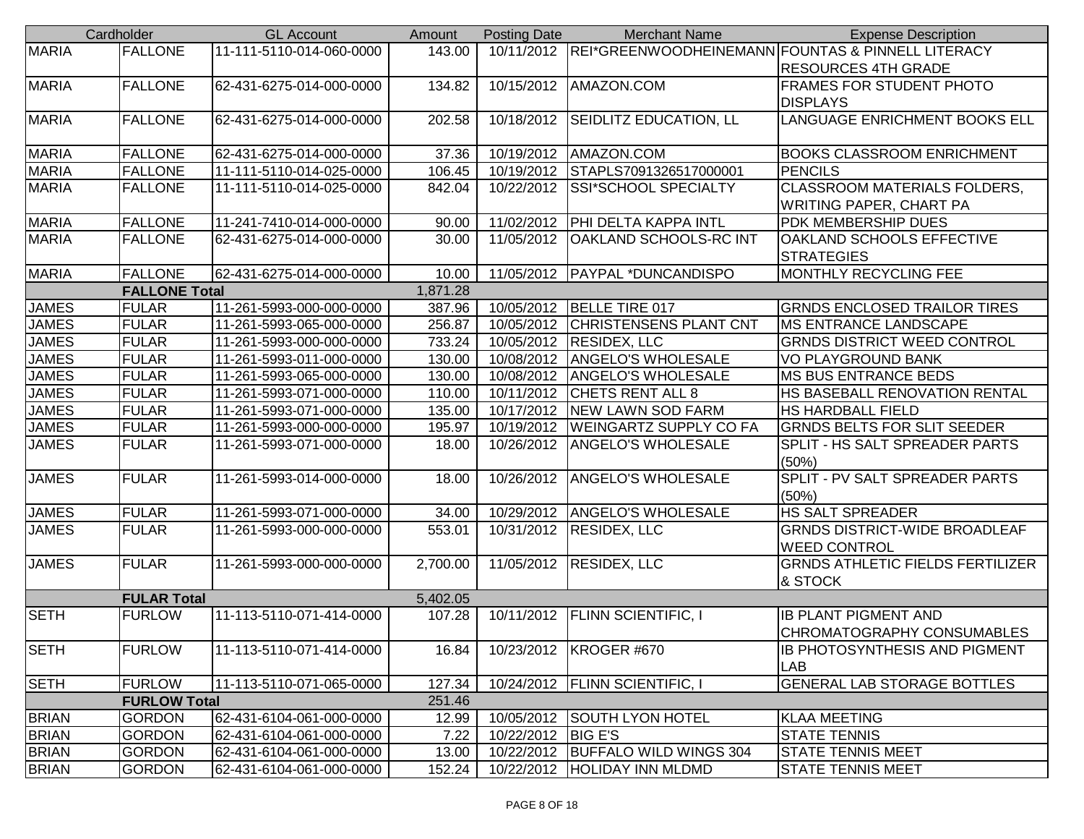|              | Cardholder           | <b>GL Account</b>        | Amount   | <b>Posting Date</b>  | <b>Merchant Name</b>                | <b>Expense Description</b>                                   |
|--------------|----------------------|--------------------------|----------|----------------------|-------------------------------------|--------------------------------------------------------------|
| <b>MARIA</b> | <b>FALLONE</b>       | 11-111-5110-014-060-0000 | 143.00   |                      |                                     | 10/11/2012 REI*GREENWOODHEINEMANN FOUNTAS & PINNELL LITERACY |
|              |                      |                          |          |                      |                                     | <b>RESOURCES 4TH GRADE</b>                                   |
| <b>MARIA</b> | <b>FALLONE</b>       | 62-431-6275-014-000-0000 | 134.82   | 10/15/2012           | AMAZON.COM                          | <b>FRAMES FOR STUDENT PHOTO</b>                              |
|              |                      |                          |          |                      |                                     | <b>DISPLAYS</b>                                              |
| <b>MARIA</b> | <b>FALLONE</b>       | 62-431-6275-014-000-0000 | 202.58   | 10/18/2012           | SEIDLITZ EDUCATION, LL              | LANGUAGE ENRICHMENT BOOKS ELL                                |
|              |                      |                          |          |                      |                                     |                                                              |
| <b>MARIA</b> | <b>FALLONE</b>       | 62-431-6275-014-000-0000 | 37.36    | 10/19/2012           | AMAZON.COM                          | <b>BOOKS CLASSROOM ENRICHMENT</b>                            |
| <b>MARIA</b> | <b>FALLONE</b>       | 11-111-5110-014-025-0000 | 106.45   | 10/19/2012           | STAPLS7091326517000001              | <b>PENCILS</b>                                               |
| <b>MARIA</b> | <b>FALLONE</b>       | 11-111-5110-014-025-0000 | 842.04   | 10/22/2012           | SSI*SCHOOL SPECIALTY                | <b>CLASSROOM MATERIALS FOLDERS,</b>                          |
|              |                      |                          |          |                      |                                     | <b>WRITING PAPER, CHART PA</b>                               |
| <b>MARIA</b> | <b>FALLONE</b>       | 11-241-7410-014-000-0000 | 90.00    | 11/02/2012           | PHI DELTA KAPPA INTL                | <b>PDK MEMBERSHIP DUES</b>                                   |
| <b>MARIA</b> | <b>FALLONE</b>       | 62-431-6275-014-000-0000 | 30.00    | 11/05/2012           | OAKLAND SCHOOLS-RC INT              | OAKLAND SCHOOLS EFFECTIVE                                    |
|              |                      |                          |          |                      |                                     | <b>STRATEGIES</b>                                            |
| <b>MARIA</b> | <b>FALLONE</b>       | 62-431-6275-014-000-0000 | 10.00    |                      | 11/05/2012   PAYPAL *DUNCANDISPO    | MONTHLY RECYCLING FEE                                        |
|              | <b>FALLONE Total</b> |                          | 1,871.28 |                      |                                     |                                                              |
| <b>JAMES</b> | <b>FULAR</b>         | 11-261-5993-000-000-0000 | 387.96   | 10/05/2012           | BELLE TIRE 017                      | <b>GRNDS ENCLOSED TRAILOR TIRES</b>                          |
| <b>JAMES</b> | <b>FULAR</b>         | 11-261-5993-065-000-0000 | 256.87   | 10/05/2012           | <b>CHRISTENSENS PLANT CNT</b>       | <b>MS ENTRANCE LANDSCAPE</b>                                 |
| <b>JAMES</b> | <b>FULAR</b>         | 11-261-5993-000-000-0000 | 733.24   | 10/05/2012           | <b>RESIDEX, LLC</b>                 | <b>GRNDS DISTRICT WEED CONTROL</b>                           |
| <b>JAMES</b> | <b>FULAR</b>         | 11-261-5993-011-000-0000 | 130.00   | 10/08/2012           | <b>ANGELO'S WHOLESALE</b>           | <b>VO PLAYGROUND BANK</b>                                    |
| <b>JAMES</b> | <b>FULAR</b>         | 11-261-5993-065-000-0000 | 130.00   |                      | 10/08/2012   ANGELO'S WHOLESALE     | <b>MS BUS ENTRANCE BEDS</b>                                  |
| <b>JAMES</b> | <b>FULAR</b>         | 11-261-5993-071-000-0000 | 110.00   | 10/11/2012           | <b>CHETS RENT ALL 8</b>             | HS BASEBALL RENOVATION RENTAL                                |
| <b>JAMES</b> | <b>FULAR</b>         | 11-261-5993-071-000-0000 | 135.00   | 10/17/2012           | <b>NEW LAWN SOD FARM</b>            | <b>HS HARDBALL FIELD</b>                                     |
| <b>JAMES</b> | <b>FULAR</b>         | 11-261-5993-000-000-0000 | 195.97   | 10/19/2012           | <b>WEINGARTZ SUPPLY CO FA</b>       | <b>GRNDS BELTS FOR SLIT SEEDER</b>                           |
| <b>JAMES</b> | <b>FULAR</b>         | 11-261-5993-071-000-0000 | 18.00    | 10/26/2012           | <b>ANGELO'S WHOLESALE</b>           | SPLIT - HS SALT SPREADER PARTS                               |
|              |                      |                          |          |                      |                                     | (50%)                                                        |
| <b>JAMES</b> | <b>FULAR</b>         | 11-261-5993-014-000-0000 | 18.00    | 10/26/2012           | <b>ANGELO'S WHOLESALE</b>           | SPLIT - PV SALT SPREADER PARTS                               |
|              |                      |                          |          |                      |                                     | (50%)                                                        |
| <b>JAMES</b> | <b>FULAR</b>         | 11-261-5993-071-000-0000 | 34.00    | 10/29/2012           | <b>ANGELO'S WHOLESALE</b>           | <b>HS SALT SPREADER</b>                                      |
| <b>JAMES</b> | <b>FULAR</b>         | 11-261-5993-000-000-0000 | 553.01   | $\sqrt{10/31/2012}$  | <b>RESIDEX, LLC</b>                 | <b>GRNDS DISTRICT-WIDE BROADLEAF</b>                         |
|              |                      |                          |          |                      |                                     | <b>WEED CONTROL</b>                                          |
| <b>JAMES</b> | <b>FULAR</b>         | 11-261-5993-000-000-0000 | 2,700.00 |                      | 11/05/2012 RESIDEX, LLC             | <b>GRNDS ATHLETIC FIELDS FERTILIZER</b>                      |
|              |                      |                          |          |                      |                                     | & STOCK                                                      |
|              | <b>FULAR Total</b>   |                          | 5,402.05 |                      |                                     |                                                              |
| <b>SETH</b>  | <b>FURLOW</b>        | 11-113-5110-071-414-0000 | 107.28   | 10/11/2012           | <b>FLINN SCIENTIFIC, I</b>          | <b>IB PLANT PIGMENT AND</b>                                  |
|              |                      |                          |          |                      |                                     | <b>CHROMATOGRAPHY CONSUMABLES</b>                            |
| <b>SETH</b>  | <b>FURLOW</b>        | 11-113-5110-071-414-0000 | 16.84    |                      | 10/23/2012   KROGER #670            | <b>IB PHOTOSYNTHESIS AND PIGMENT</b>                         |
|              |                      |                          |          |                      |                                     | <b>LAB</b>                                                   |
| <b>SETH</b>  | <b>FURLOW</b>        | 11-113-5110-071-065-0000 | 127.34   |                      | 10/24/2012   FLINN SCIENTIFIC, I    | <b>GENERAL LAB STORAGE BOTTLES</b>                           |
|              | <b>FURLOW Total</b>  |                          | 251.46   |                      |                                     |                                                              |
| <b>BRIAN</b> | <b>GORDON</b>        | 62-431-6104-061-000-0000 | 12.99    |                      | 10/05/2012 SOUTH LYON HOTEL         | <b>KLAA MEETING</b>                                          |
| <b>BRIAN</b> | <b>GORDON</b>        | 62-431-6104-061-000-0000 | 7.22     | 10/22/2012   BIG E'S |                                     | <b>STATE TENNIS</b>                                          |
| <b>BRIAN</b> | <b>GORDON</b>        | 62-431-6104-061-000-0000 | 13.00    |                      | 10/22/2012   BUFFALO WILD WINGS 304 | <b>STATE TENNIS MEET</b>                                     |
| <b>BRIAN</b> | <b>GORDON</b>        | 62-431-6104-061-000-0000 | 152.24   | 10/22/2012           | <b>HOLIDAY INN MLDMD</b>            | <b>STATE TENNIS MEET</b>                                     |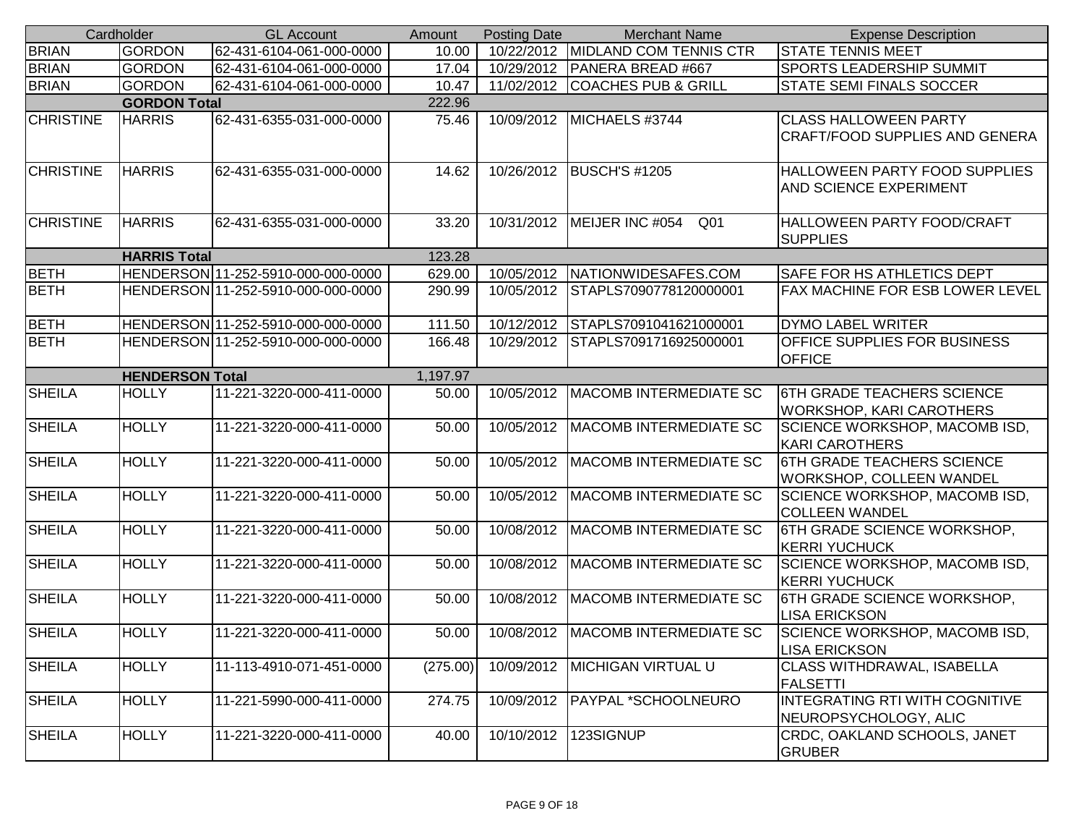|                  | Cardholder             | <b>GL Account</b>                  | Amount   | <b>Posting Date</b> | <b>Merchant Name</b>                | <b>Expense Description</b>                                           |
|------------------|------------------------|------------------------------------|----------|---------------------|-------------------------------------|----------------------------------------------------------------------|
| <b>BRIAN</b>     | <b>GORDON</b>          | 62-431-6104-061-000-0000           | 10.00    |                     | 10/22/2012 MIDLAND COM TENNIS CTR   | <b>STATE TENNIS MEET</b>                                             |
| <b>BRIAN</b>     | <b>GORDON</b>          | 62-431-6104-061-000-0000           | 17.04    |                     | 10/29/2012   PANERA BREAD #667      | <b>SPORTS LEADERSHIP SUMMIT</b>                                      |
| <b>BRIAN</b>     | <b>GORDON</b>          | 62-431-6104-061-000-0000           | 10.47    | 11/02/2012          | <b>COACHES PUB &amp; GRILL</b>      | STATE SEMI FINALS SOCCER                                             |
|                  | <b>GORDON Total</b>    |                                    | 222.96   |                     |                                     |                                                                      |
| <b>CHRISTINE</b> | <b>HARRIS</b>          | 62-431-6355-031-000-0000           | 75.46    |                     | 10/09/2012   MICHAELS #3744         | <b>CLASS HALLOWEEN PARTY</b>                                         |
|                  |                        |                                    |          |                     |                                     | <b>CRAFT/FOOD SUPPLIES AND GENERA</b>                                |
| <b>CHRISTINE</b> | <b>HARRIS</b>          | 62-431-6355-031-000-0000           | 14.62    | 10/26/2012          | <b>BUSCH'S #1205</b>                | HALLOWEEN PARTY FOOD SUPPLIES                                        |
|                  |                        |                                    |          |                     |                                     | AND SCIENCE EXPERIMENT                                               |
| <b>CHRISTINE</b> | <b>HARRIS</b>          | 62-431-6355-031-000-0000           | 33.20    | 10/31/2012          | MEIJER INC #054<br>Q01              | HALLOWEEN PARTY FOOD/CRAFT<br><b>SUPPLIES</b>                        |
|                  | <b>HARRIS Total</b>    |                                    | 123.28   |                     |                                     |                                                                      |
| <b>BETH</b>      |                        | HENDERSON 11-252-5910-000-000-0000 | 629.00   | 10/05/2012          | NATIONWIDESAFES.COM                 | SAFE FOR HS ATHLETICS DEPT                                           |
| <b>BETH</b>      |                        | HENDERSON 11-252-5910-000-000-0000 | 290.99   | 10/05/2012          | STAPLS7090778120000001              | FAX MACHINE FOR ESB LOWER LEVEL                                      |
| <b>BETH</b>      |                        | HENDERSON 11-252-5910-000-000-0000 | 111.50   | 10/12/2012          | STAPLS7091041621000001              | <b>DYMO LABEL WRITER</b>                                             |
| <b>BETH</b>      |                        | HENDERSON 11-252-5910-000-000-0000 | 166.48   | 10/29/2012          | STAPLS7091716925000001              | OFFICE SUPPLIES FOR BUSINESS                                         |
|                  |                        |                                    |          |                     |                                     | <b>OFFICE</b>                                                        |
|                  | <b>HENDERSON Total</b> |                                    | 1,197.97 |                     |                                     |                                                                      |
| <b>SHEILA</b>    | <b>HOLLY</b>           | 11-221-3220-000-411-0000           | 50.00    | 10/05/2012          | <b>MACOMB INTERMEDIATE SC</b>       | <b>6TH GRADE TEACHERS SCIENCE</b><br><b>WORKSHOP, KARI CAROTHERS</b> |
| <b>SHEILA</b>    | <b>HOLLY</b>           | 11-221-3220-000-411-0000           | 50.00    | 10/05/2012          | <b>MACOMB INTERMEDIATE SC</b>       | SCIENCE WORKSHOP, MACOMB ISD,<br><b>KARI CAROTHERS</b>               |
| <b>SHEILA</b>    | <b>HOLLY</b>           | 11-221-3220-000-411-0000           | 50.00    | 10/05/2012          | <b>MACOMB INTERMEDIATE SC</b>       | <b>6TH GRADE TEACHERS SCIENCE</b><br>WORKSHOP, COLLEEN WANDEL        |
| <b>SHEILA</b>    | <b>HOLLY</b>           | 11-221-3220-000-411-0000           | 50.00    | 10/05/2012          | <b>MACOMB INTERMEDIATE SC</b>       | SCIENCE WORKSHOP, MACOMB ISD,<br><b>COLLEEN WANDEL</b>               |
| <b>SHEILA</b>    | <b>HOLLY</b>           | 11-221-3220-000-411-0000           | 50.00    | 10/08/2012          | <b>MACOMB INTERMEDIATE SC</b>       | <b>6TH GRADE SCIENCE WORKSHOP,</b><br><b>KERRI YUCHUCK</b>           |
| <b>SHEILA</b>    | <b>HOLLY</b>           | 11-221-3220-000-411-0000           | 50.00    | 10/08/2012          | MACOMB INTERMEDIATE SC              | SCIENCE WORKSHOP, MACOMB ISD,                                        |
|                  | <b>HOLLY</b>           |                                    |          |                     |                                     | <b>KERRI YUCHUCK</b>                                                 |
| <b>SHEILA</b>    |                        | 11-221-3220-000-411-0000           | 50.00    | 10/08/2012          | <b>MACOMB INTERMEDIATE SC</b>       | <b>6TH GRADE SCIENCE WORKSHOP,</b><br><b>LISA ERICKSON</b>           |
| <b>SHEILA</b>    | <b>HOLLY</b>           | 11-221-3220-000-411-0000           | 50.00    |                     | 10/08/2012   MACOMB INTERMEDIATE SC | SCIENCE WORKSHOP, MACOMB ISD,<br><b>LISA ERICKSON</b>                |
| <b>SHEILA</b>    | <b>HOLLY</b>           | 11-113-4910-071-451-0000           | (275.00) | 10/09/2012          | <b>MICHIGAN VIRTUAL U</b>           | CLASS WITHDRAWAL, ISABELLA<br><b>FALSETTI</b>                        |
| <b>SHEILA</b>    | <b>HOLLY</b>           | 11-221-5990-000-411-0000           | 274.75   | 10/09/2012          | PAYPAL *SCHOOLNEURO                 | INTEGRATING RTI WITH COGNITIVE<br>NEUROPSYCHOLOGY, ALIC              |
| <b>SHEILA</b>    | <b>HOLLY</b>           | 11-221-3220-000-411-0000           | 40.00    | 10/10/2012          | 123SIGNUP                           | CRDC, OAKLAND SCHOOLS, JANET<br><b>GRUBER</b>                        |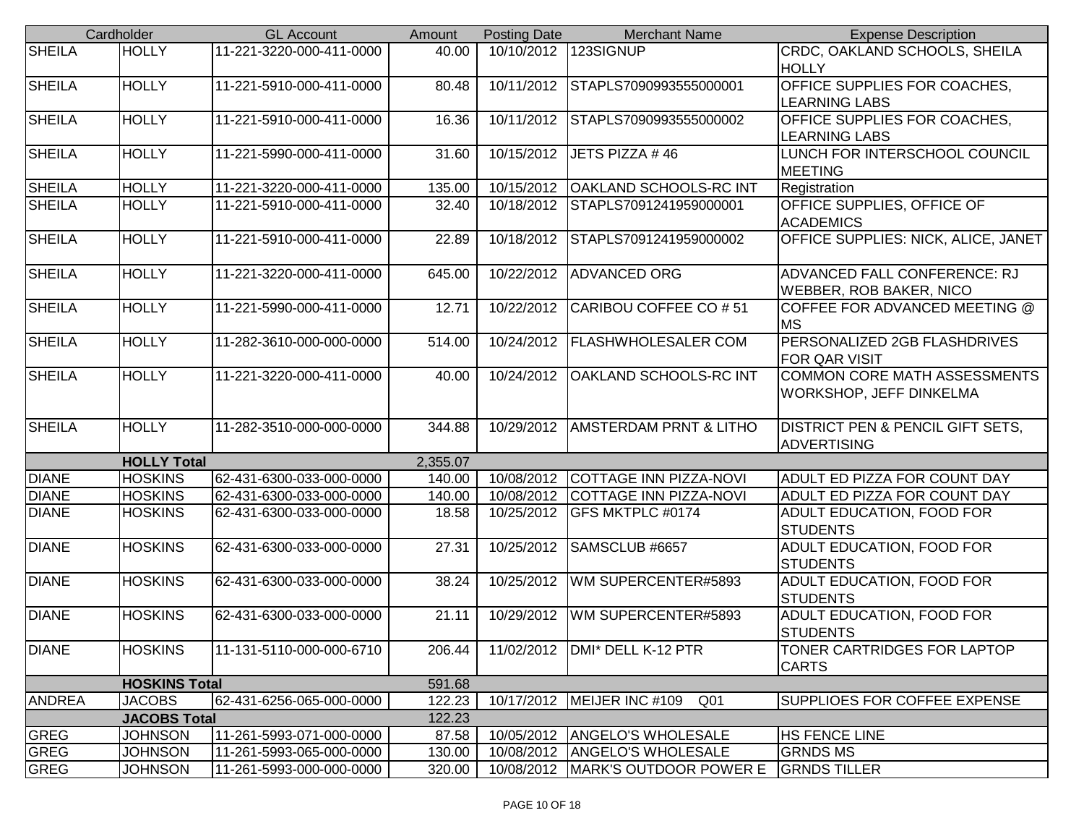|               | Cardholder           | <b>GL Account</b>        | Amount   | <b>Posting Date</b> | <b>Merchant Name</b>                            | <b>Expense Description</b>                                     |
|---------------|----------------------|--------------------------|----------|---------------------|-------------------------------------------------|----------------------------------------------------------------|
| <b>SHEILA</b> | <b>HOLLY</b>         | 11-221-3220-000-411-0000 | 40.00    | 10/10/2012          | 123SIGNUP                                       | CRDC, OAKLAND SCHOOLS, SHEILA<br><b>HOLLY</b>                  |
| <b>SHEILA</b> | <b>HOLLY</b>         | 11-221-5910-000-411-0000 | 80.48    | 10/11/2012          | STAPLS7090993555000001                          | OFFICE SUPPLIES FOR COACHES,<br><b>LEARNING LABS</b>           |
| <b>SHEILA</b> | <b>HOLLY</b>         | 11-221-5910-000-411-0000 | 16.36    | 10/11/2012          | STAPLS7090993555000002                          | <b>OFFICE SUPPLIES FOR COACHES,</b><br><b>LEARNING LABS</b>    |
| <b>SHEILA</b> | <b>HOLLY</b>         | 11-221-5990-000-411-0000 | 31.60    | 10/15/2012          | JETS PIZZA #46                                  | LUNCH FOR INTERSCHOOL COUNCIL<br><b>MEETING</b>                |
| <b>SHEILA</b> | <b>HOLLY</b>         | 11-221-3220-000-411-0000 | 135.00   | 10/15/2012          | <b>OAKLAND SCHOOLS-RC INT</b>                   | Registration                                                   |
| <b>SHEILA</b> | <b>HOLLY</b>         | 11-221-5910-000-411-0000 | 32.40    | 10/18/2012          | STAPLS7091241959000001                          | OFFICE SUPPLIES, OFFICE OF<br><b>ACADEMICS</b>                 |
| <b>SHEILA</b> | <b>HOLLY</b>         | 11-221-5910-000-411-0000 | 22.89    | 10/18/2012          | STAPLS7091241959000002                          | OFFICE SUPPLIES: NICK, ALICE, JANET                            |
| <b>SHEILA</b> | <b>HOLLY</b>         | 11-221-3220-000-411-0000 | 645.00   | 10/22/2012          | <b>ADVANCED ORG</b>                             | ADVANCED FALL CONFERENCE: RJ<br><b>WEBBER, ROB BAKER, NICO</b> |
| <b>SHEILA</b> | <b>HOLLY</b>         | 11-221-5990-000-411-0000 | 12.71    | 10/22/2012          | CARIBOU COFFEE CO # 51                          | COFFEE FOR ADVANCED MEETING @<br><b>MS</b>                     |
| <b>SHEILA</b> | <b>HOLLY</b>         | 11-282-3610-000-000-0000 | 514.00   | 10/24/2012          | <b>FLASHWHOLESALER COM</b>                      | PERSONALIZED 2GB FLASHDRIVES<br><b>FOR QAR VISIT</b>           |
| <b>SHEILA</b> | <b>HOLLY</b>         | 11-221-3220-000-411-0000 | 40.00    | 10/24/2012          | <b>OAKLAND SCHOOLS-RC INT</b>                   | COMMON CORE MATH ASSESSMENTS<br>WORKSHOP, JEFF DINKELMA        |
| <b>SHEILA</b> | <b>HOLLY</b>         | 11-282-3510-000-000-0000 | 344.88   | 10/29/2012          | <b>AMSTERDAM PRNT &amp; LITHO</b>               | DISTRICT PEN & PENCIL GIFT SETS,<br><b>ADVERTISING</b>         |
|               | <b>HOLLY Total</b>   |                          | 2,355.07 |                     |                                                 |                                                                |
| <b>DIANE</b>  | <b>HOSKINS</b>       | 62-431-6300-033-000-0000 | 140.00   | 10/08/2012          | COTTAGE INN PIZZA-NOVI                          | ADULT ED PIZZA FOR COUNT DAY                                   |
| <b>DIANE</b>  | <b>HOSKINS</b>       | 62-431-6300-033-000-0000 | 140.00   | 10/08/2012          | COTTAGE INN PIZZA-NOVI                          | ADULT ED PIZZA FOR COUNT DAY                                   |
| <b>DIANE</b>  | <b>HOSKINS</b>       | 62-431-6300-033-000-0000 | 18.58    | 10/25/2012          | <b>GFS MKTPLC #0174</b>                         | ADULT EDUCATION, FOOD FOR<br><b>STUDENTS</b>                   |
| <b>DIANE</b>  | <b>HOSKINS</b>       | 62-431-6300-033-000-0000 | 27.31    | 10/25/2012          | SAMSCLUB #6657                                  | ADULT EDUCATION, FOOD FOR<br><b>STUDENTS</b>                   |
| <b>DIANE</b>  | <b>HOSKINS</b>       | 62-431-6300-033-000-0000 | 38.24    | 10/25/2012          | WM SUPERCENTER#5893                             | ADULT EDUCATION, FOOD FOR<br><b>STUDENTS</b>                   |
| <b>DIANE</b>  | <b>HOSKINS</b>       | 62-431-6300-033-000-0000 | 21.11    | 10/29/2012          | WM SUPERCENTER#5893                             | ADULT EDUCATION, FOOD FOR<br><b>STUDENTS</b>                   |
| <b>DIANE</b>  | <b>HOSKINS</b>       | 11-131-5110-000-000-6710 | 206.44   |                     | 11/02/2012   DMI* DELL K-12 PTR                 | <b>TONER CARTRIDGES FOR LAPTOP</b><br><b>CARTS</b>             |
|               | <b>HOSKINS Total</b> |                          | 591.68   |                     |                                                 |                                                                |
| <b>ANDREA</b> | <b>JACOBS</b>        | 62-431-6256-065-000-0000 | 122.23   |                     | 10/17/2012   MEIJER INC #109<br>Q <sub>01</sub> | SUPPLIOES FOR COFFEE EXPENSE                                   |
|               | <b>JACOBS Total</b>  |                          | 122.23   |                     |                                                 |                                                                |
| <b>GREG</b>   | <b>JOHNSON</b>       | 11-261-5993-071-000-0000 | 87.58    | 10/05/2012          | <b>ANGELO'S WHOLESALE</b>                       | <b>HS FENCE LINE</b>                                           |
| <b>GREG</b>   | <b>JOHNSON</b>       | 11-261-5993-065-000-0000 | 130.00   | 10/08/2012          | <b>ANGELO'S WHOLESALE</b>                       | <b>GRNDS MS</b>                                                |
| <b>GREG</b>   | <b>JOHNSON</b>       | 11-261-5993-000-000-0000 | 320.00   |                     | 10/08/2012   MARK'S OUTDOOR POWER E             | <b>GRNDS TILLER</b>                                            |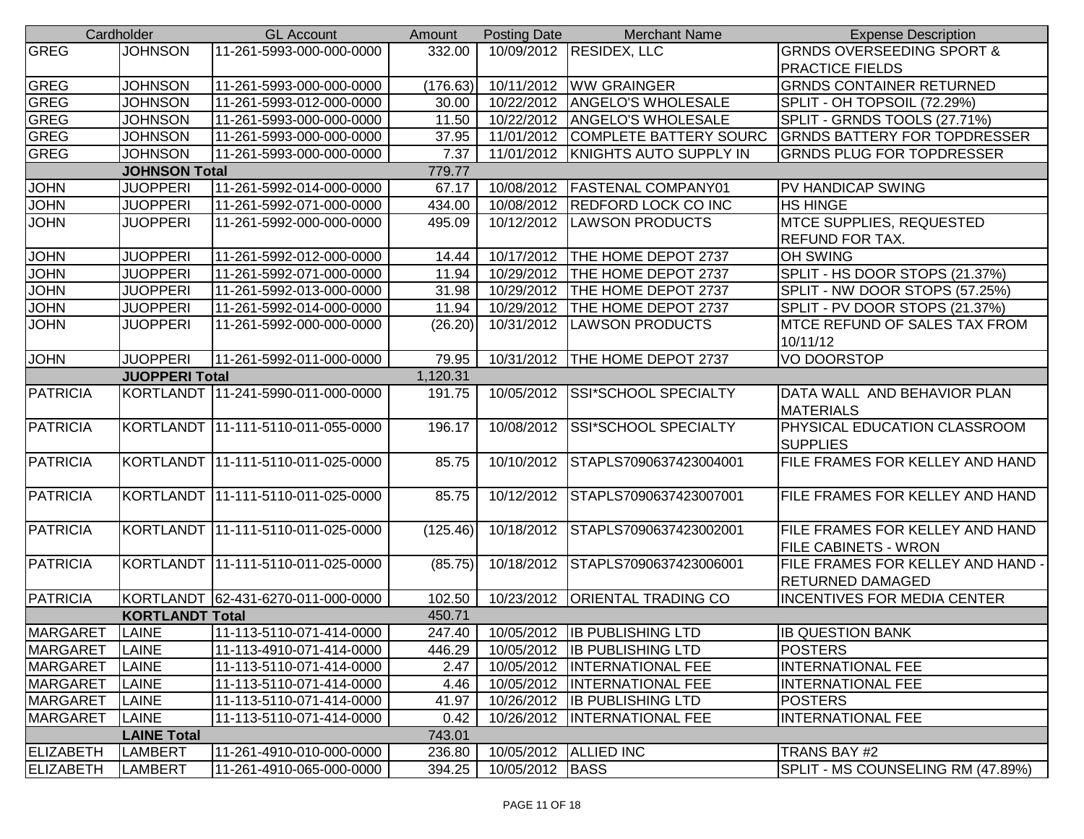|                                   | Cardholder             | <b>GL Account</b>                    | Amount   | <b>Posting Date</b>     | <b>Merchant Name</b>                | <b>Expense Description</b>           |  |  |
|-----------------------------------|------------------------|--------------------------------------|----------|-------------------------|-------------------------------------|--------------------------------------|--|--|
| <b>GREG</b>                       | <b>JOHNSON</b>         | 11-261-5993-000-000-0000             | 332.00   |                         | 10/09/2012 RESIDEX, LLC             | <b>GRNDS OVERSEEDING SPORT &amp;</b> |  |  |
|                                   |                        |                                      |          |                         |                                     | PRACTICE FIELDS                      |  |  |
| <b>GREG</b>                       | <b>JOHNSON</b>         | 11-261-5993-000-000-0000             | (176.63) | 10/11/2012              | <b>WW GRAINGER</b>                  | <b>GRNDS CONTAINER RETURNED</b>      |  |  |
| <b>GREG</b>                       | <b>JOHNSON</b>         | 11-261-5993-012-000-0000             | 30.00    | 10/22/2012              | <b>ANGELO'S WHOLESALE</b>           | SPLIT - OH TOPSOIL (72.29%)          |  |  |
| <b>GREG</b>                       | <b>JOHNSON</b>         | 11-261-5993-000-000-0000             | 11.50    | 10/22/2012              | <b>ANGELO'S WHOLESALE</b>           | SPLIT - GRNDS TOOLS (27.71%)         |  |  |
| <b>GREG</b>                       | <b>JOHNSON</b>         | 11-261-5993-000-000-0000             | 37.95    | 11/01/2012              | <b>COMPLETE BATTERY SOURC</b>       | <b>GRNDS BATTERY FOR TOPDRESSER</b>  |  |  |
| <b>GREG</b>                       | <b>JOHNSON</b>         | 11-261-5993-000-000-0000             | 7.37     |                         | 11/01/2012   KNIGHTS AUTO SUPPLY IN | <b>GRNDS PLUG FOR TOPDRESSER</b>     |  |  |
|                                   | <b>JOHNSON Total</b>   |                                      | 779.77   |                         |                                     |                                      |  |  |
| <b>JOHN</b>                       | <b>JUOPPERI</b>        | 11-261-5992-014-000-0000             | 67.17    | 10/08/2012              | <b>FASTENAL COMPANY01</b>           | PV HANDICAP SWING                    |  |  |
| <b>JOHN</b>                       | <b>JUOPPERI</b>        | 11-261-5992-071-000-0000             | 434.00   | 10/08/2012              | <b>REDFORD LOCK CO INC</b>          | <b>HS HINGE</b>                      |  |  |
| <b>JOHN</b>                       | <b>JUOPPERI</b>        | 11-261-5992-000-000-0000             | 495.09   | 10/12/2012              | <b>LAWSON PRODUCTS</b>              | <b>MTCE SUPPLIES, REQUESTED</b>      |  |  |
|                                   |                        |                                      |          |                         |                                     | <b>REFUND FOR TAX.</b>               |  |  |
| <b>JOHN</b>                       | <b>JUOPPERI</b>        | 11-261-5992-012-000-0000             | 14.44    | 10/17/2012              | THE HOME DEPOT 2737                 | <b>OH SWING</b>                      |  |  |
| <b>JOHN</b>                       | <b>JUOPPERI</b>        | 11-261-5992-071-000-0000             | 11.94    | 10/29/2012              | THE HOME DEPOT 2737                 | SPLIT - HS DOOR STOPS (21.37%)       |  |  |
| <b>JOHN</b>                       | <b>JUOPPERI</b>        | 11-261-5992-013-000-0000             | 31.98    | 10/29/2012              | THE HOME DEPOT 2737                 | SPLIT - NW DOOR STOPS (57.25%)       |  |  |
| <b>JOHN</b>                       | <b>JUOPPERI</b>        | 11-261-5992-014-000-0000             | 11.94    | 10/29/2012              | THE HOME DEPOT 2737                 | SPLIT - PV DOOR STOPS (21.37%)       |  |  |
| <b>JOHN</b>                       | <b>JUOPPERI</b>        | 11-261-5992-000-000-0000             | (26.20)  | 10/31/2012              | <b>LAWSON PRODUCTS</b>              | MTCE REFUND OF SALES TAX FROM        |  |  |
|                                   |                        |                                      |          |                         |                                     | 10/11/12                             |  |  |
| <b>JOHN</b>                       | <b>JUOPPERI</b>        | 11-261-5992-011-000-0000             | 79.95    | 10/31/2012              | THE HOME DEPOT 2737                 | <b>VO DOORSTOP</b>                   |  |  |
| <b>JUOPPERI Total</b><br>1,120.31 |                        |                                      |          |                         |                                     |                                      |  |  |
| <b>PATRICIA</b>                   |                        | KORTLANDT 11-241-5990-011-000-0000   | 191.75   | 10/05/2012              | SSI*SCHOOL SPECIALTY                | DATA WALL AND BEHAVIOR PLAN          |  |  |
|                                   |                        |                                      |          |                         |                                     | <b>MATERIALS</b>                     |  |  |
| <b>PATRICIA</b>                   |                        | KORTLANDT   11-111-5110-011-055-0000 | 196.17   | 10/08/2012              | SSI*SCHOOL SPECIALTY                | PHYSICAL EDUCATION CLASSROOM         |  |  |
|                                   |                        |                                      |          |                         |                                     | <b>SUPPLIES</b>                      |  |  |
| <b>PATRICIA</b>                   | <b>KORTLANDT</b>       | 11-111-5110-011-025-0000             | 85.75    | 10/10/2012              | STAPLS7090637423004001              | FILE FRAMES FOR KELLEY AND HAND      |  |  |
|                                   |                        |                                      |          |                         |                                     |                                      |  |  |
| <b>PATRICIA</b>                   |                        | KORTLANDT 11-111-5110-011-025-0000   | 85.75    | 10/12/2012              | STAPLS7090637423007001              | FILE FRAMES FOR KELLEY AND HAND      |  |  |
|                                   |                        |                                      |          |                         |                                     |                                      |  |  |
| <b>PATRICIA</b>                   |                        | KORTLANDT   11-111-5110-011-025-0000 | (125.46) | 10/18/2012              | STAPLS7090637423002001              | FILE FRAMES FOR KELLEY AND HAND      |  |  |
|                                   |                        |                                      |          |                         |                                     | <b>FILE CABINETS - WRON</b>          |  |  |
| <b>PATRICIA</b>                   |                        | KORTLANDT 11-111-5110-011-025-0000   | (85.75)  | 10/18/2012              | STAPLS7090637423006001              | FILE FRAMES FOR KELLEY AND HAND -    |  |  |
|                                   |                        |                                      |          |                         |                                     | <b>RETURNED DAMAGED</b>              |  |  |
| <b>PATRICIA</b>                   |                        | KORTLANDT 62-431-6270-011-000-0000   | 102.50   | 10/23/2012              | <b>ORIENTAL TRADING CO</b>          | <b>INCENTIVES FOR MEDIA CENTER</b>   |  |  |
|                                   | <b>KORTLANDT Total</b> |                                      | 450.71   |                         |                                     |                                      |  |  |
| <b>MARGARET</b>                   | <b>LAINE</b>           | 111-113-5110-071-414-0000            | 247.40   |                         | 10/05/2012 IB PUBLISHING LTD        | <b>IIB QUESTION BANK</b>             |  |  |
| <b>MARGARET</b>                   | <b>LAINE</b>           | 11-113-4910-071-414-0000             | 446.29   |                         | 10/05/2012  IB PUBLISHING LTD       | <b>POSTERS</b>                       |  |  |
| <b>MARGARET</b>                   | LAINE                  | 11-113-5110-071-414-0000             | 2.47     | 10/05/2012              | <b>INTERNATIONAL FEE</b>            | <b>INTERNATIONAL FEE</b>             |  |  |
| <b>MARGARET</b>                   | <b>LAINE</b>           | 11-113-5110-071-414-0000             | 4.46     |                         | 10/05/2012  INTERNATIONAL FEE       | INTERNATIONAL FEE                    |  |  |
| <b>MARGARET</b>                   | <b>LAINE</b>           | 11-113-5110-071-414-0000             | 41.97    |                         | 10/26/2012  IB PUBLISHING LTD       | <b>POSTERS</b>                       |  |  |
| <b>MARGARET</b>                   | <b>LAINE</b>           | 11-113-5110-071-414-0000             | 0.42     |                         | 10/26/2012  INTERNATIONAL FEE       | INTERNATIONAL FEE                    |  |  |
|                                   | <b>LAINE Total</b>     |                                      | 743.01   |                         |                                     |                                      |  |  |
| <b>ELIZABETH</b>                  | <b>LAMBERT</b>         | 11-261-4910-010-000-0000             | 236.80   | 10/05/2012   ALLIED INC |                                     | TRANS BAY #2                         |  |  |
| <b>ELIZABETH</b>                  | <b>LAMBERT</b>         | 11-261-4910-065-000-0000             | 394.25   | 10/05/2012 BASS         |                                     | SPLIT - MS COUNSELING RM (47.89%)    |  |  |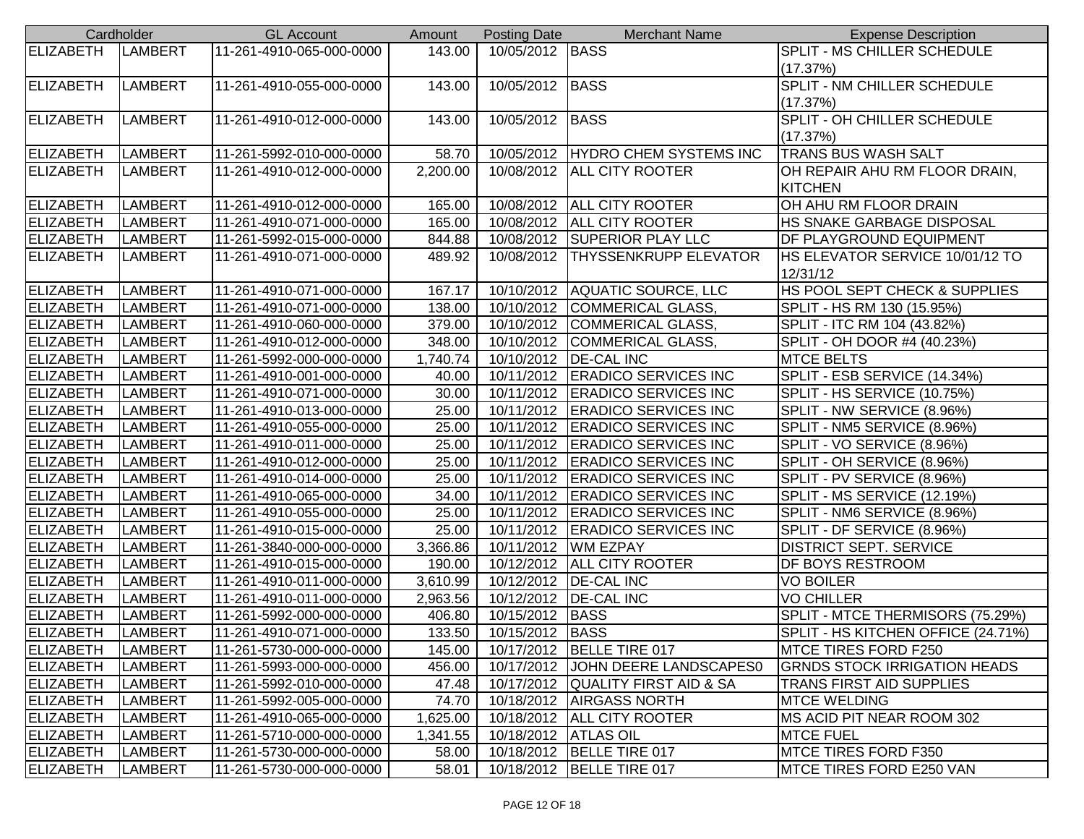|                  | Cardholder     | <b>GL Account</b>        | Amount   | <b>Posting Date</b>    | <b>Merchant Name</b>              | <b>Expense Description</b>             |
|------------------|----------------|--------------------------|----------|------------------------|-----------------------------------|----------------------------------------|
| <b>ELIZABETH</b> | <b>LAMBERT</b> | 11-261-4910-065-000-0000 | 143.00   | 10/05/2012 BASS        |                                   | <b>SPLIT - MS CHILLER SCHEDULE</b>     |
|                  |                |                          |          |                        |                                   | (17.37%)                               |
| <b>ELIZABETH</b> | <b>LAMBERT</b> | 11-261-4910-055-000-0000 | 143.00   | 10/05/2012 BASS        |                                   | SPLIT - NM CHILLER SCHEDULE            |
|                  |                |                          |          |                        |                                   | (17.37%)                               |
| ELIZABETH        | <b>LAMBERT</b> | 11-261-4910-012-000-0000 | 143.00   | 10/05/2012 BASS        |                                   | <b>SPLIT - OH CHILLER SCHEDULE</b>     |
|                  |                |                          |          |                        |                                   | (17.37%)                               |
| <b>ELIZABETH</b> | <b>LAMBERT</b> | 11-261-5992-010-000-0000 | 58.70    |                        | 10/05/2012 HYDRO CHEM SYSTEMS INC | <b>TRANS BUS WASH SALT</b>             |
| <b>ELIZABETH</b> | <b>LAMBERT</b> | 11-261-4910-012-000-0000 | 2,200.00 |                        | 10/08/2012   ALL CITY ROOTER      | OH REPAIR AHU RM FLOOR DRAIN,          |
|                  |                |                          |          |                        |                                   | <b>KITCHEN</b>                         |
| <b>ELIZABETH</b> | <b>LAMBERT</b> | 11-261-4910-012-000-0000 | 165.00   |                        | 10/08/2012   ALL CITY ROOTER      | OH AHU RM FLOOR DRAIN                  |
| <b>ELIZABETH</b> | <b>LAMBERT</b> | 11-261-4910-071-000-0000 | 165.00   |                        | 10/08/2012   ALL CITY ROOTER      | HS SNAKE GARBAGE DISPOSAL              |
| <b>ELIZABETH</b> | <b>LAMBERT</b> | 11-261-5992-015-000-0000 | 844.88   |                        | 10/08/2012 SUPERIOR PLAY LLC      | DF PLAYGROUND EQUIPMENT                |
| <b>ELIZABETH</b> | <b>LAMBERT</b> | 11-261-4910-071-000-0000 | 489.92   | 10/08/2012             | <b>THYSSENKRUPP ELEVATOR</b>      | <b>HS ELEVATOR SERVICE 10/01/12 TO</b> |
|                  |                |                          |          |                        |                                   | 12/31/12                               |
| <b>ELIZABETH</b> | <b>LAMBERT</b> | 11-261-4910-071-000-0000 | 167.17   |                        | 10/10/2012 AQUATIC SOURCE, LLC    | HS POOL SEPT CHECK & SUPPLIES          |
| ELIZABETH        | <b>LAMBERT</b> | 11-261-4910-071-000-0000 | 138.00   | 10/10/2012             | COMMERICAL GLASS,                 | SPLIT - HS RM 130 (15.95%)             |
| <b>ELIZABETH</b> | <b>LAMBERT</b> | 11-261-4910-060-000-0000 | 379.00   |                        | 10/10/2012 COMMERICAL GLASS,      | SPLIT - ITC RM 104 (43.82%)            |
| <b>ELIZABETH</b> | <b>LAMBERT</b> | 11-261-4910-012-000-0000 | 348.00   |                        | 10/10/2012 COMMERICAL GLASS,      | SPLIT - OH DOOR #4 (40.23%)            |
| <b>ELIZABETH</b> | <b>LAMBERT</b> | 11-261-5992-000-000-0000 | 1,740.74 |                        | 10/10/2012   DE-CAL INC           | <b>MTCE BELTS</b>                      |
| <b>ELIZABETH</b> | <b>LAMBERT</b> | 11-261-4910-001-000-0000 | 40.00    |                        | 10/11/2012 ERADICO SERVICES INC   | SPLIT - ESB SERVICE (14.34%)           |
| <b>ELIZABETH</b> | <b>LAMBERT</b> | 11-261-4910-071-000-0000 | 30.00    |                        | 10/11/2012 ERADICO SERVICES INC   | SPLIT - HS SERVICE (10.75%)            |
| <b>ELIZABETH</b> | <b>LAMBERT</b> | 11-261-4910-013-000-0000 | 25.00    |                        | 10/11/2012 ERADICO SERVICES INC   | SPLIT - NW SERVICE (8.96%)             |
| <b>ELIZABETH</b> | <b>LAMBERT</b> | 11-261-4910-055-000-0000 | 25.00    |                        | 10/11/2012 ERADICO SERVICES INC   | SPLIT - NM5 SERVICE (8.96%)            |
| <b>ELIZABETH</b> | <b>LAMBERT</b> | 11-261-4910-011-000-0000 | 25.00    |                        | 10/11/2012 ERADICO SERVICES INC   | SPLIT - VO SERVICE (8.96%)             |
| <b>ELIZABETH</b> | <b>LAMBERT</b> | 11-261-4910-012-000-0000 | 25.00    |                        | 10/11/2012 ERADICO SERVICES INC   | SPLIT - OH SERVICE (8.96%)             |
| <b>ELIZABETH</b> | LAMBERT        | 11-261-4910-014-000-0000 | 25.00    |                        | 10/11/2012 ERADICO SERVICES INC   | SPLIT - PV SERVICE (8.96%)             |
| <b>ELIZABETH</b> | LAMBERT        | 11-261-4910-065-000-0000 | 34.00    |                        | 10/11/2012 ERADICO SERVICES INC   | SPLIT - MS SERVICE (12.19%)            |
| <b>ELIZABETH</b> | <b>LAMBERT</b> | 11-261-4910-055-000-0000 | 25.00    |                        | 10/11/2012 ERADICO SERVICES INC   | SPLIT - NM6 SERVICE (8.96%)            |
| <b>ELIZABETH</b> | <b>LAMBERT</b> | 11-261-4910-015-000-0000 | 25.00    |                        | 10/11/2012 ERADICO SERVICES INC   | SPLIT - DF SERVICE (8.96%)             |
| <b>ELIZABETH</b> | <b>LAMBERT</b> | 11-261-3840-000-000-0000 | 3,366.86 |                        | 10/11/2012 WM EZPAY               | <b>DISTRICT SEPT. SERVICE</b>          |
| <b>ELIZABETH</b> | <b>LAMBERT</b> | 11-261-4910-015-000-0000 | 190.00   |                        | 10/12/2012   ALL CITY ROOTER      | DF BOYS RESTROOM                       |
| <b>ELIZABETH</b> | <b>LAMBERT</b> | 11-261-4910-011-000-0000 | 3,610.99 |                        | 10/12/2012   DE-CAL INC           | <b>VO BOILER</b>                       |
| <b>ELIZABETH</b> | <b>LAMBERT</b> | 11-261-4910-011-000-0000 | 2,963.56 |                        | 10/12/2012   DE-CAL INC           | <b>VO CHILLER</b>                      |
| <b>ELIZABETH</b> | <b>LAMBERT</b> | 11-261-5992-000-000-0000 | 406.80   | 10/15/2012 BASS        |                                   | SPLIT - MTCE THERMISORS (75.29%)       |
| <b>ELIZABETH</b> | <b>LAMBERT</b> | 11-261-4910-071-000-0000 | 133.50   | 10/15/2012 BASS        |                                   | SPLIT - HS KITCHEN OFFICE (24.71%)     |
| ELIZABETH        | <b>LAMBERT</b> | 11-261-5730-000-000-0000 | 145.00   |                        | 10/17/2012   BELLE TIRE 017       | <b>MTCE TIRES FORD F250</b>            |
| <b>ELIZABETH</b> | LAMBERT        | 11-261-5993-000-000-0000 | 456.00   | 10/17/2012             | JOHN DEERE LANDSCAPES0            | <b>GRNDS STOCK IRRIGATION HEADS</b>    |
| ELIZABETH        | LAMBERT        | 11-261-5992-010-000-0000 | 47.48    |                        | 10/17/2012 QUALITY FIRST AID & SA | <b>TRANS FIRST AID SUPPLIES</b>        |
| <b>ELIZABETH</b> | <b>LAMBERT</b> | 11-261-5992-005-000-0000 | 74.70    |                        | 10/18/2012   AIRGASS NORTH        | <b>MTCE WELDING</b>                    |
| ELIZABETH        | <b>LAMBERT</b> | 11-261-4910-065-000-0000 | 1,625.00 |                        | 10/18/2012   ALL CITY ROOTER      | MS ACID PIT NEAR ROOM 302              |
| ELIZABETH        | <b>LAMBERT</b> | 11-261-5710-000-000-0000 | 1,341.55 | 10/18/2012   ATLAS OIL |                                   | <b>MTCE FUEL</b>                       |
| <b>ELIZABETH</b> | <b>LAMBERT</b> | 11-261-5730-000-000-0000 | 58.00    |                        | 10/18/2012   BELLE TIRE 017       | <b>MTCE TIRES FORD F350</b>            |
| <b>ELIZABETH</b> | <b>LAMBERT</b> | 11-261-5730-000-000-0000 | 58.01    |                        | 10/18/2012   BELLE TIRE 017       | <b>IMTCE TIRES FORD E250 VAN</b>       |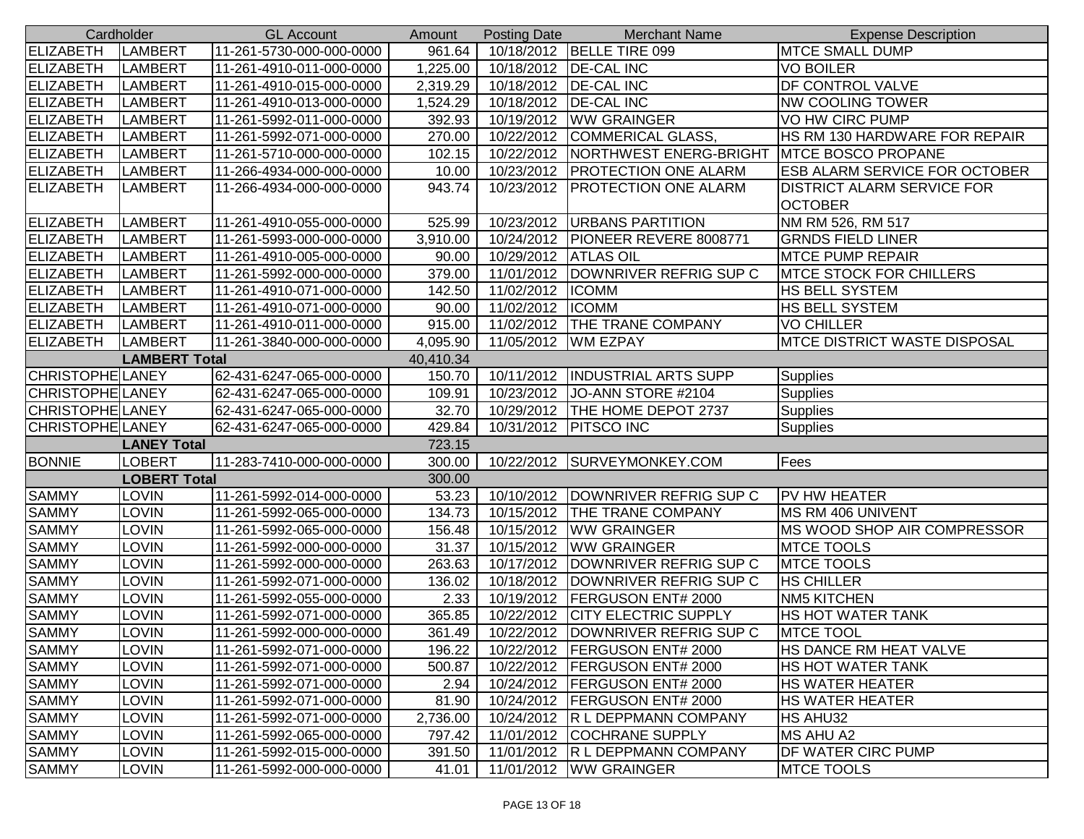| Cardholder              |                      | <b>GL Account</b>        | Amount    | <b>Posting Date</b> | <b>Merchant Name</b>            | <b>Expense Description</b>                          |
|-------------------------|----------------------|--------------------------|-----------|---------------------|---------------------------------|-----------------------------------------------------|
| <b>ELIZABETH</b>        | <b>LAMBERT</b>       | 11-261-5730-000-000-0000 | 961.64    |                     | 10/18/2012   BELLE TIRE 099     | <b>MTCE SMALL DUMP</b>                              |
| <b>ELIZABETH</b>        | <b>LAMBERT</b>       | 11-261-4910-011-000-0000 | 1,225.00  | 10/18/2012          | <b>DE-CAL INC</b>               | <b>VO BOILER</b>                                    |
| <b>ELIZABETH</b>        | <b>LAMBERT</b>       | 11-261-4910-015-000-0000 | 2,319.29  | 10/18/2012          | <b>DE-CAL INC</b>               | <b>DF CONTROL VALVE</b>                             |
| <b>ELIZABETH</b>        | <b>LAMBERT</b>       | 11-261-4910-013-000-0000 | 1,524.29  | 10/18/2012          | <b>DE-CAL INC</b>               | <b>NW COOLING TOWER</b>                             |
| <b>ELIZABETH</b>        | <b>LAMBERT</b>       | 11-261-5992-011-000-0000 | 392.93    | 10/19/2012          | <b>WW GRAINGER</b>              | VO HW CIRC PUMP                                     |
| <b>ELIZABETH</b>        | LAMBERT              | 11-261-5992-071-000-0000 | 270.00    | 10/22/2012          | <b>COMMERICAL GLASS,</b>        | HS RM 130 HARDWARE FOR REPAIR                       |
| <b>ELIZABETH</b>        | <b>LAMBERT</b>       | 11-261-5710-000-000-0000 | 102.15    | 10/22/2012          | <b>NORTHWEST ENERG-BRIGHT</b>   | <b>IMTCE BOSCO PROPANE</b>                          |
| <b>ELIZABETH</b>        | <b>LAMBERT</b>       | 11-266-4934-000-000-0000 | 10.00     | 10/23/2012          | <b>PROTECTION ONE ALARM</b>     | <b>ESB ALARM SERVICE FOR OCTOBER</b>                |
| <b>ELIZABETH</b>        | <b>LAMBERT</b>       | 11-266-4934-000-000-0000 | 943.74    | 10/23/2012          | PROTECTION ONE ALARM            | <b>DISTRICT ALARM SERVICE FOR</b><br><b>OCTOBER</b> |
| <b>ELIZABETH</b>        | LAMBERT              | 11-261-4910-055-000-0000 | 525.99    | 10/23/2012          | <b>URBANS PARTITION</b>         | NM RM 526, RM 517                                   |
| <b>ELIZABETH</b>        | <b>LAMBERT</b>       | 11-261-5993-000-000-0000 | 3,910.00  | 10/24/2012          | PIONEER REVERE 8008771          | <b>GRNDS FIELD LINER</b>                            |
| <b>ELIZABETH</b>        | <b>LAMBERT</b>       | 11-261-4910-005-000-0000 | 90.00     | 10/29/2012          | <b>ATLAS OIL</b>                | <b>MTCE PUMP REPAIR</b>                             |
| <b>ELIZABETH</b>        | <b>LAMBERT</b>       | 11-261-5992-000-000-0000 | 379.00    | 11/01/2012          | DOWNRIVER REFRIG SUP C          | <b>MTCE STOCK FOR CHILLERS</b>                      |
| <b>ELIZABETH</b>        | <b>LAMBERT</b>       | 11-261-4910-071-000-0000 | 142.50    | 11/02/2012          | <b>ICOMM</b>                    | <b>HS BELL SYSTEM</b>                               |
| <b>ELIZABETH</b>        | <b>LAMBERT</b>       | 11-261-4910-071-000-0000 | 90.00     | 11/02/2012          | <b>ICOMM</b>                    | <b>HS BELL SYSTEM</b>                               |
| <b>ELIZABETH</b>        | <b>LAMBERT</b>       | 11-261-4910-011-000-0000 | 915.00    | 11/02/2012          | <b>THE TRANE COMPANY</b>        | <b>VO CHILLER</b>                                   |
| <b>ELIZABETH</b>        | <b>LAMBERT</b>       | 11-261-3840-000-000-0000 | 4,095.90  | 11/05/2012          | <b>WM EZPAY</b>                 | <b>IMTCE DISTRICT WASTE DISPOSAL</b>                |
|                         | <b>LAMBERT Total</b> |                          | 40,410.34 |                     |                                 |                                                     |
| <b>CHRISTOPHE LANEY</b> |                      | 62-431-6247-065-000-0000 | 150.70    | 10/11/2012          | <b>INDUSTRIAL ARTS SUPP</b>     | <b>Supplies</b>                                     |
| CHRISTOPHE LANEY        |                      | 62-431-6247-065-000-0000 | 109.91    | 10/23/2012          | JO-ANN STORE #2104              | Supplies                                            |
| CHRISTOPHE LANEY        |                      | 62-431-6247-065-000-0000 | 32.70     | 10/29/2012          | THE HOME DEPOT 2737             | Supplies                                            |
| <b>CHRISTOPHE LANEY</b> |                      | 62-431-6247-065-000-0000 | 429.84    | 10/31/2012          | <b>PITSCO INC</b>               | Supplies                                            |
|                         | <b>LANEY Total</b>   |                          | 723.15    |                     |                                 |                                                     |
| <b>BONNIE</b>           | <b>LOBERT</b>        | 11-283-7410-000-000-0000 | 300.00    | 10/22/2012          | SURVEYMONKEY.COM                | Fees                                                |
|                         | <b>LOBERT Total</b>  |                          | 300.00    |                     |                                 |                                                     |
| <b>SAMMY</b>            | <b>LOVIN</b>         | 11-261-5992-014-000-0000 | 53.23     | 10/10/2012          | DOWNRIVER REFRIG SUP C          | <b>PV HW HEATER</b>                                 |
| <b>SAMMY</b>            | <b>LOVIN</b>         | 11-261-5992-065-000-0000 | 134.73    | 10/15/2012          | THE TRANE COMPANY               | <b>MS RM 406 UNIVENT</b>                            |
| <b>SAMMY</b>            | <b>LOVIN</b>         | 11-261-5992-065-000-0000 | 156.48    | 10/15/2012          | <b>WW GRAINGER</b>              | MS WOOD SHOP AIR COMPRESSOR                         |
| <b>SAMMY</b>            | <b>LOVIN</b>         | 11-261-5992-000-000-0000 | 31.37     | 10/15/2012          | <b>WW GRAINGER</b>              | <b>MTCE TOOLS</b>                                   |
| <b>SAMMY</b>            | <b>LOVIN</b>         | 11-261-5992-000-000-0000 | 263.63    | 10/17/2012          | DOWNRIVER REFRIG SUP C          | <b>MTCE TOOLS</b>                                   |
| <b>SAMMY</b>            | <b>LOVIN</b>         | 11-261-5992-071-000-0000 | 136.02    | 10/18/2012          | DOWNRIVER REFRIG SUP C          | <b>HS CHILLER</b>                                   |
| <b>SAMMY</b>            | <b>LOVIN</b>         | 11-261-5992-055-000-0000 | 2.33      | 10/19/2012          | FERGUSON ENT# 2000              | <b>NM5 KITCHEN</b>                                  |
| <b>SAMMY</b>            | <b>LOVIN</b>         | 11-261-5992-071-000-0000 | 365.85    | 10/22/2012          | <b>CITY ELECTRIC SUPPLY</b>     | <b>HS HOT WATER TANK</b>                            |
| <b>SAMMY</b>            | <b>LOVIN</b>         | 11-261-5992-000-000-0000 | 361.49    | 10/22/2012          | IDOWNRIVER REFRIG SUP C         | <b>MTCE TOOL</b>                                    |
| <b>SAMMY</b>            | <b>LOVIN</b>         | 11-261-5992-071-000-0000 | 196.22    |                     | 10/22/2012   FERGUSON ENT# 2000 | <b>HS DANCE RM HEAT VALVE</b>                       |
| <b>SAMMY</b>            | <b>LOVIN</b>         | 11-261-5992-071-000-0000 | 500.87    | 10/22/2012          | <b>FERGUSON ENT# 2000</b>       | <b>HS HOT WATER TANK</b>                            |
| <b>SAMMY</b>            | <b>LOVIN</b>         | 11-261-5992-071-000-0000 | 2.94      | 10/24/2012          | <b>FERGUSON ENT# 2000</b>       | <b>HS WATER HEATER</b>                              |
| <b>SAMMY</b>            | <b>LOVIN</b>         | 11-261-5992-071-000-0000 | 81.90     | 10/24/2012          | <b>FERGUSON ENT# 2000</b>       | <b>HS WATER HEATER</b>                              |
| <b>SAMMY</b>            | <b>LOVIN</b>         | 11-261-5992-071-000-0000 | 2,736.00  | 10/24/2012          | <b>R L DEPPMANN COMPANY</b>     | HS AHU32                                            |
| <b>SAMMY</b>            | <b>LOVIN</b>         | 11-261-5992-065-000-0000 | 797.42    | 11/01/2012          | <b>COCHRANE SUPPLY</b>          | <b>MS AHU A2</b>                                    |
| <b>SAMMY</b>            | <b>LOVIN</b>         | 11-261-5992-015-000-0000 | 391.50    |                     | 11/01/2012 R L DEPPMANN COMPANY | <b>DF WATER CIRC PUMP</b>                           |
| <b>SAMMY</b>            | <b>LOVIN</b>         | 11-261-5992-000-000-0000 | 41.01     |                     | 11/01/2012   WW GRAINGER        | <b>MTCE TOOLS</b>                                   |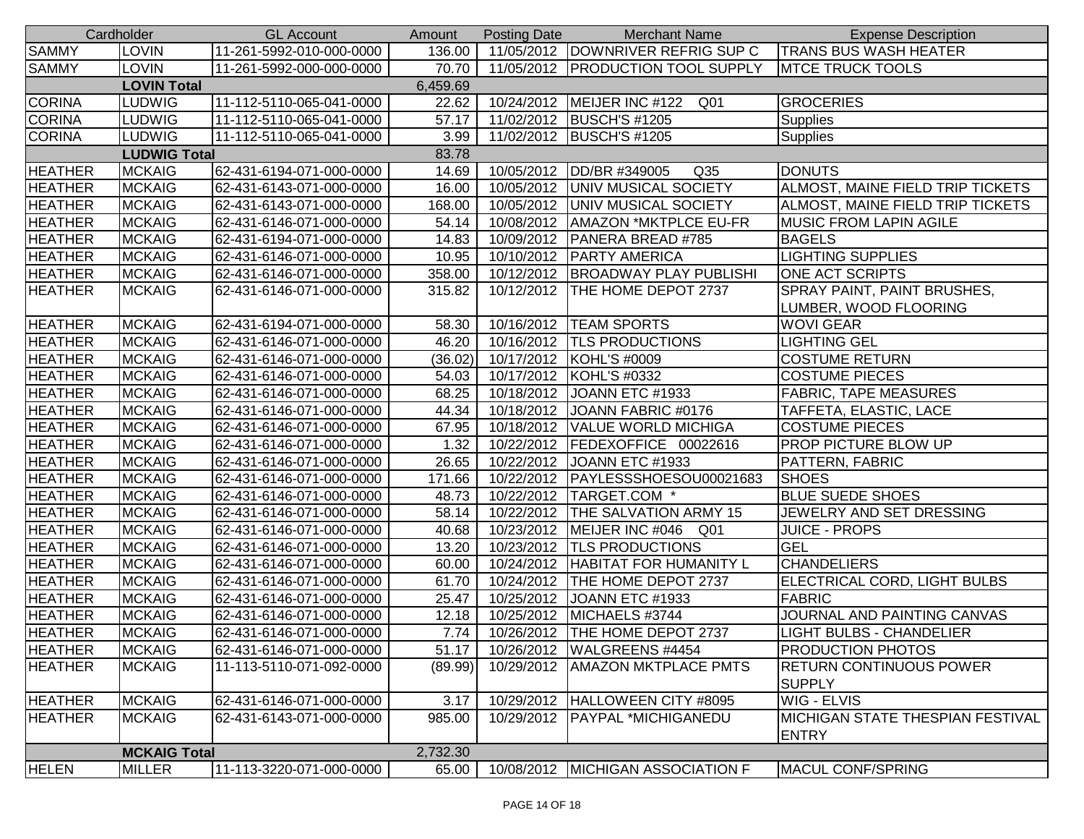|                | Cardholder          | <b>GL Account</b>        | Amount   | <b>Posting Date</b> | <b>Merchant Name</b>                | <b>Expense Description</b>                       |
|----------------|---------------------|--------------------------|----------|---------------------|-------------------------------------|--------------------------------------------------|
| <b>SAMMY</b>   | <b>LOVIN</b>        | 11-261-5992-010-000-0000 | 136.00   |                     | 11/05/2012 DOWNRIVER REFRIG SUP C   | <b>TRANS BUS WASH HEATER</b>                     |
| <b>SAMMY</b>   | <b>LOVIN</b>        | 11-261-5992-000-000-0000 | 70.70    |                     | 11/05/2012   PRODUCTION TOOL SUPPLY | <b>MTCE TRUCK TOOLS</b>                          |
|                | <b>LOVIN Total</b>  |                          | 6,459.69 |                     |                                     |                                                  |
| <b>CORINA</b>  | <b>LUDWIG</b>       | 11-112-5110-065-041-0000 | 22.62    |                     | 10/24/2012   MEIJER INC #122 Q01    | <b>GROCERIES</b>                                 |
| <b>CORINA</b>  | <b>LUDWIG</b>       | 11-112-5110-065-041-0000 | 57.17    |                     | 11/02/2012 BUSCH'S #1205            | <b>Supplies</b>                                  |
| <b>CORINA</b>  | <b>LUDWIG</b>       | 11-112-5110-065-041-0000 | 3.99     |                     | 11/02/2012 BUSCH'S #1205            | <b>Supplies</b>                                  |
|                | <b>LUDWIG Total</b> |                          | 83.78    |                     |                                     |                                                  |
| <b>HEATHER</b> | <b>MCKAIG</b>       | 62-431-6194-071-000-0000 | 14.69    | 10/05/2012          | DD/BR #349005<br>Q <sub>35</sub>    | <b>DONUTS</b>                                    |
| <b>HEATHER</b> | <b>MCKAIG</b>       | 62-431-6143-071-000-0000 | 16.00    |                     | 10/05/2012 UNIV MUSICAL SOCIETY     | ALMOST, MAINE FIELD TRIP TICKETS                 |
| <b>HEATHER</b> | <b>MCKAIG</b>       | 62-431-6143-071-000-0000 | 168.00   | 10/05/2012          | UNIV MUSICAL SOCIETY                | ALMOST, MAINE FIELD TRIP TICKETS                 |
| <b>HEATHER</b> | <b>MCKAIG</b>       | 62-431-6146-071-000-0000 | 54.14    | 10/08/2012          | <b>AMAZON *MKTPLCE EU-FR</b>        | <b>MUSIC FROM LAPIN AGILE</b>                    |
| <b>HEATHER</b> | <b>MCKAIG</b>       | 62-431-6194-071-000-0000 | 14.83    | 10/09/2012          | PANERA BREAD #785                   | <b>BAGELS</b>                                    |
| <b>HEATHER</b> | <b>MCKAIG</b>       | 62-431-6146-071-000-0000 | 10.95    | 10/10/2012          | <b>PARTY AMERICA</b>                | <b>LIGHTING SUPPLIES</b>                         |
| <b>HEATHER</b> | <b>MCKAIG</b>       | 62-431-6146-071-000-0000 | 358.00   | 10/12/2012          | <b>BROADWAY PLAY PUBLISHI</b>       | <b>ONE ACT SCRIPTS</b>                           |
| <b>HEATHER</b> | <b>MCKAIG</b>       | 62-431-6146-071-000-0000 | 315.82   | 10/12/2012          | <b>THE HOME DEPOT 2737</b>          | SPRAY PAINT, PAINT BRUSHES,                      |
|                |                     |                          |          |                     |                                     | LUMBER, WOOD FLOORING                            |
| <b>HEATHER</b> | <b>MCKAIG</b>       | 62-431-6194-071-000-0000 | 58.30    |                     | 10/16/2012   TEAM SPORTS            | <b>WOVI GEAR</b>                                 |
| <b>HEATHER</b> | <b>MCKAIG</b>       | 62-431-6146-071-000-0000 | 46.20    |                     | 10/16/2012  TLS PRODUCTIONS         | <b>LIGHTING GEL</b>                              |
| <b>HEATHER</b> | <b>MCKAIG</b>       | 62-431-6146-071-000-0000 | (36.02)  |                     | 10/17/2012 KOHL'S #0009             | <b>COSTUME RETURN</b>                            |
| <b>HEATHER</b> | <b>MCKAIG</b>       | 62-431-6146-071-000-0000 | 54.03    |                     | 10/17/2012   KOHL'S #0332           | <b>COSTUME PIECES</b>                            |
| <b>HEATHER</b> | <b>MCKAIG</b>       | 62-431-6146-071-000-0000 | 68.25    | 10/18/2012          | JOANN ETC #1933                     | <b>FABRIC, TAPE MEASURES</b>                     |
| <b>HEATHER</b> | <b>MCKAIG</b>       | 62-431-6146-071-000-0000 | 44.34    |                     | 10/18/2012 JOANN FABRIC #0176       | TAFFETA, ELASTIC, LACE                           |
| <b>HEATHER</b> | <b>MCKAIG</b>       | 62-431-6146-071-000-0000 | 67.95    | 10/18/2012          | <b>VALUE WORLD MICHIGA</b>          | <b>COSTUME PIECES</b>                            |
| <b>HEATHER</b> | <b>MCKAIG</b>       | 62-431-6146-071-000-0000 | 1.32     | 10/22/2012          | FEDEXOFFICE 00022616                | <b>PROP PICTURE BLOW UP</b>                      |
| <b>HEATHER</b> | <b>MCKAIG</b>       | 62-431-6146-071-000-0000 | 26.65    | 10/22/2012          | JOANN ETC #1933                     | PATTERN, FABRIC                                  |
| <b>HEATHER</b> | <b>MCKAIG</b>       | 62-431-6146-071-000-0000 | 171.66   | 10/22/2012          | PAYLESSSHOESOU00021683              | <b>SHOES</b>                                     |
| <b>HEATHER</b> | <b>MCKAIG</b>       | 62-431-6146-071-000-0000 | 48.73    | 10/22/2012          | TARGET.COM *                        | <b>BLUE SUEDE SHOES</b>                          |
| <b>HEATHER</b> | <b>MCKAIG</b>       | 62-431-6146-071-000-0000 | 58.14    |                     | 10/22/2012 THE SALVATION ARMY 15    | JEWELRY AND SET DRESSING                         |
| <b>HEATHER</b> | <b>MCKAIG</b>       | 62-431-6146-071-000-0000 | 40.68    |                     | 10/23/2012 MEIJER INC #046 Q01      | <b>JUICE - PROPS</b>                             |
| <b>HEATHER</b> | <b>MCKAIG</b>       | 62-431-6146-071-000-0000 | 13.20    | 10/23/2012          | <b>TLS PRODUCTIONS</b>              | <b>GEL</b>                                       |
| <b>HEATHER</b> | <b>MCKAIG</b>       | 62-431-6146-071-000-0000 | 60.00    |                     | 10/24/2012   HABITAT FOR HUMANITY L | <b>CHANDELIERS</b>                               |
| <b>HEATHER</b> | <b>MCKAIG</b>       | 62-431-6146-071-000-0000 | 61.70    | 10/24/2012          | <b>THE HOME DEPOT 2737</b>          | ELECTRICAL CORD, LIGHT BULBS                     |
| <b>HEATHER</b> | <b>MCKAIG</b>       | 62-431-6146-071-000-0000 | 25.47    | 10/25/2012          | JOANN ETC #1933                     | <b>FABRIC</b>                                    |
| <b>HEATHER</b> | <b>MCKAIG</b>       | 62-431-6146-071-000-0000 | 12.18    | 10/25/2012          | MICHAELS #3744                      | JOURNAL AND PAINTING CANVAS                      |
| <b>HEATHER</b> | <b>MCKAIG</b>       | 62-431-6146-071-000-0000 |          |                     | 7.74 10/26/2012 THE HOME DEPOT 2737 | <b>LIGHT BULBS - CHANDELIER</b>                  |
| <b>HEATHER</b> | <b>MCKAIG</b>       | 62-431-6146-071-000-0000 | 51.17    |                     | 10/26/2012   WALGREENS #4454        | <b>PRODUCTION PHOTOS</b>                         |
| <b>HEATHER</b> | <b>MCKAIG</b>       | 11-113-5110-071-092-0000 | (89.99)  | 10/29/2012          | <b>AMAZON MKTPLACE PMTS</b>         | <b>RETURN CONTINUOUS POWER</b><br><b>SUPPLY</b>  |
| <b>HEATHER</b> | <b>MCKAIG</b>       | 62-431-6146-071-000-0000 | 3.17     | 10/29/2012          | HALLOWEEN CITY #8095                | <b>WIG - ELVIS</b>                               |
| <b>HEATHER</b> | <b>MCKAIG</b>       | 62-431-6143-071-000-0000 | 985.00   | 10/29/2012          | <b>PAYPAL *MICHIGANEDU</b>          | MICHIGAN STATE THESPIAN FESTIVAL<br><b>ENTRY</b> |
|                | <b>MCKAIG Total</b> |                          | 2,732.30 |                     |                                     |                                                  |
| <b>HELEN</b>   | <b>MILLER</b>       | 11-113-3220-071-000-0000 | 65.00    |                     | 10/08/2012 MICHIGAN ASSOCIATION F   | MACUL CONF/SPRING                                |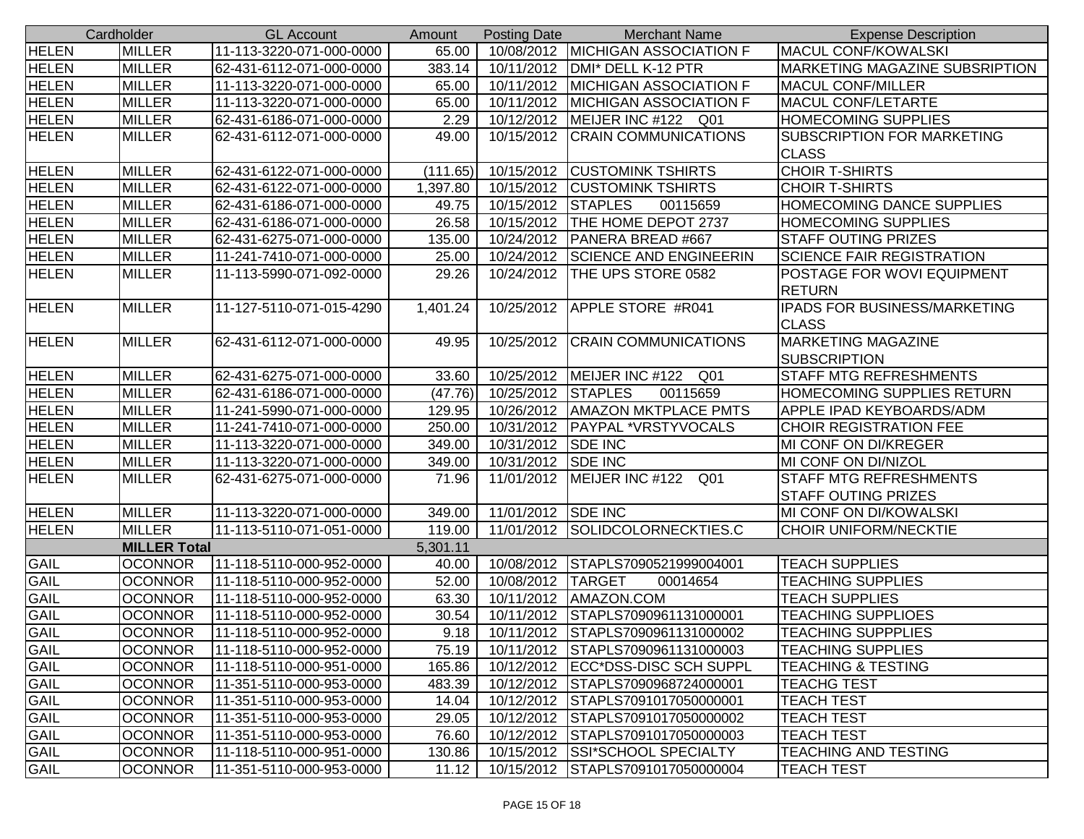|              | Cardholder          | <b>GL Account</b>        | Amount   | <b>Posting Date</b> | <b>Merchant Name</b>                | <b>Expense Description</b>            |
|--------------|---------------------|--------------------------|----------|---------------------|-------------------------------------|---------------------------------------|
| <b>HELEN</b> | <b>MILLER</b>       | 11-113-3220-071-000-0000 | 65.00    |                     | 10/08/2012   MICHIGAN ASSOCIATION F | <b>MACUL CONF/KOWALSKI</b>            |
| <b>HELEN</b> | <b>MILLER</b>       | 62-431-6112-071-000-0000 | 383.14   | 10/11/2012          | DMI* DELL K-12 PTR                  | <b>MARKETING MAGAZINE SUBSRIPTION</b> |
| <b>HELEN</b> | <b>MILLER</b>       | 11-113-3220-071-000-0000 | 65.00    | 10/11/2012          | <b>MICHIGAN ASSOCIATION F</b>       | <b>MACUL CONF/MILLER</b>              |
| <b>HELEN</b> | <b>MILLER</b>       | 11-113-3220-071-000-0000 | 65.00    | 10/11/2012          | <b>MICHIGAN ASSOCIATION F</b>       | MACUL CONF/LETARTE                    |
| <b>HELEN</b> | <b>MILLER</b>       | 62-431-6186-071-000-0000 | 2.29     | 10/12/2012          | MEIJER INC #122 Q01                 | <b>HOMECOMING SUPPLIES</b>            |
| <b>HELEN</b> | <b>MILLER</b>       | 62-431-6112-071-000-0000 | 49.00    | 10/15/2012          | <b>CRAIN COMMUNICATIONS</b>         | <b>SUBSCRIPTION FOR MARKETING</b>     |
|              |                     |                          |          |                     |                                     | <b>CLASS</b>                          |
| <b>HELEN</b> | <b>MILLER</b>       | 62-431-6122-071-000-0000 | (111.65) | 10/15/2012          | <b>CUSTOMINK TSHIRTS</b>            | <b>CHOIR T-SHIRTS</b>                 |
| <b>HELEN</b> | <b>MILLER</b>       | 62-431-6122-071-000-0000 | 1,397.80 | 10/15/2012          | <b>CUSTOMINK TSHIRTS</b>            | <b>CHOIR T-SHIRTS</b>                 |
| <b>HELEN</b> | <b>MILLER</b>       | 62-431-6186-071-000-0000 | 49.75    | 10/15/2012          | <b>STAPLES</b><br>00115659          | <b>HOMECOMING DANCE SUPPLIES</b>      |
| <b>HELEN</b> | <b>MILLER</b>       | 62-431-6186-071-000-0000 | 26.58    | 10/15/2012          | THE HOME DEPOT 2737                 | <b>HOMECOMING SUPPLIES</b>            |
| <b>HELEN</b> | <b>MILLER</b>       | 62-431-6275-071-000-0000 | 135.00   | 10/24/2012          | PANERA BREAD #667                   | <b>STAFF OUTING PRIZES</b>            |
| <b>HELEN</b> | <b>MILLER</b>       | 11-241-7410-071-000-0000 | 25.00    | 10/24/2012          | <b>SCIENCE AND ENGINEERIN</b>       | <b>SCIENCE FAIR REGISTRATION</b>      |
| <b>HELEN</b> | <b>MILLER</b>       | 11-113-5990-071-092-0000 | 29.26    | 10/24/2012          | THE UPS STORE 0582                  | POSTAGE FOR WOVI EQUIPMENT            |
|              |                     |                          |          |                     |                                     | <b>RETURN</b>                         |
| <b>HELEN</b> | <b>MILLER</b>       | 11-127-5110-071-015-4290 | 1,401.24 |                     | 10/25/2012 APPLE STORE #R041        | <b>IPADS FOR BUSINESS/MARKETING</b>   |
|              |                     |                          |          |                     |                                     | <b>CLASS</b>                          |
| <b>HELEN</b> | <b>MILLER</b>       | 62-431-6112-071-000-0000 | 49.95    | 10/25/2012          | <b>CRAIN COMMUNICATIONS</b>         | <b>MARKETING MAGAZINE</b>             |
|              |                     |                          |          |                     |                                     | <b>SUBSCRIPTION</b>                   |
| <b>HELEN</b> | <b>MILLER</b>       | 62-431-6275-071-000-0000 | 33.60    |                     | 10/25/2012   MEIJER INC #122 Q01    | <b>STAFF MTG REFRESHMENTS</b>         |
| <b>HELEN</b> | <b>MILLER</b>       | 62-431-6186-071-000-0000 | (47.76)  | 10/25/2012          | <b>STAPLES</b><br>00115659          | <b>HOMECOMING SUPPLIES RETURN</b>     |
| <b>HELEN</b> | <b>MILLER</b>       | 11-241-5990-071-000-0000 | 129.95   |                     | 10/26/2012   AMAZON MKTPLACE PMTS   | <b>APPLE IPAD KEYBOARDS/ADM</b>       |
| <b>HELEN</b> | <b>MILLER</b>       | 11-241-7410-071-000-0000 | 250.00   |                     | 10/31/2012   PAYPAL *VRSTYVOCALS    | <b>CHOIR REGISTRATION FEE</b>         |
| <b>HELEN</b> | <b>MILLER</b>       | 11-113-3220-071-000-0000 | 349.00   | 10/31/2012          | <b>SDE INC</b>                      | MI CONF ON DI/KREGER                  |
| <b>HELEN</b> | <b>MILLER</b>       | 11-113-3220-071-000-0000 | 349.00   | 10/31/2012          | <b>SDE INC</b>                      | MI CONF ON DI/NIZOL                   |
| <b>HELEN</b> | <b>MILLER</b>       | 62-431-6275-071-000-0000 | 71.96    | 11/01/2012          | MEIJER INC #122 Q01                 | <b>STAFF MTG REFRESHMENTS</b>         |
|              |                     |                          |          |                     |                                     | <b>STAFF OUTING PRIZES</b>            |
| <b>HELEN</b> | <b>MILLER</b>       | 11-113-3220-071-000-0000 | 349.00   | 11/01/2012 SDE INC  |                                     | <b>MI CONF ON DI/KOWALSKI</b>         |
| <b>HELEN</b> | <b>MILLER</b>       | 11-113-5110-071-051-0000 | 119.00   |                     | 11/01/2012 SOLIDCOLORNECKTIES.C     | <b>CHOIR UNIFORM/NECKTIE</b>          |
|              | <b>MILLER Total</b> |                          | 5,301.11 |                     |                                     |                                       |
| <b>GAIL</b>  | <b>OCONNOR</b>      | 11-118-5110-000-952-0000 | 40.00    | 10/08/2012          | STAPLS7090521999004001              | <b>TEACH SUPPLIES</b>                 |
| GAIL         | <b>OCONNOR</b>      | 11-118-5110-000-952-0000 | 52.00    | 10/08/2012          | <b>TARGET</b><br>00014654           | <b>TEACHING SUPPLIES</b>              |
| <b>GAIL</b>  | <b>OCONNOR</b>      | 11-118-5110-000-952-0000 | 63.30    |                     | 10/11/2012   AMAZON.COM             | <b>TEACH SUPPLIES</b>                 |
| <b>GAIL</b>  | <b>OCONNOR</b>      | 11-118-5110-000-952-0000 | 30.54    | 10/11/2012          | STAPLS7090961131000001              | <b>TEACHING SUPPLIOES</b>             |
| <b>GAIL</b>  | <b>OCONNOR</b>      | 11-118-5110-000-952-0000 | 9.18     |                     | 10/11/2012 STAPLS7090961131000002   | <b>TEACHING SUPPPLIES</b>             |
| <b>GAIL</b>  | <b>OCONNOR</b>      | 11-118-5110-000-952-0000 | 75.19    |                     | 10/11/2012 STAPLS7090961131000003   | <b>TEACHING SUPPLIES</b>              |
| GAIL         | <b>OCONNOR</b>      | 11-118-5110-000-951-0000 | 165.86   |                     | 10/12/2012   ECC*DSS-DISC SCH SUPPL | <b>TEACHING &amp; TESTING</b>         |
| <b>GAIL</b>  | <b>OCONNOR</b>      | 11-351-5110-000-953-0000 | 483.39   |                     | 10/12/2012 STAPLS7090968724000001   | <b>TEACHG TEST</b>                    |
| <b>GAIL</b>  | <b>OCONNOR</b>      | 11-351-5110-000-953-0000 | 14.04    |                     | 10/12/2012 STAPLS7091017050000001   | <b>TEACH TEST</b>                     |
| <b>GAIL</b>  | <b>OCONNOR</b>      | 11-351-5110-000-953-0000 | 29.05    | 10/12/2012          | STAPLS7091017050000002              | <b>TEACH TEST</b>                     |
| <b>GAIL</b>  | <b>OCONNOR</b>      | 11-351-5110-000-953-0000 | 76.60    | 10/12/2012          | STAPLS7091017050000003              | <b>TEACH TEST</b>                     |
| GAIL         | <b>OCONNOR</b>      | 11-118-5110-000-951-0000 | 130.86   |                     | 10/15/2012 SSI*SCHOOL SPECIALTY     | <b>TEACHING AND TESTING</b>           |
| <b>GAIL</b>  | <b>OCONNOR</b>      | 11-351-5110-000-953-0000 | 11.12    | 10/15/2012          | STAPLS7091017050000004              | <b>TEACH TEST</b>                     |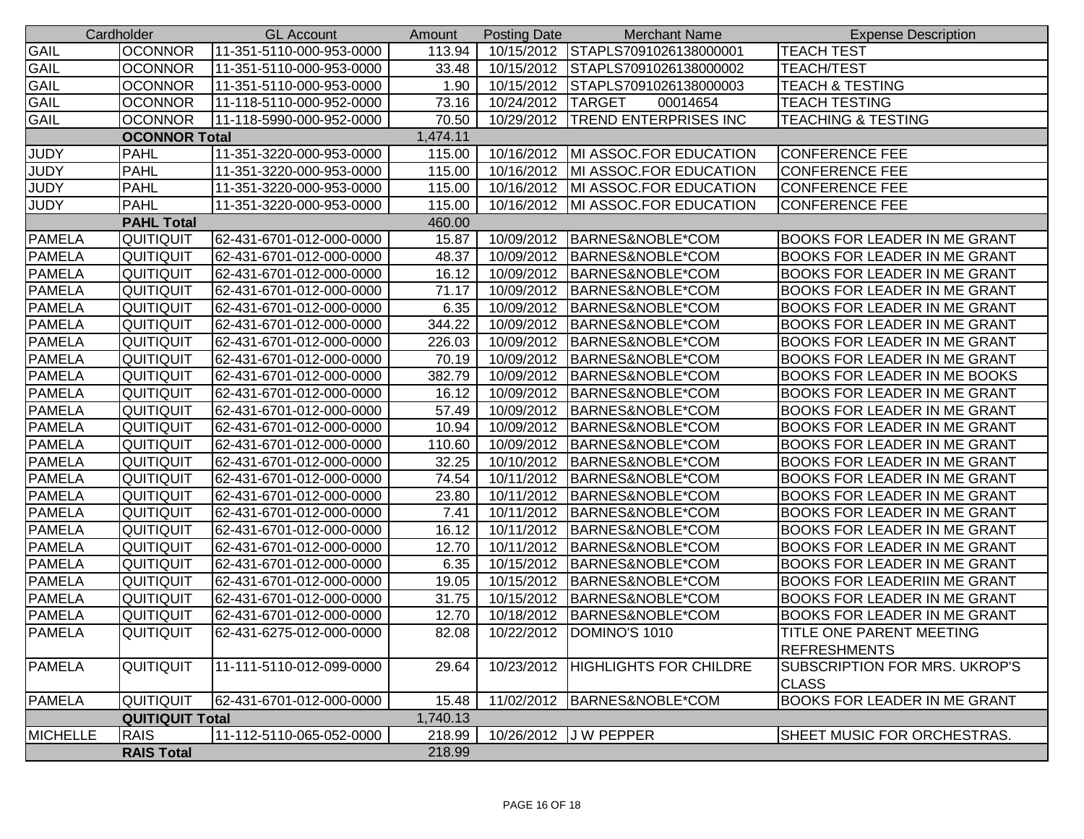|                 | Cardholder             | <b>GL Account</b>        | Amount   | <b>Posting Date</b> | <b>Merchant Name</b>              | <b>Expense Description</b>                    |
|-----------------|------------------------|--------------------------|----------|---------------------|-----------------------------------|-----------------------------------------------|
| GAIL            | <b>OCONNOR</b>         | 11-351-5110-000-953-0000 | 113.94   |                     | 10/15/2012 STAPLS7091026138000001 | <b>TEACH TEST</b>                             |
| <b>GAIL</b>     | <b>OCONNOR</b>         | 11-351-5110-000-953-0000 | 33.48    | 10/15/2012          | STAPLS7091026138000002            | <b>TEACH/TEST</b>                             |
| <b>GAIL</b>     | <b>OCONNOR</b>         | 11-351-5110-000-953-0000 | 1.90     | 10/15/2012          | STAPLS7091026138000003            | <b>TEACH &amp; TESTING</b>                    |
| <b>GAIL</b>     | <b>OCONNOR</b>         | 11-118-5110-000-952-0000 | 73.16    | 10/24/2012 TARGET   | 00014654                          | <b>TEACH TESTING</b>                          |
| <b>GAIL</b>     | <b>OCONNOR</b>         | 11-118-5990-000-952-0000 | 70.50    |                     | 10/29/2012  TREND ENTERPRISES INC | <b>TEACHING &amp; TESTING</b>                 |
|                 | <b>OCONNOR Total</b>   |                          | 1,474.11 |                     |                                   |                                               |
| <b>JUDY</b>     | <b>PAHL</b>            | 11-351-3220-000-953-0000 | 115.00   | 10/16/2012          | MI ASSOC.FOR EDUCATION            | <b>CONFERENCE FEE</b>                         |
| <b>JUDY</b>     | <b>PAHL</b>            | 11-351-3220-000-953-0000 | 115.00   | 10/16/2012          | MI ASSOC.FOR EDUCATION            | <b>CONFERENCE FEE</b>                         |
| <b>JUDY</b>     | <b>PAHL</b>            | 11-351-3220-000-953-0000 | 115.00   | 10/16/2012          | MI ASSOC.FOR EDUCATION            | <b>CONFERENCE FEE</b>                         |
| <b>JUDY</b>     | <b>PAHL</b>            | 11-351-3220-000-953-0000 | 115.00   | 10/16/2012          | MI ASSOC.FOR EDUCATION            | <b>CONFERENCE FEE</b>                         |
|                 | <b>PAHL Total</b>      |                          | 460.00   |                     |                                   |                                               |
| <b>PAMELA</b>   | QUITIQUIT              | 62-431-6701-012-000-0000 | 15.87    | 10/09/2012          | BARNES&NOBLE*COM                  | <b>BOOKS FOR LEADER IN ME GRANT</b>           |
| <b>PAMELA</b>   | QUITIQUIT              | 62-431-6701-012-000-0000 | 48.37    | 10/09/2012          | BARNES&NOBLE*COM                  | <b>BOOKS FOR LEADER IN ME GRANT</b>           |
| <b>PAMELA</b>   | QUITIQUIT              | 62-431-6701-012-000-0000 | 16.12    | 10/09/2012          | BARNES&NOBLE*COM                  | <b>BOOKS FOR LEADER IN ME GRANT</b>           |
| <b>PAMELA</b>   | QUITIQUIT              | 62-431-6701-012-000-0000 | 71.17    | 10/09/2012          | BARNES&NOBLE*COM                  | <b>BOOKS FOR LEADER IN ME GRANT</b>           |
| <b>PAMELA</b>   | QUITIQUIT              | 62-431-6701-012-000-0000 | 6.35     | 10/09/2012          | BARNES&NOBLE*COM                  | <b>BOOKS FOR LEADER IN ME GRANT</b>           |
| <b>PAMELA</b>   | QUITIQUIT              | 62-431-6701-012-000-0000 | 344.22   | 10/09/2012          | BARNES&NOBLE*COM                  | <b>BOOKS FOR LEADER IN ME GRANT</b>           |
| <b>PAMELA</b>   | <b>QUITIQUIT</b>       | 62-431-6701-012-000-0000 | 226.03   | 10/09/2012          | BARNES&NOBLE*COM                  | <b>BOOKS FOR LEADER IN ME GRANT</b>           |
| <b>PAMELA</b>   | QUITIQUIT              | 62-431-6701-012-000-0000 | 70.19    | 10/09/2012          | BARNES&NOBLE*COM                  | <b>BOOKS FOR LEADER IN ME GRANT</b>           |
| <b>PAMELA</b>   | QUITIQUIT              | 62-431-6701-012-000-0000 | 382.79   | 10/09/2012          | BARNES&NOBLE*COM                  | <b>BOOKS FOR LEADER IN ME BOOKS</b>           |
| PAMELA          | QUITIQUIT              | 62-431-6701-012-000-0000 | 16.12    | 10/09/2012          | BARNES&NOBLE*COM                  | <b>BOOKS FOR LEADER IN ME GRANT</b>           |
| <b>PAMELA</b>   | QUITIQUIT              | 62-431-6701-012-000-0000 | 57.49    | 10/09/2012          | BARNES&NOBLE*COM                  | <b>BOOKS FOR LEADER IN ME GRANT</b>           |
| <b>PAMELA</b>   | QUITIQUIT              | 62-431-6701-012-000-0000 | 10.94    | 10/09/2012          | BARNES&NOBLE*COM                  | <b>BOOKS FOR LEADER IN ME GRANT</b>           |
| <b>PAMELA</b>   | QUITIQUIT              | 62-431-6701-012-000-0000 | 110.60   | 10/09/2012          | BARNES&NOBLE*COM                  | <b>BOOKS FOR LEADER IN ME GRANT</b>           |
| <b>PAMELA</b>   | QUITIQUIT              | 62-431-6701-012-000-0000 | 32.25    | 10/10/2012          | BARNES&NOBLE*COM                  | <b>BOOKS FOR LEADER IN ME GRANT</b>           |
| <b>PAMELA</b>   | QUITIQUIT              | 62-431-6701-012-000-0000 | 74.54    | 10/11/2012          | BARNES&NOBLE*COM                  | <b>BOOKS FOR LEADER IN ME GRANT</b>           |
| <b>PAMELA</b>   | QUITIQUIT              | 62-431-6701-012-000-0000 | 23.80    | 10/11/2012          | BARNES&NOBLE*COM                  | <b>BOOKS FOR LEADER IN ME GRANT</b>           |
| <b>PAMELA</b>   | QUITIQUIT              | 62-431-6701-012-000-0000 | 7.41     | 10/11/2012          | BARNES&NOBLE*COM                  | <b>BOOKS FOR LEADER IN ME GRANT</b>           |
| <b>PAMELA</b>   | QUITIQUIT              | 62-431-6701-012-000-0000 | 16.12    | 10/11/2012          | BARNES&NOBLE*COM                  | <b>BOOKS FOR LEADER IN ME GRANT</b>           |
| <b>PAMELA</b>   | <b>QUITIQUIT</b>       | 62-431-6701-012-000-0000 | 12.70    | 10/11/2012          | BARNES&NOBLE*COM                  | <b>BOOKS FOR LEADER IN ME GRANT</b>           |
| <b>PAMELA</b>   | <b>QUITIQUIT</b>       | 62-431-6701-012-000-0000 | 6.35     | 10/15/2012          | BARNES&NOBLE*COM                  | <b>BOOKS FOR LEADER IN ME GRANT</b>           |
| <b>PAMELA</b>   | QUITIQUIT              | 62-431-6701-012-000-0000 | 19.05    | 10/15/2012          | BARNES&NOBLE*COM                  | <b>BOOKS FOR LEADERIIN ME GRANT</b>           |
| <b>PAMELA</b>   | QUITIQUIT              | 62-431-6701-012-000-0000 | 31.75    | 10/15/2012          | BARNES&NOBLE*COM                  | <b>BOOKS FOR LEADER IN ME GRANT</b>           |
| <b>PAMELA</b>   | QUITIQUIT              | 62-431-6701-012-000-0000 | 12.70    | 10/18/2012          | BARNES&NOBLE*COM                  | <b>BOOKS FOR LEADER IN ME GRANT</b>           |
| <b>PAMELA</b>   | QUITIQUIT              | 62-431-6275-012-000-0000 | 82.08    |                     | 10/22/2012   DOMINO'S 1010        | <b>TITLE ONE PARENT MEETING</b>               |
|                 |                        |                          |          |                     |                                   | <b>REFRESHMENTS</b>                           |
| <b>PAMELA</b>   | QUITIQUIT              | 11-111-5110-012-099-0000 | 29.64    | 10/23/2012          | HIGHLIGHTS FOR CHILDRE            | SUBSCRIPTION FOR MRS. UKROP'S<br><b>CLASS</b> |
| <b>PAMELA</b>   | QUITIQUIT              | 62-431-6701-012-000-0000 | 15.48    |                     | 11/02/2012 BARNES&NOBLE*COM       | <b>BOOKS FOR LEADER IN ME GRANT</b>           |
|                 | <b>QUITIQUIT Total</b> |                          | 1,740.13 |                     |                                   |                                               |
| <b>MICHELLE</b> | <b>RAIS</b>            | 11-112-5110-065-052-0000 | 218.99   |                     | 10/26/2012 J W PEPPER             | SHEET MUSIC FOR ORCHESTRAS.                   |
|                 | <b>RAIS Total</b>      |                          | 218.99   |                     |                                   |                                               |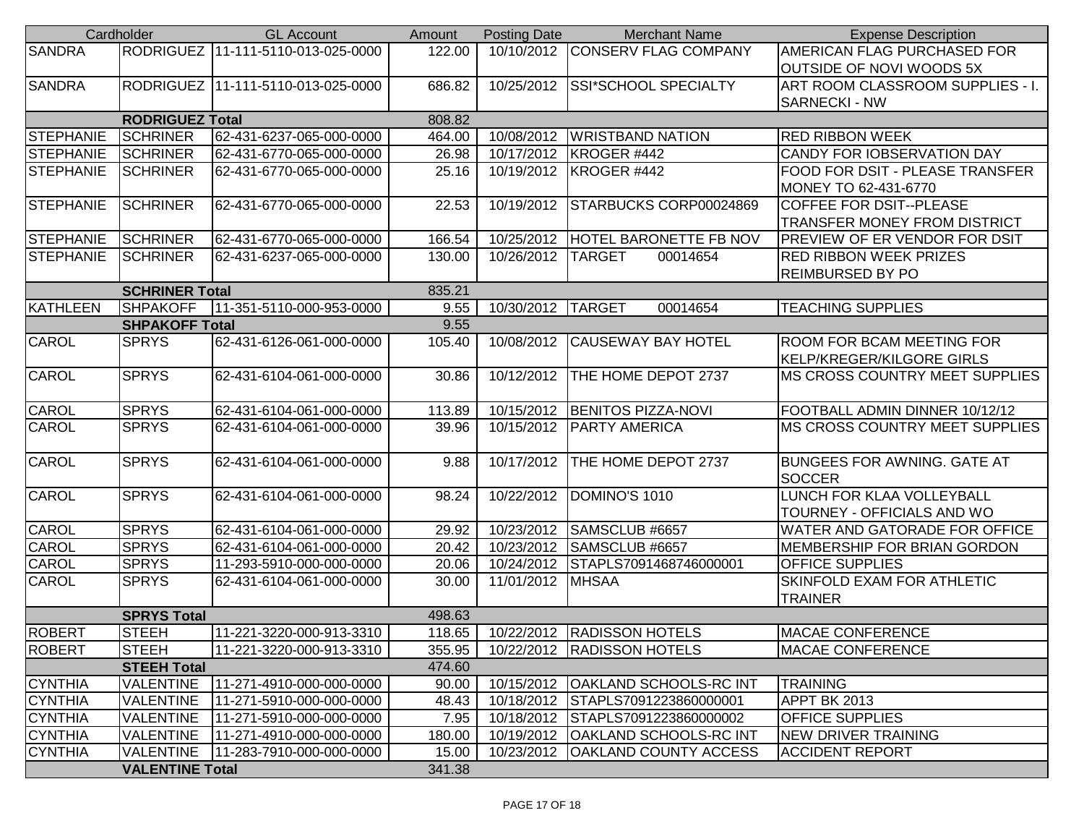|                  | Cardholder             | <b>GL Account</b>                    | Amount | <b>Posting Date</b> | <b>Merchant Name</b>                | <b>Expense Description</b>            |
|------------------|------------------------|--------------------------------------|--------|---------------------|-------------------------------------|---------------------------------------|
| <b>SANDRA</b>    |                        | RODRIGUEZ   11-111-5110-013-025-0000 | 122.00 |                     | 10/10/2012 CONSERV FLAG COMPANY     | AMERICAN FLAG PURCHASED FOR           |
|                  |                        |                                      |        |                     |                                     | <b>OUTSIDE OF NOVI WOODS 5X</b>       |
| <b>SANDRA</b>    |                        | RODRIGUEZ   11-111-5110-013-025-0000 | 686.82 | 10/25/2012          | <b>SSI*SCHOOL SPECIALTY</b>         | ART ROOM CLASSROOM SUPPLIES - I.      |
|                  |                        |                                      |        |                     |                                     | <b>SARNECKI - NW</b>                  |
|                  | <b>RODRIGUEZ Total</b> |                                      | 808.82 |                     |                                     |                                       |
| <b>STEPHANIE</b> | <b>SCHRINER</b>        | 62-431-6237-065-000-0000             | 464.00 | 10/08/2012          | <b>WRISTBAND NATION</b>             | <b>RED RIBBON WEEK</b>                |
| <b>STEPHANIE</b> | <b>SCHRINER</b>        | 62-431-6770-065-000-0000             | 26.98  | 10/17/2012          | KROGER #442                         | CANDY FOR IOBSERVATION DAY            |
| <b>STEPHANIE</b> | <b>SCHRINER</b>        | 62-431-6770-065-000-0000             | 25.16  |                     | 10/19/2012   KROGER #442            | FOOD FOR DSIT - PLEASE TRANSFER       |
|                  |                        |                                      |        |                     |                                     | MONEY TO 62-431-6770                  |
| STEPHANIE        | <b>SCHRINER</b>        | 62-431-6770-065-000-0000             | 22.53  | 10/19/2012          | STARBUCKS CORP00024869              | <b>COFFEE FOR DSIT--PLEASE</b>        |
|                  |                        |                                      |        |                     |                                     | <b>TRANSFER MONEY FROM DISTRICT</b>   |
| <b>STEPHANIE</b> | <b>SCHRINER</b>        | 62-431-6770-065-000-0000             | 166.54 | 10/25/2012          | <b>HOTEL BARONETTE FB NOV</b>       | <b>PREVIEW OF ER VENDOR FOR DSIT</b>  |
| <b>STEPHANIE</b> | <b>SCHRINER</b>        | 62-431-6237-065-000-0000             | 130.00 | 10/26/2012          | <b>TARGET</b><br>00014654           | <b>RED RIBBON WEEK PRIZES</b>         |
|                  |                        |                                      |        |                     |                                     | REIMBURSED BY PO                      |
|                  | <b>SCHRINER Total</b>  |                                      | 835.21 |                     |                                     |                                       |
| KATHLEEN         | <b>SHPAKOFF</b>        | 11-351-5110-000-953-0000             | 9.55   | 10/30/2012 TARGET   | 00014654                            | <b>TEACHING SUPPLIES</b>              |
|                  | <b>SHPAKOFF Total</b>  |                                      | 9.55   |                     |                                     |                                       |
| CAROL            | <b>SPRYS</b>           | 62-431-6126-061-000-0000             | 105.40 | 10/08/2012          | <b>CAUSEWAY BAY HOTEL</b>           | ROOM FOR BCAM MEETING FOR             |
|                  |                        |                                      |        |                     |                                     | KELP/KREGER/KILGORE GIRLS             |
| CAROL            | <b>SPRYS</b>           | 62-431-6104-061-000-0000             | 30.86  | 10/12/2012          | THE HOME DEPOT 2737                 | <b>MS CROSS COUNTRY MEET SUPPLIES</b> |
|                  |                        |                                      |        |                     |                                     |                                       |
| <b>CAROL</b>     | <b>SPRYS</b>           | 62-431-6104-061-000-0000             | 113.89 | 10/15/2012          | <b>BENITOS PIZZA-NOVI</b>           | FOOTBALL ADMIN DINNER 10/12/12        |
| CAROL            | <b>SPRYS</b>           | 62-431-6104-061-000-0000             | 39.96  | 10/15/2012          | <b>PARTY AMERICA</b>                | MS CROSS COUNTRY MEET SUPPLIES        |
|                  |                        |                                      |        |                     |                                     |                                       |
| CAROL            | <b>SPRYS</b>           | 62-431-6104-061-000-0000             | 9.88   | 10/17/2012          | THE HOME DEPOT 2737                 | <b>BUNGEES FOR AWNING. GATE AT</b>    |
|                  |                        |                                      |        |                     |                                     | <b>SOCCER</b>                         |
| CAROL            | <b>SPRYS</b>           | 62-431-6104-061-000-0000             | 98.24  | 10/22/2012          | DOMINO'S 1010                       | LUNCH FOR KLAA VOLLEYBALL             |
|                  |                        |                                      |        |                     |                                     | TOURNEY - OFFICIALS AND WO            |
| CAROL            | <b>SPRYS</b>           | 62-431-6104-061-000-0000             | 29.92  | 10/23/2012          | SAMSCLUB #6657                      | WATER AND GATORADE FOR OFFICE         |
| CAROL            | <b>SPRYS</b>           | 62-431-6104-061-000-0000             | 20.42  | 10/23/2012          | SAMSCLUB #6657                      | MEMBERSHIP FOR BRIAN GORDON           |
| CAROL            | <b>SPRYS</b>           | 11-293-5910-000-000-0000             | 20.06  | 10/24/2012          | STAPLS7091468746000001              | <b>OFFICE SUPPLIES</b>                |
| CAROL            | <b>SPRYS</b>           | 62-431-6104-061-000-0000             | 30.00  | 11/01/2012          | <b>MHSAA</b>                        | SKINFOLD EXAM FOR ATHLETIC            |
|                  |                        |                                      |        |                     |                                     | <b>TRAINER</b>                        |
|                  | <b>SPRYS Total</b>     |                                      | 498.63 |                     |                                     |                                       |
| <b>ROBERT</b>    | <b>STEEH</b>           | 11-221-3220-000-913-3310             | 118.65 |                     | 10/22/2012 RADISSON HOTELS          | <b>IMACAE CONFERENCE</b>              |
| <b>ROBERT</b>    | <b>STEEH</b>           | 11-221-3220-000-913-3310             | 355.95 |                     | 10/22/2012   RADISSON HOTELS        | <b>MACAE CONFERENCE</b>               |
|                  | <b>STEEH Total</b>     |                                      | 474.60 |                     |                                     |                                       |
| <b>CYNTHIA</b>   | <b>VALENTINE</b>       | 11-271-4910-000-000-0000             | 90.00  |                     | 10/15/2012   OAKLAND SCHOOLS-RC INT | <b>TRAINING</b>                       |
| <b>CYNTHIA</b>   | <b>VALENTINE</b>       | 11-271-5910-000-000-0000             | 48.43  |                     | 10/18/2012 STAPLS7091223860000001   | APPT BK 2013                          |
| <b>CYNTHIA</b>   | <b>VALENTINE</b>       | 11-271-5910-000-000-0000             | 7.95   |                     | 10/18/2012 STAPLS7091223860000002   | <b>OFFICE SUPPLIES</b>                |
| <b>CYNTHIA</b>   | <b>VALENTINE</b>       | 11-271-4910-000-000-0000             | 180.00 | 10/19/2012          | <b>OAKLAND SCHOOLS-RC INT</b>       | <b>NEW DRIVER TRAINING</b>            |
| <b>CYNTHIA</b>   | <b>VALENTINE</b>       | 11-283-7910-000-000-0000             | 15.00  | 10/23/2012          | <b>OAKLAND COUNTY ACCESS</b>        | <b>ACCIDENT REPORT</b>                |
|                  | <b>VALENTINE Total</b> |                                      | 341.38 |                     |                                     |                                       |